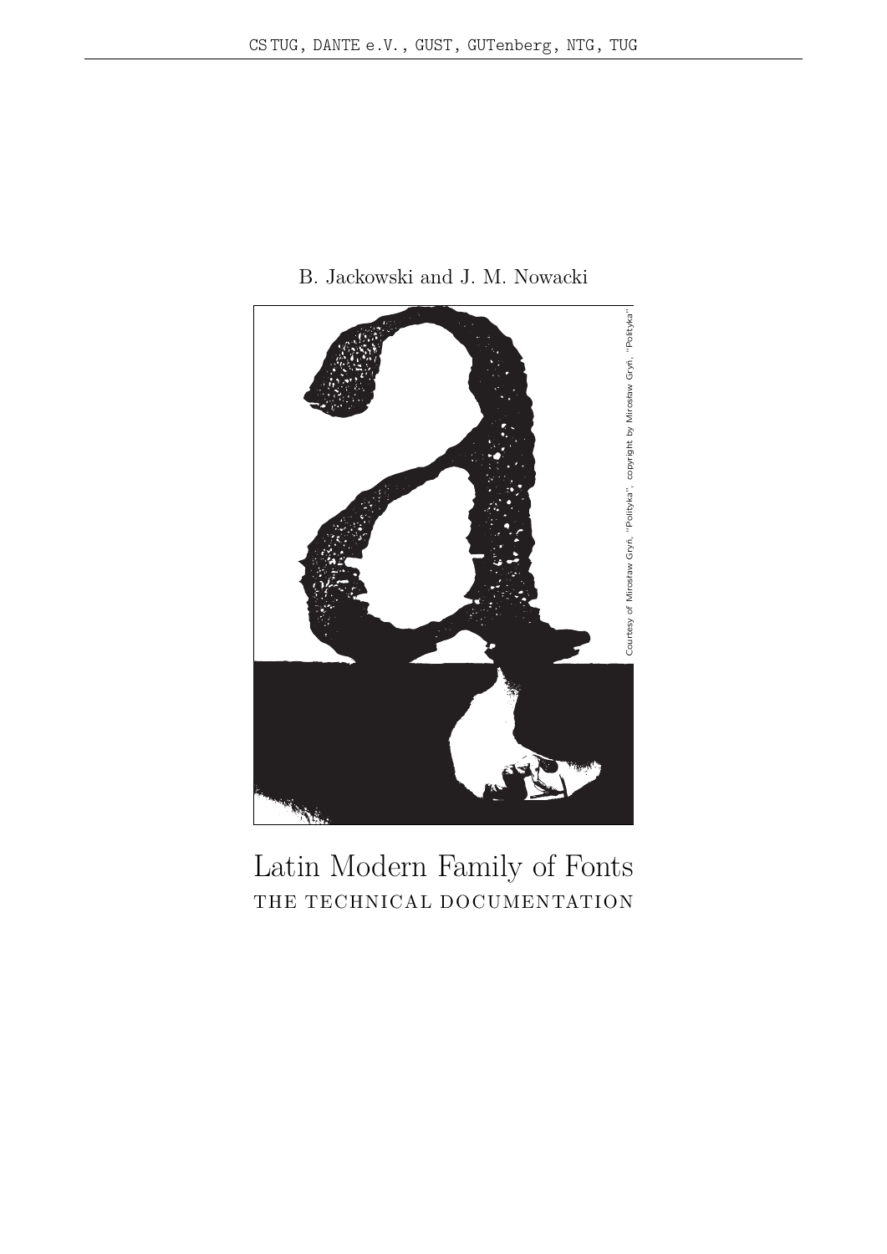

B. Jackowski and J. M. Nowacki

Latin Modern Family of Fonts THE TECHNICAL DOCUMENTATION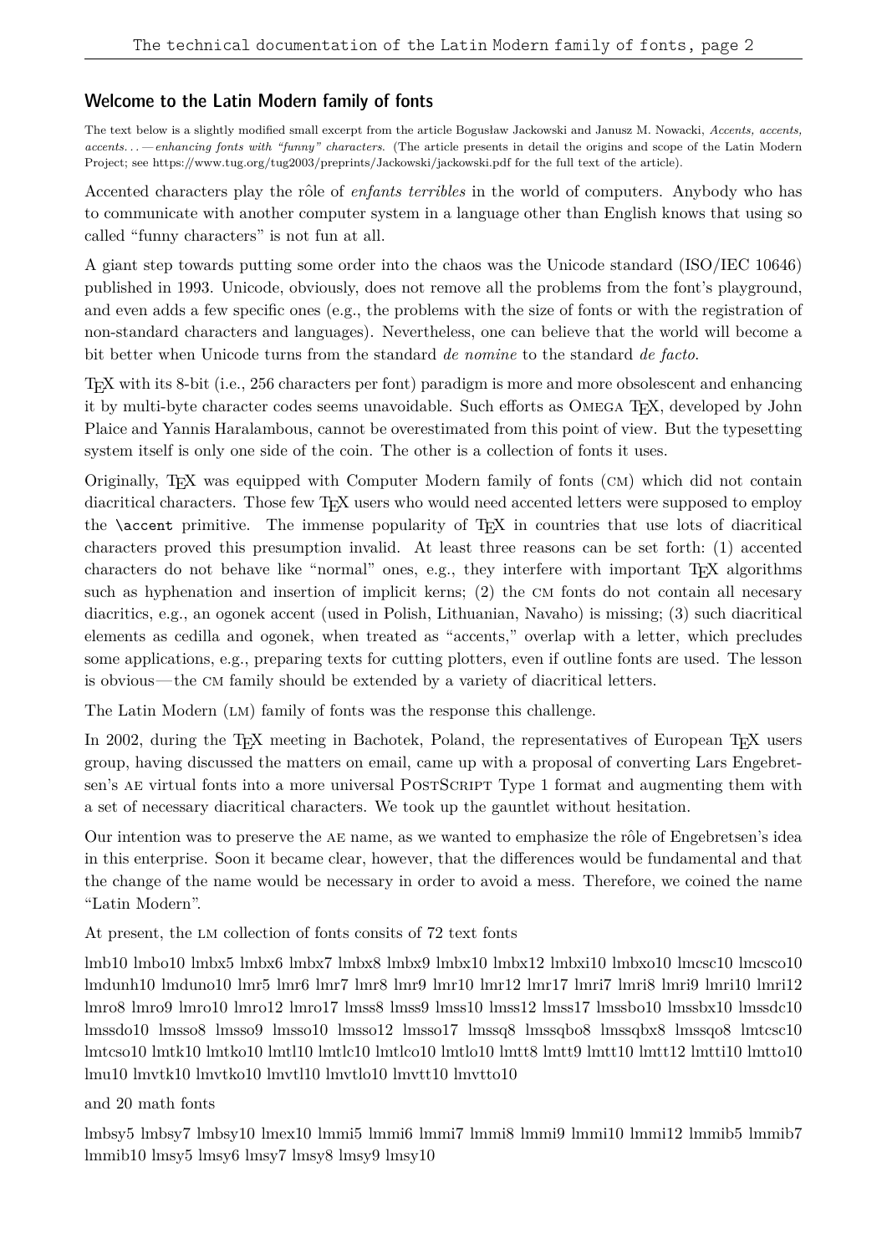### Welcome to the Latin Modern family of fonts

The text below is a slightly modified small excerpt from the article Bogusław Jackowski and Janusz M. Nowacki, *Accents, accents, accents. . .—enhancing fonts with "funny" characters*. (The article presents in detail the origins and scope of the Latin Modern Project; see https://www.tug.org/tug2003/preprints/Jackowski/jackowski.pdf for the full text of the article).

Accented characters play the rôle of *enfants terribles* in the world of computers. Anybody who has to communicate with another computer system in a language other than English knows that using so called "funny characters" is not fun at all.

A giant step towards putting some order into the chaos was the Unicode standard (ISO/IEC 10646) published in 1993. Unicode, obviously, does not remove all the problems from the font's playground, and even adds a few specific ones (e.g., the problems with the size of fonts or with the registration of non-standard characters and languages). Nevertheless, one can believe that the world will become a bit better when Unicode turns from the standard *de nomine* to the standard *de facto*.

TEX with its 8-bit (i.e., 256 characters per font) paradigm is more and more obsolescent and enhancing it by multi-byte character codes seems unavoidable. Such efforts as OMEGA T<sub>E</sub>X, developed by John Plaice and Yannis Haralambous, cannot be overestimated from this point of view. But the typesetting system itself is only one side of the coin. The other is a collection of fonts it uses.

Originally, TEX was equipped with Computer Modern family of fonts (cm) which did not contain diacritical characters. Those few T<sub>EX</sub> users who would need accented letters were supposed to employ the \accent primitive. The immense popularity of TEX in countries that use lots of diacritical characters proved this presumption invalid. At least three reasons can be set forth: (1) accented characters do not behave like "normal" ones, e.g., they interfere with important TEX algorithms such as hyphenation and insertion of implicit kerns; (2) the CM fonts do not contain all necesary diacritics, e.g., an ogonek accent (used in Polish, Lithuanian, Navaho) is missing; (3) such diacritical elements as cedilla and ogonek, when treated as "accents," overlap with a letter, which precludes some applications, e.g., preparing texts for cutting plotters, even if outline fonts are used. The lesson is obvious—the cm family should be extended by a variety of diacritical letters.

The Latin Modern (LM) family of fonts was the response this challenge.

In 2002, during the T<sub>E</sub>X meeting in Bachotek, Poland, the representatives of European T<sub>E</sub>X users group, having discussed the matters on email, came up with a proposal of converting Lars Engebretsen's AE virtual fonts into a more universal POSTSCRIPT Type 1 format and augmenting them with a set of necessary diacritical characters. We took up the gauntlet without hesitation.

Our intention was to preserve the AE name, as we wanted to emphasize the rôle of Engebretsen's idea in this enterprise. Soon it became clear, however, that the differences would be fundamental and that the change of the name would be necessary in order to avoid a mess. Therefore, we coined the name "Latin Modern".

At present, the lm collection of fonts consits of 72 text fonts

lmb10 lmbo10 lmbx5 lmbx6 lmbx7 lmbx8 lmbx9 lmbx10 lmbx12 lmbxi10 lmbxo10 lmcsc10 lmcsco10 lmdunh10 lmduno10 lmr5 lmr6 lmr7 lmr8 lmr9 lmr10 lmr12 lmr17 lmri7 lmri8 lmri9 lmri10 lmri12 lmro8 lmro9 lmro10 lmro12 lmro17 lmss8 lmss9 lmss10 lmss12 lmss17 lmssbo10 lmssbx10 lmssdc10 lmssdo10 lmsso8 lmsso9 lmsso10 lmsso12 lmsso17 lmssq8 lmssqbo8 lmssqbx8 lmssqo8 lmtcsc10 lmtcso10 lmtk10 lmtko10 lmtl10 lmtlc10 lmtlco10 lmtlo10 lmtt8 lmtt9 lmtt10 lmtt12 lmtti10 lmtto10 lmu10 lmvtk10 lmvtko10 lmvtl10 lmvtlo10 lmvtt10 lmvtto10

and 20 math fonts

lmbsy5 lmbsy7 lmbsy10 lmex10 lmmi5 lmmi6 lmmi7 lmmi8 lmmi9 lmmi10 lmmi12 lmmib5 lmmib7 lmmib10 lmsy5 lmsy6 lmsy7 lmsy8 lmsy9 lmsy10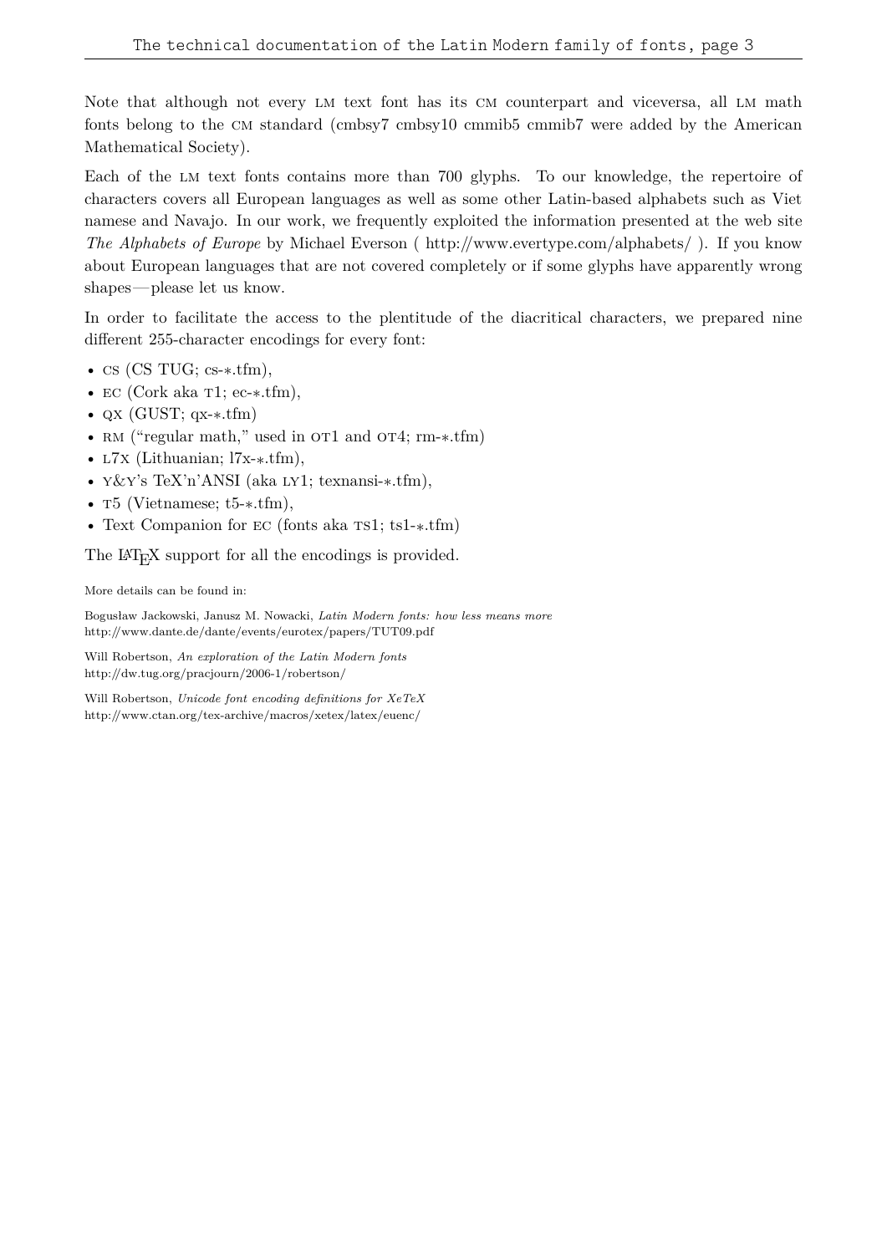Note that although not every LM text font has its CM counterpart and viceversa, all LM math fonts belong to the cm standard (cmbsy7 cmbsy10 cmmib5 cmmib7 were added by the American Mathematical Society).

Each of the lm text fonts contains more than 700 glyphs. To our knowledge, the repertoire of characters covers all European languages as well as some other Latin-based alphabets such as Viet namese and Navajo. In our work, we frequently exploited the information presented at the web site *The Alphabets of Europe* by Michael Everson ( http://www.evertype.com/alphabets/ ). If you know about European languages that are not covered completely or if some glyphs have apparently wrong shapes—please let us know.

In order to facilitate the access to the plentitude of the diacritical characters, we prepared nine different 255-character encodings for every font:

- cs (CS TUG; cs- $\ast$ .tfm),
- EC (Cork aka T1; ec-\*.tfm),
- QX (GUST; qx- $\ast$ .tfm)
- RM ("regular math," used in OT1 and OT4; rm-\*.tfm)
- <br/>  $\mathop{\rm L7x}$  (Lithuanian; l7x-\*.tfm),
- $\sqrt{\mathcal{K}Y}$ 's TeX'n'ANSI (aka LY1; texnansi-\*.tfm),
- T5 (Vietnamese; t5- $\ast$ .tfm),
- <br> $\bullet\,$  Text Companion for EC (fonts aka TS1; ts1-\*.tfm)

The LAT<sub>E</sub>X support for all the encodings is provided.

More details can be found in:

Bogusław Jackowski, Janusz M. Nowacki, *Latin Modern fonts: how less means more* http://www.dante.de/dante/events/eurotex/papers/TUT09.pdf

Will Robertson, *An exploration of the Latin Modern fonts* http://dw.tug.org/pracjourn/2006-1/robertson/

Will Robertson, *Unicode font encoding definitions for XeTeX* http://www.ctan.org/tex-archive/macros/xetex/latex/euenc/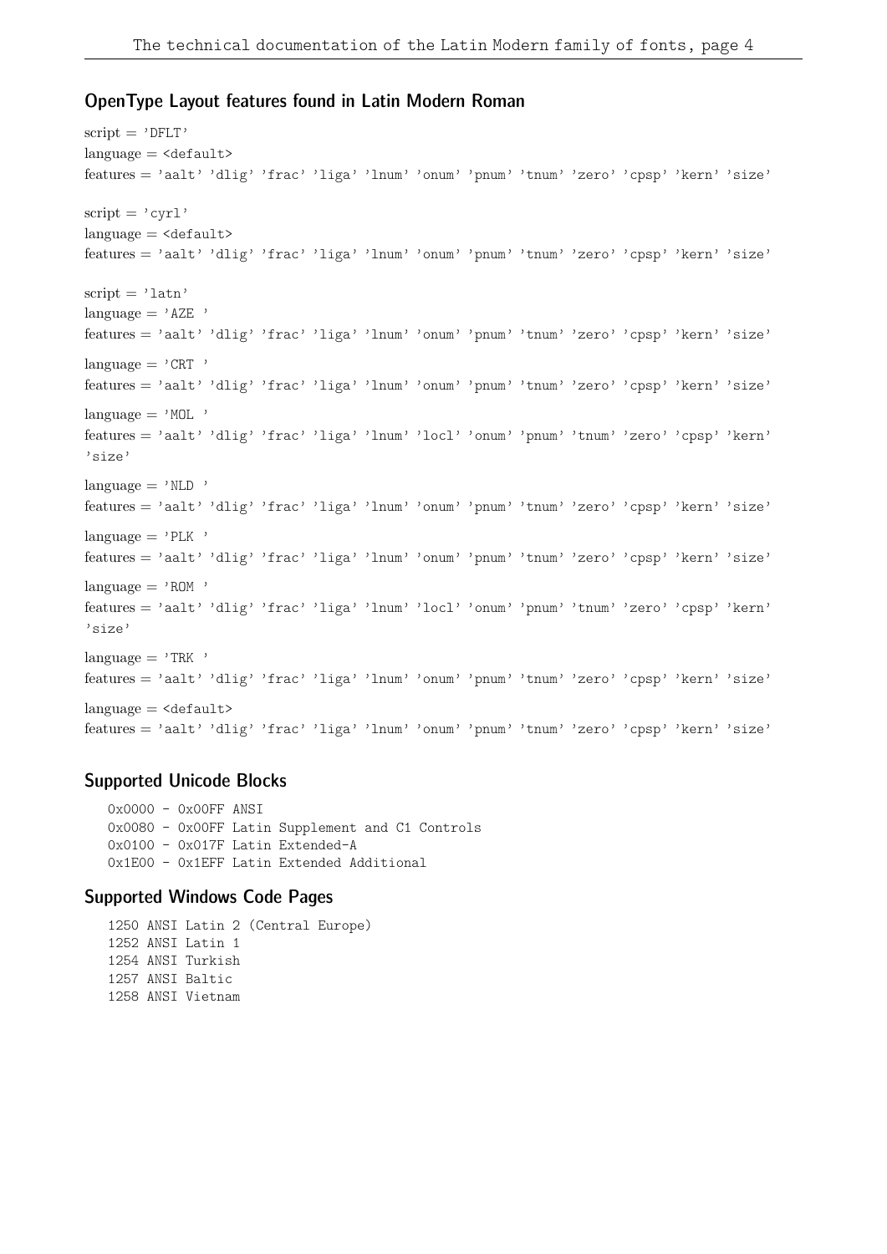### OpenType Layout features found in Latin Modern Roman

```
script = 'DFLT'language = <default>features = 'aalt' 'dlig' 'frac' 'liga' 'lnum' 'onum' 'pnum' 'tnum' 'zero' 'cpsp' 'kern' 'size'
script = 'cyr1'language = <default>features = 'aalt' 'dlig' 'frac' 'liga' 'lnum' 'onum' 'pnum' 'tnum' 'zero' 'cpsp' 'kern' 'size'
script = 'latn'language = 'AZE '
features = 'aalt' 'dlig' 'frac' 'liga' 'lnum' 'onum' 'pnum' 'tnum' 'zero' 'cpsp' 'kern' 'size'
lanquare = 'CRT'features = 'aalt' 'dlig' 'frac' 'liga' 'lnum' 'onum' 'pnum' 'tnum' 'zero' 'cpsp' 'kern' 'size'
language = 'MOL'features = 'aalt' 'dlig' 'frac' 'liga' 'lnum' 'locl' 'onum' 'pnum' 'tnum' 'zero' 'cpsp' 'kern'
'size'
language = 'NLD'features = 'aalt' 'dlig' 'frac' 'liga' 'lnum' 'onum' 'pnum' 'tnum' 'zero' 'cpsp' 'kern' 'size'
language = 'PLK'features = 'aalt' 'dlig' 'frac' 'liga' 'lnum' 'onum' 'pnum' 'tnum' 'zero' 'cpsp' 'kern' 'size'
language = 'ROM'features = 'aalt' 'dlig' 'frac' 'liga' 'lnum' 'locl' 'onum' 'pnum' 'tnum' 'zero' 'cpsp' 'kern'
'size'
language = 'TRK'features = 'aalt' 'dlig' 'frac' 'liga' 'lnum' 'onum' 'pnum' 'tnum' 'zero' 'cpsp' 'kern' 'size'
language = <default>features = 'aalt' 'dlig' 'frac' 'liga' 'lnum' 'onum' 'pnum' 'tnum' 'zero' 'cpsp' 'kern' 'size'
```
### Supported Unicode Blocks

0x0000 - 0x00FF ANSI 0x0080 - 0x00FF Latin Supplement and C1 Controls 0x0100 - 0x017F Latin Extended-A 0x1E00 - 0x1EFF Latin Extended Additional

#### Supported Windows Code Pages

1250 ANSI Latin 2 (Central Europe) 1252 ANSI Latin 1 1254 ANSI Turkish 1257 ANSI Baltic 1258 ANSI Vietnam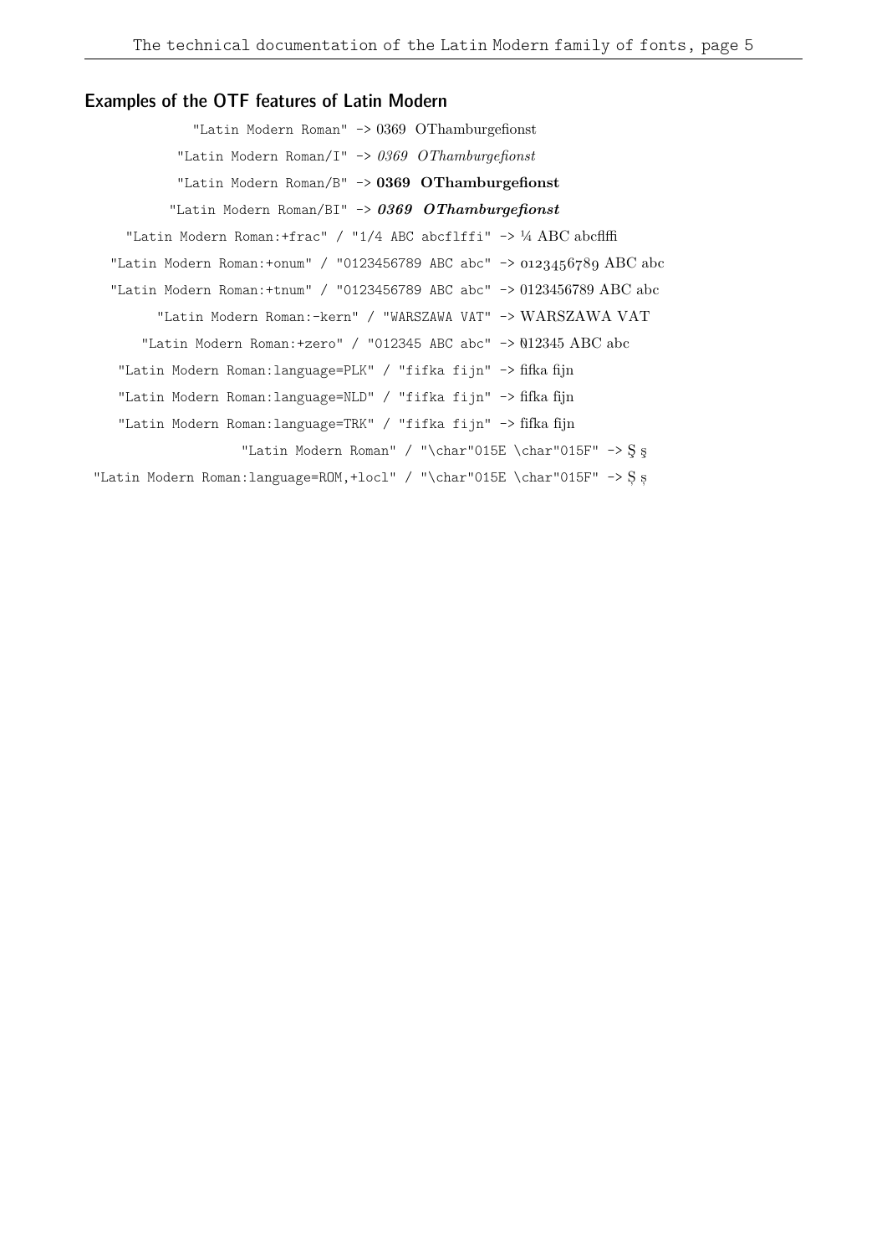### Examples of the OTF features of Latin Modern

"Latin Modern Roman" -> 0369 OThamburgefionst "Latin Modern Roman/I" -> *0369 OThamburgefionst* "Latin Modern Roman/B" -> **0369 OThamburgefionst** "Latin Modern Roman/BI" -> *0369 OThamburgefionst* "Latin Modern Roman:+frac" / "1/4 ABC abcflffi" -> ¼ ABC abcflffi "Latin Modern Roman: +onum" / "0123456789 ABC abc" ->  $0.123456789$  ABC abc "Latin Modern Roman:+tnum" / "0123456789 ABC abc" -> 0123456789 ABC abc "Latin Modern Roman:-kern" / "WARSZAWA VAT" -> WARSZAWA VAT "Latin Modern Roman: +zero" / "012345 ABC abc" ->  $012345$  ABC abc "Latin Modern Roman:language=PLK" / "fifka fijn" -> fifka fijn "Latin Modern Roman:language=NLD" / "fifka fijn" -> fifka fijn "Latin Modern Roman:language=TRK" / "fifka fijn" -> fifka fijn "Latin Modern Roman" / "\char"015E \char"015F" -> S  $s$ "Latin Modern Roman:language=ROM,+locl" / "\char"015E \char"015F" -> Ș ș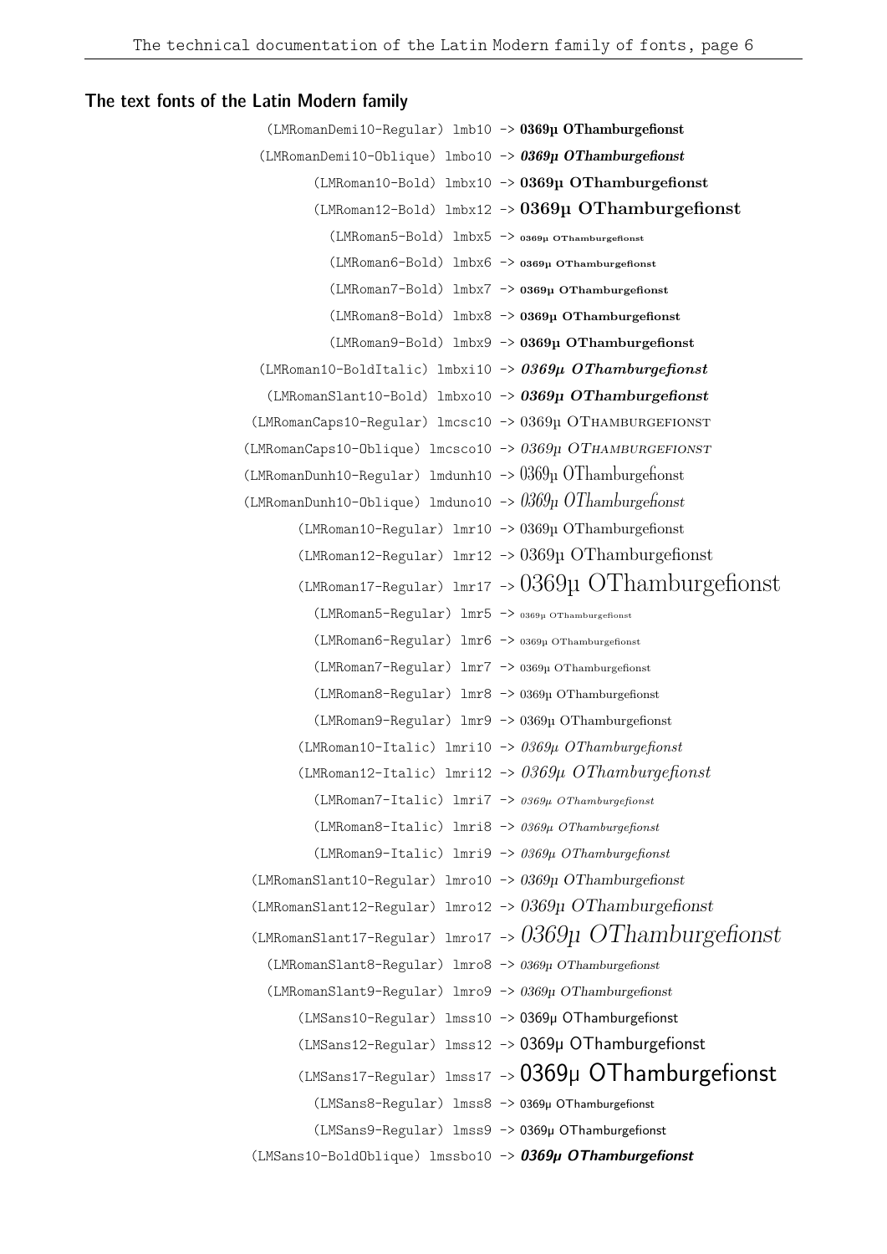### The text fonts of the Latin Modern family

```
(LMRomanDemi10-Regular) lmb10 -> 0369µ OThamburgefionst
  (LMRomanDemi10-Oblique) lmbo10 -> 0369µ OThamburgefionst
         (LMRoman10-Bold) lmbx10 -> 0369µ OThamburgefionst
         (LMRoman12-Bold) lmbx12 -> 0369µ OThamburgefionst
           (LMRoman5-Bold) lmbx5 -> 0369µ OThamburgefionst
           (LMRoman6-Bold) lmbx6 -> 0369µ OThamburgefionst
           (LMRoman7-Bold) lmbx7 -> 0369µ OThamburgefionst
           (LMRoman8-Bold) lmbx8 -> 0369µ OThamburgefionst
           (LMRoman9-Bold) lmbx9 -> 0369µ OThamburgefionst
  (LMRoman10-BoldItalic) lmbxi10 -> 0369µ OThamburgefionst
   (LMRomanSlant10-Bold) lmbxo10 -> 0369µ OThamburgefionst
 (LMRomanCaps10-Regular) lmcsc10 -> 0369µ OTHAMBURGEFIONST
(LMRomanCaps10-Oblique) lmcsco10 -> 0369µ OThamburgefionst
(LMRomanDunh10-Regular) lmdunh10 -> 0369\mu OThamburgefionst
(LMRomanDunh10-Oblique) lmduno10 -> 0369µ OThamburgefionst
       (LMRoman10-Regular) lmr10 -> 0369µ OThamburgefionst
       (LMRoman12-Regular) lmr12 -> 0369µ OThamburgefionst
       (LMRoman17-Regular) lmr17 -> 0369u OThamburgefionst
         (LMRoman5-Regular) lmr5 -> 0369µ OThamburgefionst
         (LMRoman6-Regular) lmr6 -> 0369µ OThamburgefionst
         (LMRoman7-Regular) lmr7 -> 0369µ OThamburgefionst
         (LMRoman8-Regular) lmr8 -> 0369µ OThamburgefionst
         (LMRoman9-Regular) lmr9 -> 0369µ OThamburgefionst
       (LMRoman10-Italic) lmri10 -> 0369µ OThamburgefionst
       (LMRoman12-Italic) lmri12 -> 0369µ OThamburgefionst
         (LMRoman7-Italic) lmri7 -> 0369µ OThamburgefionst
         (LMRoman8-Italic) lmri8 -> 0369µ OThamburgefionst
         (LMRoman9-Italic) lmri9 -> 0369µ OThamburgefionst
 (LMRomanSlant10-Regular) lmro10 -> 0369µ OThamburgefionst
 (LMRomanSlant12-Regular) lmro12 -> 0369µ OThamburgefionst
 (LMRomanSlant17-Regular) lmro17 -> 0369µ OThamburgefionst
   (LMRomanSlant8-Regular) lmro8 -> 0369µ OThamburgefionst
   (LMRomanSlant9-Regular) lmro9 -> 0369µ OThamburgefionst
       (LMSans10-Regular) lmss10 -> 0369µ OThamburgefionst
       (LMSans12-Regular) lmss12 -> 0369µ OThamburgefionst
       (LMSans17-Regular) lmss17 -> 0369µ OThamburgefionst
         (LMSans8-Regular) lmss8 -> 0369µ OThamburgefionst
         (LMSans9-Regular) lmss9 -> 0369µ OThamburgefionst
 (LMSans10-BoldOblique) lmssbo10 -> 0369µ OThamburgefionst
```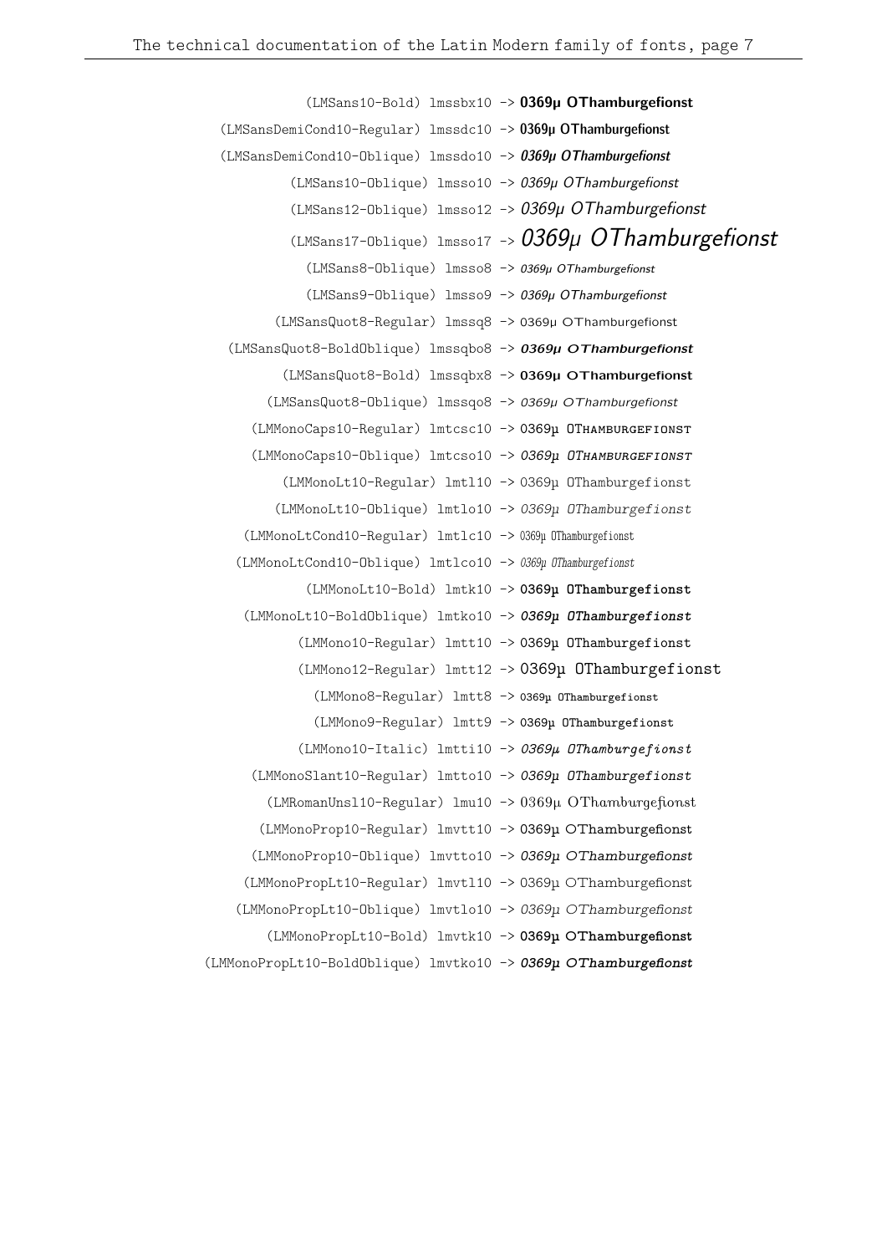(LMSans10-Bold) lmssbx10 -> **0369µ OThamburgefionst** (LMSansDemiCond10-Regular) lmssdc10 -> 0369µ OThamburgefionst (LMSansDemiCond10-Oblique) lmssdo10 -> 0369µ OThamburgefionst (LMSans10-Oblique) lmsso10 -> 0369µ OThamburgefionst (LMSans12-Oblique) lmsso12 -> 0369µ OThamburgefionst  $(LMSans17-Oblique)$  lmsso17 ->  $0369\mu$  OThamburgefionst (LMSans8-Oblique) lmsso8 -> 0369µ OThamburgefionst (LMSans9-Oblique) lmsso9 -> 0369µ OThamburgefionst (LMSansQuot8-Regular) lmssq8 -> 0369µ OThamburgefionst (LMSansQuot8-BoldOblique) lmssqbo8 -> **0369µ OThamburgefionst** (LMSansQuot8-Bold) lmssqbx8 -> **0369µ OThamburgefionst** (LMSansQuot8-Oblique) lmssqo8 -> 0369µ OThamburgefionst (LMMonoCaps10-Regular) lmtcsc10 -> 0369µ OTHAMBURGEFIONST (LMMonoCaps10-Oblique) lmtcso10 -> *0369µ OThamburgefionst* (LMMonoLt10-Regular) lmtl10 -> 0369µ OThamburgefionst (LMMonoLt10-Oblique) lmtlo10 -> *0369µ OThamburgefionst* (LMMonoLtCond10-Regular) lmtlc10 -> 0369µ OThamburgefionst (LMMonoLtCond10-Oblique) lmtlco10 -> *0369µ OThamburgefionst* (LMMonoLt10-Bold) lmtk10 -> **0369µ OThamburgefionst** (LMMonoLt10-BoldOblique) lmtko10 -> *0369µ OThamburgefionst* (LMMono10-Regular) lmtt10 -> 0369µ OThamburgefionst (LMMono12-Regular) lmtt12 -> 0369µ OThamburgefionst (LMMono8-Regular) lmtt8 -> 0369µ OThamburgefionst (LMMono9-Regular) lmtt9 -> 0369µ OThamburgefionst (LMMono10-Italic) lmtti10 -> *0369µ OThamburgefionst* (LMMonoSlant10-Regular) lmtto10 -> *0369µ OThamburgefionst* (LMRomanUnsl10-Regular) lmu10 -> 0369µ OThamburgefionst (LMMonoProp10-Regular) lmvtt10 -> 0369µ OThamburgefionst (LMMonoProp10-Oblique) lmvtto10 -> *0369µ OThamburgefionst* (LMMonoPropLt10-Regular) lmvtl10 -> 0369µ OThamburgefionst (LMMonoPropLt10-Oblique) lmvtlo10 -> *0369µ OThamburgefionst* (LMMonoPropLt10-Bold) lmvtk10 -> **0369µ OThamburgefionst** (LMMonoPropLt10-BoldOblique) lmvtko10 -> *0369µ OThamburgefionst*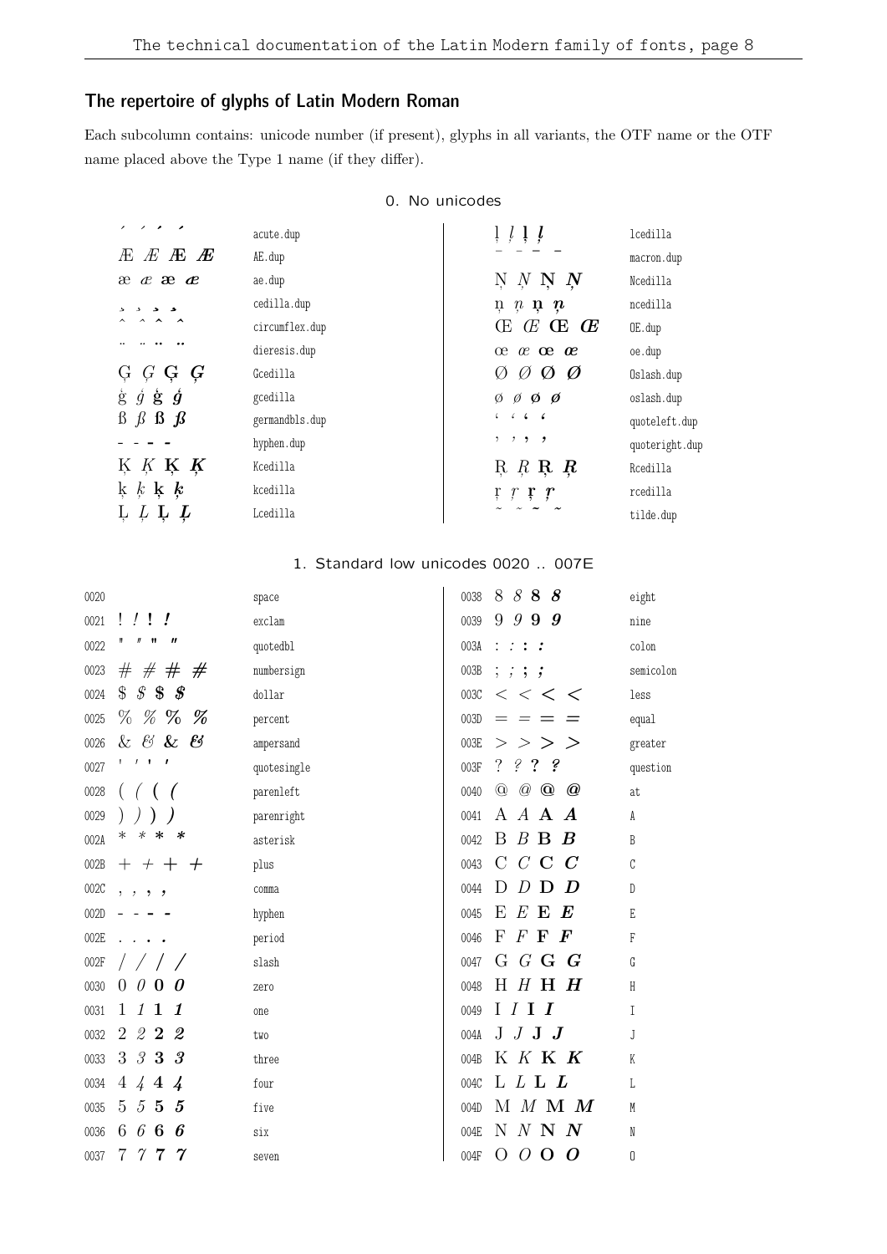## The repertoire of glyphs of Latin Modern Roman

Each subcolumn contains: unicode number (if present), glyphs in all variants, the OTF name or the OTF name placed above the Type 1 name (if they differ).

| 0. No unicodes |  |
|----------------|--|
|----------------|--|

| $\sim$<br>$\overline{\phantom{a}}$ | acute.dup      | $\frac{1}{2}$ $\frac{1}{2}$ $\frac{1}{2}$                   | lcedilla       |
|------------------------------------|----------------|-------------------------------------------------------------|----------------|
| E E E E                            | AE.dup         |                                                             | macron.dup     |
| æææ                                | ae.dup         | $N$ $N$ $N$ $N$                                             | Ncedilla       |
|                                    | cedilla.dup    | $\mathfrak{n}$ $\mathfrak{n}$ $\mathfrak{n}$ $\mathfrak{n}$ | ncedilla       |
| $\overline{\phantom{a}}$           | circumflex.dup | $\times$ $\times$ $\times$ $\times$                         | OE.dup         |
|                                    | dieresis.dup   | $x \alpha$ $x \alpha$                                       | oe.dup         |
| $G$ $G$ $G$ $G$                    | Gcedilla       | Ø<br>Ø<br>$\emptyset$<br>$\varnothing$                      | Oslash.dup     |
| $\dot{g}$ is $\dot{g}$<br>ģ        | gcedilla       | $\emptyset$ $\emptyset$ $\emptyset$ $\emptyset$             | oslash.dup     |
| $\beta$ $\beta$ $\beta$ $\beta$    | germandbls.dup | 66666                                                       | quoteleft.dup  |
|                                    | hyphen.dup     | , , , ,                                                     | quoteright.dup |
| K K K K                            | Kcedilla       | $R$ $R$ $R$ $R$                                             | Rcedilla       |
| $k \not k \not k$                  | kcedilla       | $\mathfrak{r}$ $\mathfrak{r}$ $\mathfrak{r}$ $\mathfrak{r}$ | rcedilla       |
| $\mu$ $\mu$ $\mu$                  | Lcedilla       |                                                             | tilde.dup      |

#### 1. Standard low unicodes 0020 .. 007E  $\overline{1}$

| 0020 |                                               | space       | 0038 | 8<br>88<br>8                                             | eight        |
|------|-----------------------------------------------|-------------|------|----------------------------------------------------------|--------------|
| 0021 | $\frac{1}{2}$<br>L                            | exclam      | 0039 | 9<br>9 9<br>9                                            | nine         |
| 0022 | Ħ<br>11<br>″                                  | quotedbl    | 003A | $\frac{1}{2}$ $\frac{1}{2}$ $\frac{1}{2}$ $\frac{1}{2}$  | colon        |
| 0023 |                                               | numbersign  | 003B | ; ; ; ;                                                  | semicolon    |
| 0024 | $$s$ $$s$<br>$\pmb{\mathscr{F}}$              | dollar      | 003C | $\,<\,$ $\,<\,$<br>$\,<\,$                               | less         |
| 0025 | $\%$ % $\%$<br>%                              | percent     | 003D | $=$                                                      | equal        |
| 0026 | & & & &                                       | ampersand   | 003E | $>$ $>$<br>$\geq$<br>>                                   | greater      |
| 0027 | $\mathbf{I}$<br>$\overline{\phantom{a}}$<br>1 | quotesingle | 003F | $\overline{?}$<br>଼<br>$\hat{z}$ ?                       | question     |
| 0028 |                                               | parenleft   | 0040 | $^\copyright$<br>$\oslash$<br>$\circledcirc$<br>$\bm{Q}$ | at           |
| 0029 |                                               | parenright  | 0041 | A<br>$A$ A<br>$\boldsymbol{A}$                           | A            |
| 002A | $\ast$<br>$\ast$<br>$\ast$<br>∗               | asterisk    | 0042 | B<br>$B$ <b>B</b> $B$                                    | B            |
| 002B | $+$ + $+$ +                                   | plus        | 0043 | $C$ C<br>$\rm C$<br>$\boldsymbol{C}$                     | C            |
| 002C | , , , ,                                       | comma       | 0044 | D<br>D<br>D<br>D                                         | $\mathbb{D}$ |
| 002D |                                               | hyphen      | 0045 | $E$ E<br>Е<br>$\bm E$                                    | E            |
| 002E |                                               | period      | 0046 | $\boldsymbol{\mathrm{F}}$<br>$F \mathbf{F}$<br>$\bm{F}$  | $\mathsf{F}$ |
| 002F | $\sqrt{2}$                                    | slash       | 0047 | G $G$ <b>G</b> $G$                                       | G            |
| 0030 | $\overline{0}$<br>$\theta$<br>$\bf{0}$<br>0   | zero        | 0048 | $H$ $H$ $H$ $H$                                          | $\mathsf H$  |
| 0031 | 1<br>$1\;1$<br>$\boldsymbol{\mathit{1}}$      | one         | 0049 | I I I                                                    | $\mathbb{I}$ |
| 0032 | $\overline{2}$<br>222                         | two         | 004A | $J$ $J$ $J$ $J$                                          | J            |
| 0033 | 3<br>$3\,3\,3$                                | three       | 004B | K K K K                                                  | K            |
| 0034 | $\overline{4}$<br>444                         | four        | 004C | L L L                                                    | L            |
| 0035 | $5\overline{)}$<br>$5\,5\,5$                  | five        | 004D | $M$ $M$ $M$ $M$                                          | M            |
| 0036 | 6<br>6<br>6<br>6                              | six         | 004E | $N$ N $N$<br>N                                           | N            |
| 0037 | $\gamma$<br>7<br>$\gamma$ 7                   | seven       | 004F | O<br>0<br>0<br>$\mathbf 0$                               | 0            |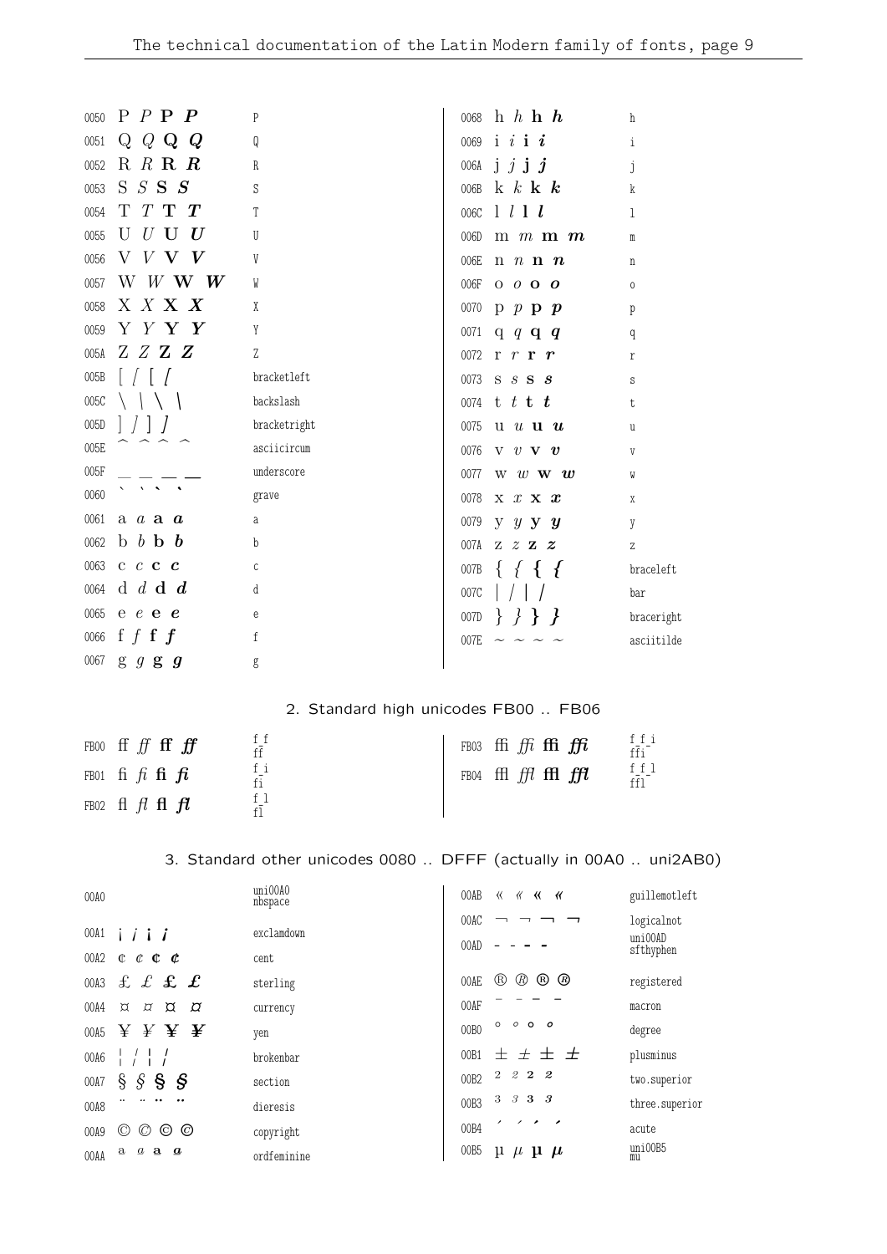| 0050 | $P$ $P$ $P$ $P$                                                                                                                   | P                                                                 | 0068             | h h h h                                                    | h                                                       |
|------|-----------------------------------------------------------------------------------------------------------------------------------|-------------------------------------------------------------------|------------------|------------------------------------------------------------|---------------------------------------------------------|
| 0051 | $Q$ Q Q Q                                                                                                                         | Q                                                                 | 0069             | $i \, i \, i$                                              | i                                                       |
| 0052 | R R R R                                                                                                                           | R                                                                 | 006A             | $j \, j \, j \, j$                                         | j                                                       |
| 0053 | S S S S                                                                                                                           | S                                                                 | 006B             | $k \, k \, k \, k$                                         | k                                                       |
| 0054 | $T$ T $T$<br>Т                                                                                                                    | T                                                                 | 006C             | l l l l                                                    | 1                                                       |
| 0055 | $U$ U $U$<br>U                                                                                                                    | U                                                                 | 006D             | $m \, m \, m \, m$                                         | m                                                       |
| 0056 | V V V V                                                                                                                           | V                                                                 | 006E             | $n \, n \, n \, n$                                         | $\rm n$                                                 |
| 0057 | W W W $W$                                                                                                                         | W                                                                 | 006F             | $0$ 0 <b>0 0</b>                                           | $\mathbf 0$                                             |
| 0058 | X X X X                                                                                                                           | X                                                                 | 0070             | $p$ $p$ $p$ $p$                                            | p                                                       |
| 0059 | Y Y Y Y                                                                                                                           | Y                                                                 | 0071             | q $q$ q $q$                                                | q                                                       |
| 005A | Z Z Z Z                                                                                                                           | Z                                                                 |                  | 0072 r $r$ r $r$                                           | r                                                       |
| 005B |                                                                                                                                   | bracketleft                                                       |                  | 0073 S S S S                                               | S                                                       |
| 005C |                                                                                                                                   | backslash                                                         |                  | 0074 t t t t t                                             | t                                                       |
| 005D |                                                                                                                                   | bracketright                                                      | 0075             | $u$ $u$ $u$ $u$                                            | u                                                       |
| 005E |                                                                                                                                   | asciicircum                                                       | 0076             | $V$ $V$ $V$ $V$                                            | V                                                       |
| 005F |                                                                                                                                   | underscore                                                        | 0077             | $W \, \, \, w \, \, \, \mathbf{w} \, \, \, \boldsymbol{w}$ | W                                                       |
| 0060 |                                                                                                                                   | grave                                                             | 0078             | $X \times X \times x$                                      | X                                                       |
| 0061 | $a \ a \ a \ a$                                                                                                                   | a                                                                 | 0079             | $y \ y \ y \ y$                                            | y                                                       |
| 0062 | $b$ $b$ $b$ $b$                                                                                                                   | b                                                                 | 007A             | $Z \tZ Z \tZ$                                              | Z                                                       |
| 0063 | $c$ $c$ $c$ $c$                                                                                                                   | $\mathsf C$                                                       | 007B             | $\{f \}$                                                   | braceleft                                               |
| 0064 | d d d d                                                                                                                           | d                                                                 | 007C             |                                                            | bar                                                     |
| 0065 | $e$ e e e                                                                                                                         | е                                                                 | 007D             | ${ }$                                                      | braceright                                              |
| 0066 | f $f$ f $f$                                                                                                                       | f                                                                 | 007E             |                                                            | asciitilde                                              |
| 0067 | $g$ $g$ $g$ $g$                                                                                                                   | g                                                                 |                  |                                                            |                                                         |
|      |                                                                                                                                   |                                                                   |                  |                                                            |                                                         |
|      |                                                                                                                                   | 2. Standard high unicodes FB00  FB06                              |                  |                                                            |                                                         |
|      | FB00 ff $f$ ff ff $f$ ff                                                                                                          | $f_f$<br>$f\bar{f}$                                               |                  | FB03 ffi ffi ffi ffi                                       | $\frac{f}{f\bar{f}i}^{-1}$                              |
|      | FB01 $\mathbf{f}$ i $\mathbf{f}$ i $\mathbf{f}$ i $\mathbf{f}$ i $\mathbf{f}$ i                                                   | fi                                                                |                  | FB04 ffl ffl ffl ffl                                       | ffl                                                     |
|      |                                                                                                                                   | fi<br>f <sub>1</sub>                                              |                  |                                                            | ffl                                                     |
| FB02 | $\text{fl}$ $\text{fl}$ $\text{fl}$ $\text{fl}$                                                                                   | $f\bar{1}$                                                        |                  |                                                            |                                                         |
|      |                                                                                                                                   |                                                                   |                  |                                                            |                                                         |
|      |                                                                                                                                   | 3. Standard other unicodes 0080  DFFF (actually in 00A0  uni2AB0) |                  |                                                            |                                                         |
| 00A0 |                                                                                                                                   | uni00A0<br>nbspace                                                | 00AB             | <b>KKKK</b>                                                | guillemotleft                                           |
|      |                                                                                                                                   |                                                                   | 00AC             |                                                            | logicalnot                                              |
| 00A1 | $i \; i \; i \; j$                                                                                                                | exclamdown                                                        | 00AD             |                                                            | uni00AD<br>sfthyphen                                    |
| 00A2 | $C$ $C$ $C$ $C$                                                                                                                   | cent                                                              |                  |                                                            |                                                         |
| 00A3 | $f \mathrel{\mathcal{L}} f \mathrel{\mathcal{L}} f$                                                                               | sterling                                                          | 00AE             | $\times$ $\times$ $\times$ $\times$                        | registered                                              |
| 00A4 | $\alpha$<br>$\alpha$ $\alpha$<br>$\sigma$                                                                                         | currency                                                          | 00AF             | $O$ $O$ $O$<br>$\circ$                                     | macron                                                  |
| 00A5 | $\mathbf{\mathbf{\mathbf{\mathsf{k}}}}\ \mathbf{\mathbf{\mathsf{k}}}\ \mathbf{\mathbf{\mathsf{k}}}\ \mathbf{\mathbf{\mathsf{k}}}$ | yen                                                               | 00BO             |                                                            | degree                                                  |
| 00A6 | $\begin{array}{cc} 1 & 1 & 1 \\ 1 & 1 & 1 \end{array}$                                                                            | brokenbar                                                         | 00B1             | $\pm$ $\pm$ $\pm$ $\pm$<br>$\mathbf{2}^-$<br>222           | plusminus                                               |
| 00A7 | $\S$ §<br>§.<br>§                                                                                                                 | section                                                           | 00B <sub>2</sub> |                                                            | two.superior                                            |
| 00A8 |                                                                                                                                   | dieresis                                                          | 00B3             | 3 3 3 3                                                    | three.superior                                          |
| 00A9 | $\circledcirc \circledcirc$<br>$\rm (C)$                                                                                          | copyright                                                         | 00B4             |                                                            | acute                                                   |
| 00AA | $a$ a $a$<br>$\mathbf a$                                                                                                          | ordfeminine                                                       | 00B5             | $\mu$ $\mu$ $\mu$                                          | $\begin{array}{l}\text{uni00B5}\\ \text{mu}\end{array}$ |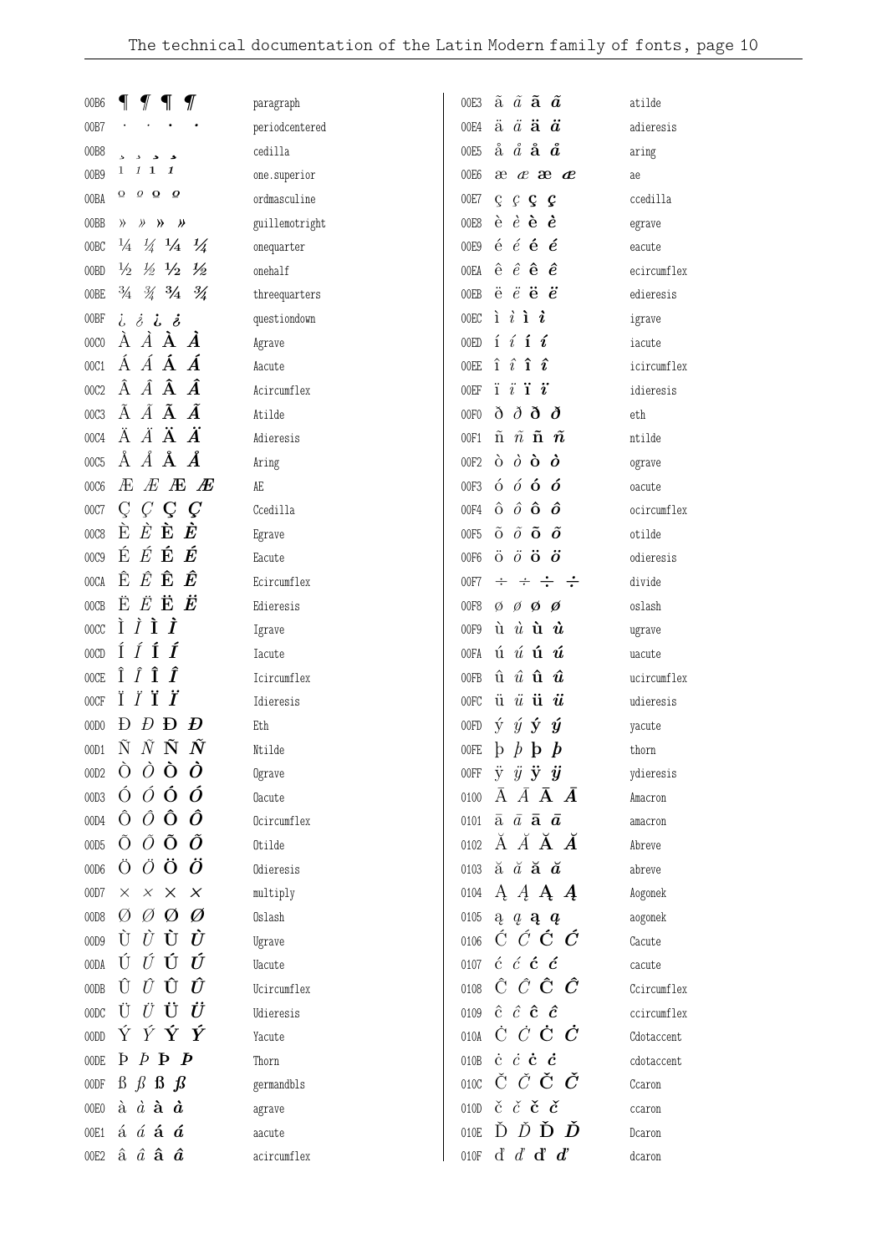| 00B6             | $\P$<br>$\mathcal I$<br>1                                                       | paragraph      | ã $\tilde{a}$ ã $\tilde{a}$<br>00E3                                                 | atilde      |
|------------------|---------------------------------------------------------------------------------|----------------|-------------------------------------------------------------------------------------|-------------|
| 00B7             |                                                                                 | periodcentered | $\ddot{a}$ $\ddot{a}$ $\ddot{a}$<br>00E4                                            | adieresis   |
| 00B8             |                                                                                 | cedilla        | å $\aa$ <b>å <math>\aa</math></b><br>00E5                                           | aring       |
| 00B9             | $1\quad1$<br>1<br>1                                                             | one.superior   | 00E6<br>$x \alpha x$                                                                | ae          |
| 00BA             | $\boldsymbol{\varrho}$ $\boldsymbol{\Omega}$ $\boldsymbol{\varrho}$<br>$\Omega$ | ordmasculine   | 00E7<br>$C$ $C$ $C$ $C$                                                             | ccedilla    |
| 00BB             | >> >> >><br>$\rangle$                                                           | guillemotright | $\dot{e}$ $\dot{e}$ $\dot{e}$ $\dot{e}$<br>00E8                                     | egrave      |
| 00 <sub>BC</sub> | $\frac{1}{4}$ $\frac{1}{4}$<br>$\frac{1}{4}$<br>$\frac{1}{4}$                   | onequarter     | $\acute{e}$ $\acute{e}$ $\acute{e}$ $\acute{e}$<br>00E9                             | eacute      |
| 00BD             | $\frac{1}{2}$ $\frac{1}{2}$ $\frac{1}{2}$ $\frac{1}{2}$                         | onehalf        | $\hat{\mathrm{e}}$ $\hat{e}$ $\hat{\mathrm{e}}$ $\hat{e}$<br>00EA                   | ecircumflex |
| 00BE             | $\frac{3}{4}$ $\frac{3}{4}$ $\frac{3}{4}$ $\frac{3}{4}$                         | threequarters  | $\ddot{e}$ $\ddot{e}$ $\ddot{e}$ $\ddot{e}$<br>00EB                                 | edieresis   |
| 00BF             | しぇしぇ                                                                            | questiondown   | $i \; i \; i \; j$<br>00EC                                                          | igrave      |
| 00C0             | $\vec{A}$ $\vec{A}$ $\vec{A}$<br>A                                              | Agrave         | $i \; i \; \mathbf{i} \; \mathbf{r}$<br>00ED                                        | iacute      |
| 00C1             | ÁÁÁÁ                                                                            | Aacute         | $\hat{\mathbf{i}}$ $\hat{\mathbf{i}}$ $\hat{\mathbf{i}}$ $\hat{\mathbf{i}}$<br>00EE | icircumflex |
| 00C2             | $\hat{A}$ $\hat{A}$ $\hat{A}$ $\hat{A}$                                         | Acircumflex    | $i \overline{i}$ i $i$<br>00EF                                                      | idieresis   |
| 00C3             | $\tilde{A}$ $\tilde{A}$ $\tilde{A}$ $\tilde{A}$                                 | Atilde         | $\delta$ $\delta$ $\delta$ $\delta$<br>00F <sub>0</sub>                             | eth         |
| 00C4             | ÄÄÄÄ                                                                            | Adieresis      | ñ $\tilde{n}$ ñ $\tilde{n}$<br>00F1                                                 | ntilde      |
| 00C5             | $\AA$ $\AA$ $\AA$                                                               | Aring          | $\dot{\theta}$ $\dot{\theta}$ $\dot{\theta}$ $\dot{\theta}$<br>00F2                 | ograve      |
| 00C6             | $E$ $E$ $E$<br>Æ                                                                | AE             | $\acute{\mathrm{o}}$ $\acute{o}$ $\acute{o}$ $\acute{o}$<br>00F3                    | oacute      |
| 00C7             | $C$ $C$<br>$\pmb{C}$<br>Ç                                                       | Ccedilla       | $\hat{o}$ $\hat{o}$ $\hat{o}$ $\hat{o}$<br>00F4                                     | ocircumflex |
| 00C8             | $\dot{E}$ $\dot{\mathbf{E}}$<br>È<br>È                                          | Egrave         | $\tilde{0}$ $\tilde{0}$ $\tilde{0}$ $\tilde{0}$<br>00F5                             | otilde      |
| 00C9             | É<br>É<br>É<br>É                                                                | Eacute         | $\ddot{\mathrm{o}}$ $\ddot{o}$ $\ddot{\mathrm{o}}$ $\ddot{o}$<br>00F6               | odieresis   |
| 00CA             | $\hat{E}$ $\hat{\mathbf{E}}$<br>Ê<br>Ê.                                         | Ecircumflex    | $\div$ $\div$ $\div$<br>00F7<br>$\div$                                              | divide      |
| 00CB             | $\ddot{E}$ $\ddot{\mathbf{E}}$ $\ddot{\mathbf{E}}$<br>Ë                         | Edieresis      | $\emptyset$ $\emptyset$ $\emptyset$ $\emptyset$<br>00F8                             | oslash      |
| 00CC             | ÌÌÌ<br>Ì                                                                        | Igrave         | $\hat{\mathbf{u}}$ $\hat{\mathbf{u}}$ $\hat{\mathbf{u}}$ $\hat{\mathbf{u}}$<br>00F9 | ugrave      |
| 00CD             | ÍÍÍ<br>Í                                                                        | <b>Iacute</b>  | ú $\acute{u}$ ú $\acute{u}$<br>00FA                                                 | uacute      |
| 00CE             | Î<br>Î<br>Î<br>Î                                                                | Icircumflex    | $\hat{\mathbf{u}}$ $\hat{u}$ $\hat{\mathbf{u}}$ $\hat{u}$<br>00FB                   | ucircumflex |
| 00CF             | Ï<br>Ï                                                                          | Idieresis      | $\ddot{u}$ $\ddot{u}$ $\ddot{u}$<br>00FC                                            | udieresis   |
| 00D0             | $D$ <b>D</b><br>Đ<br>Ð                                                          | Eth            | $\acute{y}$ $\acute{y}$ $\acute{y}$ $\acute{y}$<br>00FD                             | yacute      |
| 00D1             | $\tilde{N}$ $\tilde{N}$<br>$\tilde{N}$<br>Ñ                                     | Ntilde         | $\mathfrak{h}$ $\mathfrak{h}$ $\mathfrak{h}$<br>$\mathbf{b}$<br>00FE                | thorn       |
| 00D <sub>2</sub> | $\dot{\mathcal{O}}$ $\dot{\mathbf{O}}$ $\dot{\mathbf{O}}$<br>$\Omega$           | Ograve         | $\ddot{y}$ $\ddot{y}$ $\ddot{y}$ $\ddot{y}$<br>00FF                                 | ydieresis   |
| 00D3             | $\acute{0}$ $\acute{0}$ $\acute{0}$ $\acute{0}$                                 | <b>Oacute</b>  | $\bar{A}$ $\bar{A}$ $\bar{A}$ $\bar{A}$<br>0100                                     | Amacron     |
| 00D4             | $\hat{O}$ $\hat{O}$<br>Ô<br>Ô                                                   | Ocircumflex    | $\bar{a}$ $\bar{a}$ $\bar{a}$ $\bar{a}$<br>0101                                     | amacron     |
| 00D5             | $\tilde{O}$ $\tilde{O}$<br>Õ<br>Õ                                               | Otilde         | Ă Ă <b>Ă <i>Ă</i></b><br>0102                                                       | Abreve      |
| 00D6             | $\ddot{O}$ $\ddot{O}$<br>Ö<br>Ö                                                 | Odieresis      | 0103 $\check{a}$ $\check{a}$ $\check{a}$ $\check{a}$                                | abreve      |
| 00D7             | $\times$ $\times$<br>$\times$<br>$\times$                                       | multiply       | A $A$ A $A$<br>0104                                                                 | Aogonek     |
| 00D8             | $\emptyset$ $\emptyset$<br>Ø<br>Ø                                               | Oslash         | 0105 $a \ a \ a \ q$                                                                | aogonek     |
| 00D9             | $\dot{U}$ $\dot{U}$<br>Ù<br>Ù                                                   | Ugrave         | 0106 $\acute{C}$ $\acute{C}$ $\acute{C}$ $\acute{C}$                                | Cacute      |
| 00DA             | ÚÚÚ<br>Ú                                                                        | <b>Uacute</b>  | $\acute{c}$ $\acute{c}$ $\acute{c}$ $\acute{c}$<br>0107                             | cacute      |
| 00DB             | $\hat{U}$ Û<br>Û<br>Ũ                                                           | Ucircumflex    | $\hat{C}$ $\hat{C}$ $\hat{C}$ $\hat{C}$<br>0108                                     | Ccircumflex |
| 00DC             | ÜÜÜ<br>Ü                                                                        | Udieresis      | $\hat{c}$ $\hat{c}$ $\hat{c}$ $\hat{c}$<br>0109                                     | ccircumflex |
| 00DD             | ÝÝÝÝ                                                                            | Yacute         | Ċ Ċ Ċ $\dot{C}$<br>010A                                                             | Cdotaccent  |
| 00DE             | $P \not P \not P$                                                               | Thorn          | 010B $\dot{c}$ $\dot{c}$ $\dot{c}$ $\dot{c}$                                        | cdotaccent  |
| 00DF             | $\beta$ $\beta$ $\beta$ $\beta$                                                 | germandbls     | 0100 Č $\check{C}$ Č $\check{C}$                                                    | Ccaron      |
| 00E0             | $\dot{a}$ $\dot{a}$ $\dot{a}$ $\dot{a}$                                         | agrave         | $\check{c}$ $\check{c}$ $\check{c}$ $\check{c}$<br>010D                             | ccaron      |
| 00E1             | á á <b>á á</b>                                                                  | aacute         | ĎĎĎĎ<br>010E                                                                        | Dcaron      |
| 00E2             | $\hat{\mathrm{a}}$ $\hat{a}$ $\hat{\mathrm{a}}$ $\hat{a}$                       | acircumflex    | 010F d' $d$ d' $d$                                                                  | dcaron      |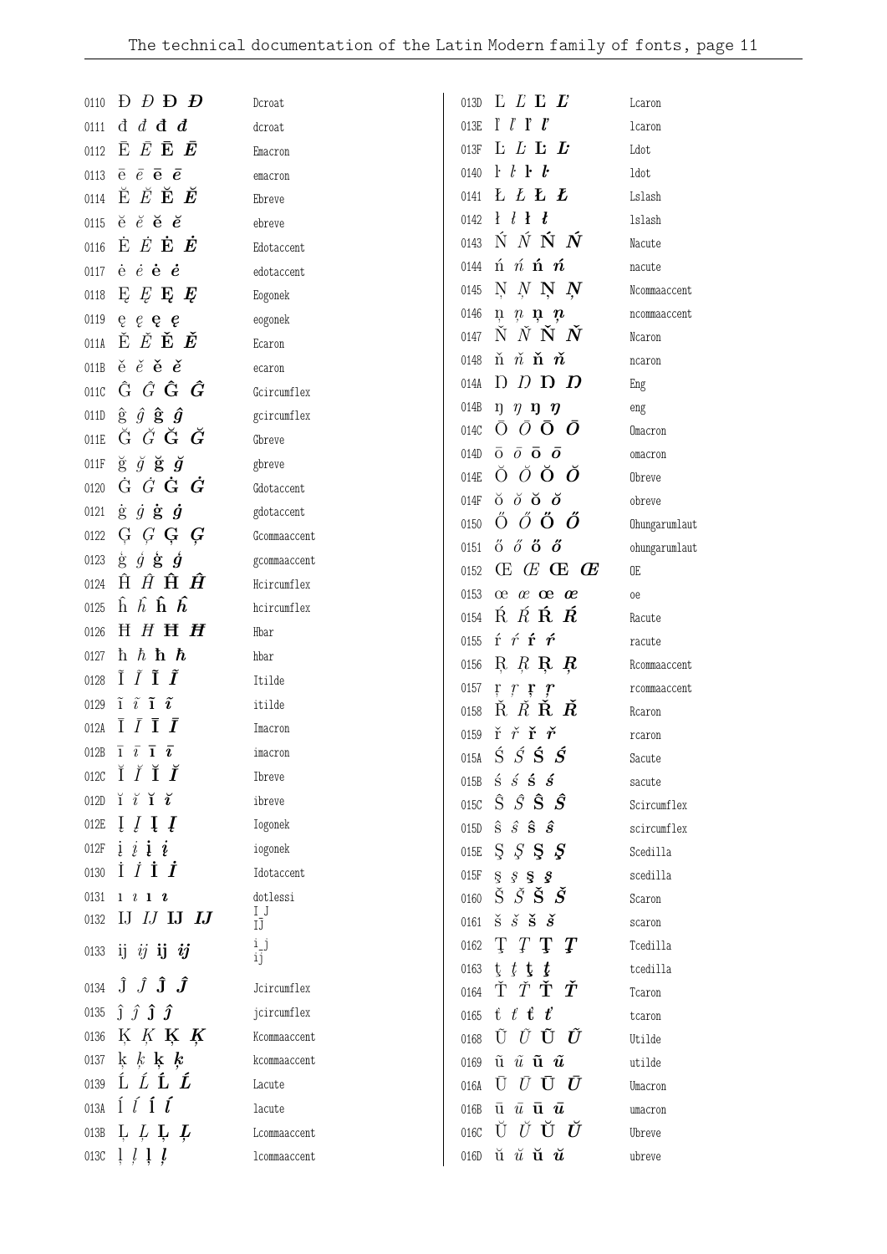| $\Gamma$ $\Gamma$ $\Gamma$ $\Gamma$<br>$\mathrm{d}\,$ $\mathrm{d}\,$ $\mathrm{d}\,$ $\mathrm{d}\,$<br>013E<br>0111<br>dcroat                                                                                                  |                         |
|-------------------------------------------------------------------------------------------------------------------------------------------------------------------------------------------------------------------------------|-------------------------|
|                                                                                                                                                                                                                               | lcaron                  |
| $\bar{\mathrm{E}}$ $\bar{E}$ $\bar{\mathrm{E}}$ $\bar{\mathrm{E}}$<br>L L L<br>013F<br>0112<br>Emacron                                                                                                                        | Ldot                    |
| $\mathbf{r} \cdot \mathbf{r}$ $\mathbf{r} \cdot \mathbf{r}$<br>$\overline{e}$ $\overline{e}$ $\overline{e}$ $\overline{e}$<br>0140<br>0113<br>emacron                                                                         | ldot                    |
| $\check{\mathrm{E}}$ $\check{E}$ $\check{E}$ $\check{E}$<br><b>L</b> L L<br>0141<br>0114<br>Ebreve                                                                                                                            | Lslash                  |
| $\mathbf{H}$ $\mathbf{H}$<br>$\breve{e}$ $\breve{e}$ $\breve{e}$ $\breve{e}$<br>0142<br>0115<br>ebreve                                                                                                                        | lslash                  |
| $\acute{\rm N}$ $\acute{N}$ $\acute{\rm N}$ $\acute{N}$<br>0143<br>$\dot{\mathbf{E}}$ $\dot{E}$ $\dot{\mathbf{E}}$ $\dot{\mathbf{E}}$<br>0116<br>Edotaccent                                                                   | Nacute                  |
| $\acute{\text{n}}$ $\acute{\text{n}}$ $\acute{\text{n}}$ $\acute{\text{n}}$<br>0144<br>$\dot{e}$ $\dot{e}$ $\dot{e}$ $\dot{e}$<br>0117<br>edotaccent                                                                          | nacute                  |
| $N$ $N$ $N$ $N$<br>0145<br>E E E E<br>0118<br>Eogonek                                                                                                                                                                         | Ncommaaccent            |
| 0146<br>$\mathfrak{n}$ $\mathfrak{n}$ $\mathfrak{n}$ $\mathfrak{n}$<br>0119<br>$e$ e e e<br>eogonek                                                                                                                           | ncommaaccent            |
| $\check{N}$ $\check{N}$ $\check{N}$ $\check{N}$<br>0147<br>ĚĔ <b>ĚĚ</b><br>011A<br>Ecaron                                                                                                                                     | Ncaron                  |
| $\check{\text{n}}$ $\check{n}$ $\check{\text{n}}$ $\check{n}$<br>0148<br>$\check{e}$ $\check{e}$ $\check{e}$ $\check{e}$<br>011B<br>ecaron                                                                                    | ncaron                  |
| $D$ $D$ $D$ $D$<br>014A<br>$\hat{G}$ $\hat{G}$ $\hat{\bm{G}}$ $\hat{\bm{G}}$<br>011C<br>Gcircumflex                                                                                                                           | Eng                     |
| 014B<br>$\eta$ $\eta$ $\eta$ $\eta$<br>$\hat{g}$ $\hat{g}$ $\hat{g}$ $\hat{g}$<br>011D<br>gcircumflex                                                                                                                         | eng                     |
| $\bar{o}$<br>$\bar{O}$ O<br>$\left( \right)$<br>014C<br>Ğ $\check G$ $\check G$ $\check G$<br>011E<br>Gbreve                                                                                                                  | Omacron                 |
| $\bar{o}$ $\bar{o}$ $\bar{o}$ $\bar{o}$<br>014D<br>$\breve{g}$ $\breve{g}$ $\breve{g}$ $\breve{g}$<br>011F<br>gbreve                                                                                                          | omacron                 |
| $\bullet$ $\bullet$ $\bullet$ $\bullet$<br>014E<br>$\dot{G}$ $\dot{G}$ $\dot{G}$ $\dot{G}$<br>0120<br>Gdotaccent                                                                                                              | Obreve                  |
| $\delta$ $\delta$ $\delta$ $\delta$<br>014F<br>$\dot{g}$ $\dot{g}$ $\dot{g}$ $\dot{g}$<br>0121<br>gdotaccent                                                                                                                  | obreve                  |
| $\ddot{\mathrm{O}}$ $\ddot{\mathrm{O}}$ $\ddot{\mathrm{O}}$ $\ddot{\mathrm{O}}$<br>0150<br>$G$ $G$ $G$ $G$<br>0122<br>Gcommaaccent                                                                                            | Ohungarumlaut           |
| $\H{0}$ $\H{0}$ $\H{0}$ $\H{0}$<br>0151<br>$\dot{g}$ $\dot{g}$ $\dot{g}$ $\dot{g}$<br>0123<br>gcommaaccent                                                                                                                    | ohungarumlaut           |
| $\times$ $\times$ $\times$ $\times$<br>0152<br>$\hat{H}$ $\hat{H}$ $\hat{H}$ $\hat{H}$<br>0124<br>Hcircumflex                                                                                                                 | 0E                      |
| $\alpha$ $\alpha$ $\alpha$<br>0153<br>$\hat{h}$ $\hat{h}$ $\hat{h}$ $\hat{h}$<br>0125<br>hcircumflex                                                                                                                          | <sub>0e</sub>           |
| $\acute{\mathrm{R}}$ $\acute{R}$ $\acute{R}$ $\acute{R}$<br>0154<br>H H H H<br>0126<br>Hbar                                                                                                                                   | Racute                  |
| $f \nmid \nmid f$<br>0155<br>h h h h<br>0127<br>hbar                                                                                                                                                                          | racute                  |
| $R$ R R R<br>0156<br>$\tilde{\mathrm{I}}$ $\tilde{\mathrm{I}}$ $\tilde{\mathrm{I}}$ $\tilde{\mathrm{I}}$<br>0128<br>Itilde                                                                                                    | Rcommaaccent            |
| 0157<br>$\mathbf{r}$ $\mathbf{r}$ $\mathbf{r}$<br>$\boldsymbol{r}$<br>$\tilde{1}$ $\tilde{i}$ $\tilde{1}$ $\tilde{i}$<br>0129<br>itilde                                                                                       | rcommaaccent            |
| $\check{R}$ $\check{R}$ $\check{R}$ $\check{R}$<br>0158<br>$\bar{I}$ $\bar{I}$ $\bar{I}$ $\bar{I}$<br>012A<br>Imacron                                                                                                         | Rcaron                  |
| $\check{r}$ $\check{r}$ $\check{r}$ $\check{r}$<br>0159<br>012B $\overline{1}$ $\overline{i}$ $\overline{1}$ $\overline{i}$<br>$\acute{\mathrm{s}}$ $\acute{\mathrm{s}}$ $\acute{\mathrm{s}}$ $\acute{\mathrm{s}}$<br>imacron | rcaron                  |
| 015A<br>012C $\breve{I}$ $\breve{I}$ $\breve{I}$ $\breve{I}$<br>Ibreve<br>$\acute{\mathbf{s}}$ $\acute{\mathbf{s}}$ $\acute{\mathbf{s}}$ $\acute{\mathbf{s}}$                                                                 | Sacute                  |
| 015B<br>$\check{\mathbf{i}}$ $\check{\mathbf{i}}$ $\check{\mathbf{i}}$ $\check{\mathbf{i}}$<br>012D<br>ibreve<br>$\hat{S}$ $\hat{S}$ $\hat{S}$ $\hat{S}$<br>015C                                                              | sacute                  |
| $\left[\begin{array}{c}I\end{array}\right]$<br>012E<br>Iogonek<br>$\hat{\mathbf{s}}$ $\hat{\mathbf{s}}$ $\hat{\mathbf{s}}$ $\hat{\mathbf{s}}$<br>015D                                                                         | Scircumflex             |
| $i \, i \, i \, i$<br>012F<br>iogonek<br>S S S S<br>015E                                                                                                                                                                      | scircumflex<br>Scedilla |
| $\dot{I}$ $\dot{I}$ $\dot{I}$<br>0130<br>Idotaccent<br>015F<br>$S_S S_S$                                                                                                                                                      | scedilla                |
| $\check{S}$ $\check{S}$ $\check{S}$ $\check{S}$<br>0131<br>dotlessi<br>$1 \quad l \quad 1 \quad 2$<br>0160                                                                                                                    | Scaron                  |
| $I_J$<br>IJ $IJ$ IJ $IJ$<br>0132<br>$\check{\mathrm{s}}$ $\check{s}$ $\check{\mathrm{s}}$ $\check{s}$<br>0161<br>IJ                                                                                                           | scaron                  |
| T T T T<br>ij<br>0162                                                                                                                                                                                                         | Tcedilla                |
| 0133 ij $ij$ ij $ij$<br>ij<br>$t$ $t$ $t$ $t$<br>0163                                                                                                                                                                         | tcedilla                |
| 0134 $\hat{\mathbf{J}}$ $\hat{\mathbf{J}}$ $\hat{\mathbf{J}}$ $\hat{\mathbf{J}}$<br>Ť $\check T$ Ť $\check T$<br>Jcircumflex<br>0164                                                                                          | Tcaron                  |
| $\hat{J}$ $\hat{J}$ $\hat{J}$ $\hat{J}$<br>0135<br>jcircumflex<br>$t \, t \, t \, t$<br>0165                                                                                                                                  | tcaron                  |
| K K K K<br>0136<br>ŨŨ <b>ŨŨ</b><br>Kcommaaccent<br>0168                                                                                                                                                                       | Utilde                  |
|                                                                                                                                                                                                                               | utilde                  |
| 0137 k k k k<br>$\tilde{\mathbf{u}}$ $\tilde{u}$ $\tilde{\mathbf{u}}$ $\tilde{\mathbf{u}}$<br>kcommaaccent<br>0169                                                                                                            |                         |
| ĹĹĹĹ<br>0139<br>$\bar{U}$ $\bar{U}$ $\bar{U}$ $\bar{U}$<br>Lacute<br>016A                                                                                                                                                     | Umacron                 |
| $\int$ $\int$ $\int$ $\int$ $\int$<br>013A<br>$\bar{\mathbf{u}}$ $\bar{u}$ $\bar{\mathbf{u}}$ $\bar{\mathbf{u}}$<br>lacute<br>016B                                                                                            | umacron                 |
| ŬŬŬŬ<br>L L L L<br>016C<br>013B<br>Lcommaaccent                                                                                                                                                                               | Ubreve                  |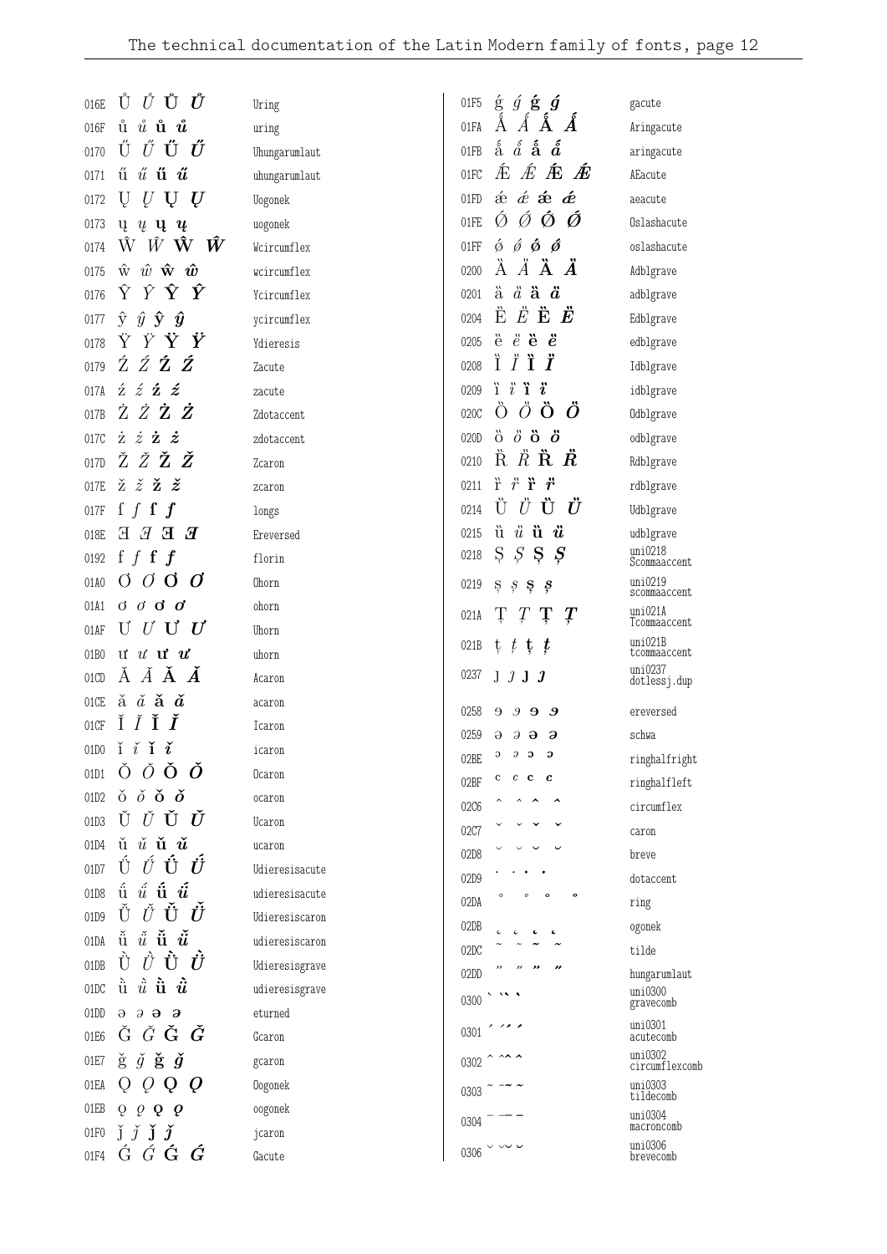| 016E              | ŮŮŮŮ                                                                                                                    | Uring          | 01F5 | $\acute{\mathbf{g}}$ $\acute{g}$ $\acute{\mathbf{g}}$ $\acute{g}$                              | gacute                  |
|-------------------|-------------------------------------------------------------------------------------------------------------------------|----------------|------|------------------------------------------------------------------------------------------------|-------------------------|
| 016F              | ů $\mathring{u}$ ů $\mathring{u}$                                                                                       | uring          | 01FA | $\AA$ $\AA$<br>$\AA$<br>A                                                                      | Aringacute              |
| 0170              | ŰŰÜŰ                                                                                                                    | Uhungarumlaut  | 01FB | $\acute{\hat{\rm a}}$ $\acute{\hat{\rm a}}$ $\acute{\hat{\rm a}}$ $\acute{\hat{\rm a}}$        | aringacute              |
| 0171              | $\H{u}$ $\H{u}$ $\H{u}$                                                                                                 | uhungarumlaut  | 01FC | <i>在 在 在 在</i>                                                                                 | AEacute                 |
| 0172              | $U$ U U<br>Ų                                                                                                            | Uogonek        | 01FD | $\acute{\text{o}}$ $\acute{\text{e}}$ $\acute{\text{e}}$ $\acute{\text{e}}$ $\acute{\text{e}}$ | aeacute                 |
| 0173              | $\mathbf{u} \mathbf{u} \mathbf{u} \mathbf{u}$                                                                           | uogonek        | 01FE | ÓÓŐ<br>Ø.                                                                                      | Oslashacute             |
| 0174              | $\hat{W}$ $\hat{W}$ $\hat{W}$ $\hat{W}$                                                                                 | Wcircumflex    | 01FF | $\acute{\phi}$ $\acute{\phi}$ $\acute{\phi}$ $\acute{\phi}$                                    | oslashacute             |
| 0175              | $\hat{w}$ $\hat{w}$ $\hat{\mathbf{w}}$ $\hat{\mathbf{w}}$                                                               | wcircumflex    | 0200 | $\ddot{A}$ $\ddot{A}$ $\ddot{A}$ $\ddot{A}$                                                    | Adblgrave               |
| 0176              | $\hat{Y}$ $\mathbf{\hat{Y}}$ $\mathbf{\hat{Y}}$<br>Ŷ                                                                    | Ycircumflex    | 0201 | $\ddot{a}$ $\ddot{a}$ $\ddot{a}$                                                               | adblgrave               |
| 0177              | $\hat{y}$ $\hat{y}$ $\hat{y}$ $\hat{y}$                                                                                 | ycircumflex    | 0204 | $\mathbf{\hat{E}} \ \mathbf{\hat{E}} \ \mathbf{\hat{E}} \ \mathbf{\hat{E}}$                    | Edblgrave               |
| 0178              | ŸΫŸ                                                                                                                     | Ydieresis      | 0205 | $\ddot{e}$ $\ddot{e}$ $\ddot{e}$ $\ddot{e}$                                                    | edblgrave               |
| 0179              | ŹŹŹŹ                                                                                                                    | Zacute         | 0208 | Ï<br>ĨΪÏ                                                                                       | Idblgrave               |
| 017A              | $\acute{\text{z}}$ $\acute{\text{z}}$ $\acute{\text{z}}$ $\acute{\text{z}}$                                             | zacute         | 0209 | $i \ddot{i} \ddot{j}$                                                                          | idblgrave               |
| 017B              | ŻŻŻŻ                                                                                                                    | Zdotaccent     | 020C | ÒÖÖÖ                                                                                           | Odblgrave               |
| 017C              | $\dot{z}$ $\dot{z}$ $\dot{z}$                                                                                           | zdotaccent     | 020D | $\ddot{\mathrm{o}}$ $\ddot{\mathrm{o}}$ $\ddot{\mathrm{o}}$ $\ddot{\mathrm{o}}$                | odblgrave               |
| 017D              | ŽŽŽŽ                                                                                                                    | Zcaron         | 0210 | $R$ $R$ $R$ $R$                                                                                | Rdblgrave               |
| 017E              | $\check{z}$ $\check{z}$ $\check{z}$ $\check{z}$                                                                         | zcaron         | 0211 | $\ddot{r}$ $\ddot{r}$ $\ddot{r}$                                                               | rdblgrave               |
| 017F              | f $f$ f $f$                                                                                                             | longs          | 0214 | Ù Ü Ü Ü                                                                                        | Udblgrave               |
| 018E              | $E$ E E E                                                                                                               | Ereversed      | 0215 | $\ddot{u}$ $\ddot{u}$ $\ddot{u}$                                                               | udblgrave               |
| 0192              | f $f$ f $f$                                                                                                             | florin         | 0218 | Ş<br>$S \S$<br>Ş                                                                               | uni0218<br>Scommaaccent |
| 01A0              | $\sigma$ $\sigma$ $\sigma$                                                                                              | Ohorn          | 0219 | $S \S$<br>ş                                                                                    | uni0219<br>scommaaccent |
| 01A1              | $\sigma$ $\sigma$ $\sigma$                                                                                              | ohorn          | 021A | Ţ<br>Ţ<br>Ţ<br>$\mathcal{L}$                                                                   | uni021A                 |
| 01AF              | U U U $U$                                                                                                               | Uhorn          |      |                                                                                                | Tcommaaccent<br>uni021B |
| 01 <sub>B</sub> 0 | $\mathbf{u}$ $\mathbf{u}$ $\mathbf{u}$ $\mathbf{u}$                                                                     | uhorn          | 021B | $t$ , $t$ , $t$ , $t$                                                                          | tcommaaccent            |
| 01CD              | ĂĂĂ                                                                                                                     | Acaron         | 0237 | J J J J                                                                                        | uni0237<br>dotlessj.dup |
| 01CE              | $\check{a}$ $\check{a}$ $\check{a}$ $\check{a}$                                                                         | acaron         | 0258 | $\Theta$<br>$\mathcal{S}$<br>Э<br>- 9                                                          | ereversed               |
| 01CF              | ĬĬĬĬ                                                                                                                    | Icaron         | 0259 | $\Theta$<br>$\partial$ $\partial$<br>$\partial$                                                | schwa                   |
|                   | 01D0 $i \nmid i \nmid i$                                                                                                | icaron         | 02BE | Э<br>$\mathcal{D}$<br>$\mathbf{o}$<br>Э                                                        | ringhalfright           |
| 01D1              | $\check{\mathrm{O}}$ $\check{\mathrm{O}}$ $\check{\mathrm{O}}$ $\check{\mathrm{O}}$                                     | Ocaron         | 02BF | $\boldsymbol{c}$<br>c<br>$c$ $\bf c$                                                           | ringhalfleft            |
| 01D2              | $\delta$ $\delta$ $\delta$ $\delta$                                                                                     | ocaron         | 02C6 |                                                                                                | circumflex              |
| 01D3              | ŬŬŬŬ                                                                                                                    | Ucaron         | 02C7 |                                                                                                | caron                   |
| 01D4              | $\check{u}$ $\check{u}$ $\check{u}$ $\check{u}$                                                                         | ucaron         | 02D8 |                                                                                                | breve                   |
| 01D7              | ΰΰÜÜ                                                                                                                    | Udieresisacute | 02D9 |                                                                                                | dotaccent               |
| 01D8              | $\H{u}$ $\H{\tilde{u}}$ $\H{\tilde{u}}$                                                                                 | udieresisacute | 02DA | $\circ$<br>$\circ$<br>$\circ$                                                                  | ring                    |
| 01D9              | ŬŬŬ $\boldsymbol{\check{U}}$                                                                                            | Udieresiscaron | 02DB |                                                                                                | ogonek                  |
| 01DA              | $\check{\ddot{\mathfrak{u}}}$ $\check{\ddot{\mathfrak{u}}}$ $\check{\ddot{\mathfrak{u}}}$ $\check{\ddot{\mathfrak{u}}}$ | udieresiscaron | 02DC |                                                                                                | tilde                   |
| 01DB              | Ù $\dot{U}$ $\dot{U}$ $\dot{U}$                                                                                         | Udieresisgrave | 02DD |                                                                                                | hungarumlaut            |
| 01DC              | $\ddot{\hat{u}}$ $\ddot{\hat{u}}$ $\ddot{\hat{u}}$                                                                      | udieresisgrave | 0300 |                                                                                                | uni0300<br>gravecomb    |
| 01DD              | $\theta$ $\theta$ $\theta$ $\theta$                                                                                     | eturned        | 0301 |                                                                                                | uni0301                 |
| 01E6              | ĞĞĞĞ                                                                                                                    | Gcaron         |      |                                                                                                | acutecomb<br>uni0302    |
| 01E7              | $\check{g}$ $\check{g}$ $\check{g}$ $\check{g}$                                                                         | gcaron         | 0302 |                                                                                                | circumflexcomb          |
| 01EA              | $Q$ Q Q<br>Q                                                                                                            | Oogonek        | 0303 |                                                                                                | uni0303<br>tildecomb    |
| 01EB              | $Q \varrho \varrho \varrho \varrho$                                                                                     | oogonek        | 0304 |                                                                                                | uni0304<br>macroncomb   |
| 01F0              | $\check{J}$ $\check{J}$ $\check{J}$ $\check{J}$                                                                         | jcaron         |      | $0306$ $\sim$ $\sim$ $\sim$                                                                    | uni0306                 |
| 01F4              | $\acute{G}$ $\acute{G}$ $\acute{G}$ $\acute{G}$                                                                         | Gacute         |      |                                                                                                | brevecomb               |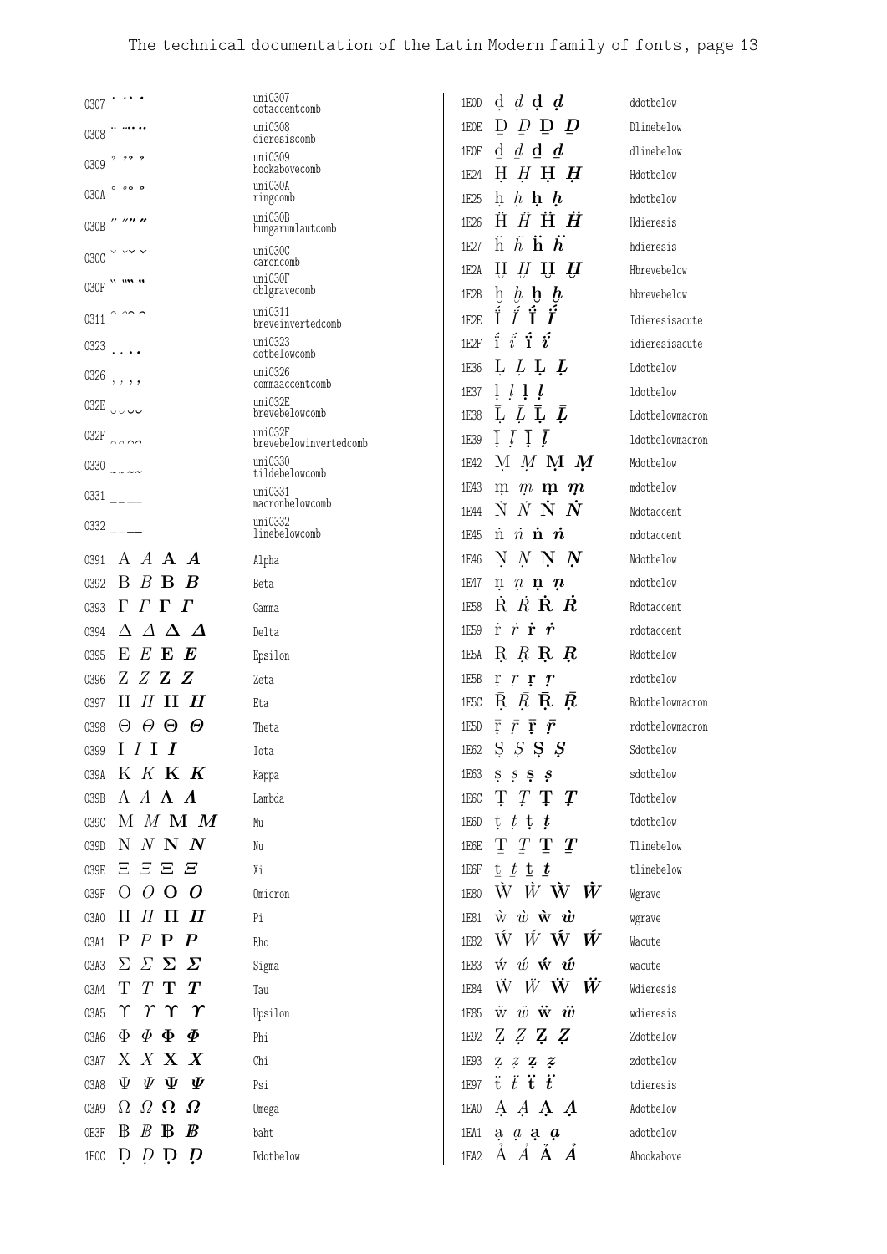| 0307                                                  | uni0307<br>dotaccentcomb          | d d d d d<br>1EOD                                                                          | ddotbelow       |
|-------------------------------------------------------|-----------------------------------|--------------------------------------------------------------------------------------------|-----------------|
| 0308                                                  | uni0308                           | D<br>$D$ D<br>$\boldsymbol{\mathsf{D}}$<br>1EOE                                            | Dlinebelow      |
| ? ?? ?                                                | dieresiscomb<br>uni0309           | $d \ d \ d \ d$<br>1E0F                                                                    | dlinebelow      |
| 0309                                                  | hookabovecomb<br>uni030A          | $H$ $H$ $H$ $H$<br>1E24                                                                    | Hdotbelow       |
| $0$ $0$ $0$ $0$<br>030A                               | ringcomb                          | h h h h<br>1E25                                                                            | hdotbelow       |
| $^{\prime\prime}$ // $^{\prime\prime}$ //<br>030B     | uni030B<br>hungarumlautcomb       | 1E26                                                                                       | Hdieresis       |
| 030C                                                  | uni030C                           | $\ddot{h}$ $\ddot{h}$ $\ddot{h}$ $\ddot{h}$<br>1E27                                        | hdieresis       |
| 0.00000                                               | caroncomb<br>uni030F              | $H$ $H$ $H$ $H$<br>1E2A                                                                    | Hbrevebelow     |
| 030F                                                  | dblgravecomb                      | $\mathbf{b}$ $\mathbf{b}$ $\mathbf{b}$ $\mathbf{b}$<br>1E2B                                | hbrevebelow     |
| $\sim$ $\sim$ $\sim$<br>0311                          | uni0311<br>breveinvertedcomb      | Í<br>Î<br>ÍÎ<br>1E2E                                                                       | Idieresisacute  |
| 0323                                                  | uni0323<br>dotbelowcomb           | $i \hat{i}$ i $i$<br>1E2F                                                                  | idieresisacute  |
| $0326$ ,,,,                                           | uni0326                           | L L L L<br>1E36                                                                            | Ldotbelow       |
|                                                       | commaaccentcomb<br>uni032E        | $l \, l \, l \, l$<br>1E37                                                                 | ldotbelow       |
| 032E UUU                                              | brevebelowcomb                    | L L L L<br>1E38                                                                            | Ldotbelowmacron |
| 032 $F$ 0000                                          | uni032F<br>brevebelowinvertedcomb | $\lfloor l \rfloor$<br>$\boldsymbol{l}$<br>1E39                                            | ldotbelowmacron |
| 0330 $2222$                                           | uni0330<br>tildebelowcomb         | M M M M<br>1E42                                                                            | Mdotbelow       |
| $0331$ $---$                                          | uni0331                           | $\mathfrak{m}$ $\mathfrak{m}$ $\mathfrak{m}$ $\mathfrak{m}$<br>1E43                        | mdotbelow       |
|                                                       | macronbelowcomb<br>uni0332        | $\dot{N}$ $\dot{N}$ $\dot{N}$ $\dot{N}$<br>1E44                                            | Ndotaccent      |
| $0332$ ___                                            | linebelowcomb                     | $\dot{n}$ $\dot{n}$ $\dot{n}$<br>1E45                                                      | ndotaccent      |
| A $A$ <b>A</b> $A$<br>0391                            | Alpha                             | NNNN<br>1E46                                                                               | Ndotbelow       |
| $B$ $B$ $B$<br>$\bm{B}$<br>0392                       | Beta                              | $n \, n \, n \, n$<br>1E47                                                                 | ndotbelow       |
| $\Gamma \Gamma \Gamma$<br>0393                        | Gamma                             | $\dot{R}$ $\dot{R}$ $\dot{R}$ $\dot{R}$<br>1E58                                            | Rdotaccent      |
| ΔΛΔΔ<br>0394                                          | Delta                             | $\dot{r}$ $\dot{r}$ $\dot{r}$<br>1E59                                                      | rdotaccent      |
| E E E E<br>0395                                       | Epsilon                           | 1E5A R R R R                                                                               | Rdotbelow       |
| ZZZZ<br>0396                                          | Zeta                              | 1E5B<br>$\mathbf{r}$ $\mathbf{r}$ $\mathbf{r}$ $\mathbf{r}$                                | rdotbelow       |
| $H$ $H$ $H$ $H$<br>0397                               | Eta                               | $R$ $R$ $R$ $R$<br>1E5C                                                                    | Rdotbelowmacron |
| $\Theta$ $\Theta$ $\Theta$<br>0398                    | Theta                             | $\bar{\mathrm{r}}$ $\bar{r}$ $\bar{\mathrm{r}}$ $\bar{r}$<br>1E5D                          | rdotbelowmacron |
| 0399 I $I$ I $I$                                      | Tota                              | 1E62 S S S S S                                                                             | Sdotbelow       |
| 039A K K K K                                          | Kappa                             | 1E63 S $S$ S $S$                                                                           | sdotbelow       |
| $\Lambda$ $\Lambda$ $\Lambda$ $\Lambda$<br>039B       | Lambda                            | T T T T<br>1E6C                                                                            | Tdotbelow       |
| M M M M<br>039C                                       | Mu                                | $t$ $t$ $t$ $t$<br>1E6D                                                                    | tdotbelow       |
| N N N N<br>039D                                       | Nu                                | T T T T<br>1E6E                                                                            | Tlinebelow      |
| $E$ $E$ $E$ $E$<br>039E                               | Χi                                | $t$ $t$ $t$ $t$<br>1E6F                                                                    | tlinebelow      |
| $O$ $O$ $O$ $O$<br>039F                               | Omicron                           | $\hat{W}$ $\hat{W}$ $\hat{W}$ $\hat{W}$<br><b>1E80</b>                                     | Wgrave          |
| $\Pi$ $\Pi$ $\Pi$ $\Pi$<br>03A0                       | Pi                                | $\dot{w}$ $\dot{w}$ $\dot{w}$ $\dot{w}$<br>1E81                                            | wgrave          |
| $P$ $P$ $P$ $P$<br>03A1                               | Rho                               | $\hat{W}$ <i>W</i> $\hat{W}$ <i>W</i><br><b>1E82</b>                                       | Wacute          |
| $\Sigma$ $\Sigma$ $\Sigma$ $\Sigma$<br>03A3           | Sigma                             | $\acute{\text{w}}$ $\acute{\text{w}}$ $\acute{\text{w}}$ $\acute{\text{w}}$<br><b>1E83</b> | wacute          |
| T T T T<br>03A4                                       | Tau                               | $\ddot{W}$ $\ddot{W}$ $\ddot{W}$ $\ddot{W}$<br><b>1E84</b>                                 | Wdieresis       |
| $\gamma$ $\Upsilon$ $\Upsilon$<br>Υ<br>03A5           | Upsilon                           | $\ddot{w}$ $\ddot{w}$ $\ddot{w}$ $\ddot{w}$<br>1E85                                        | wdieresis       |
| $\Phi \Phi \Phi \Phi$<br>03A6                         | Phi                               | 1E92 $Z Z Z Z Z$                                                                           | Zdotbelow       |
| X X X X<br>03A7                                       | Chi                               | $Z \ncong Z$<br>1E93                                                                       | zdotbelow       |
| $\Psi \Psi \Psi \Psi$<br>03A8                         | Psi                               | $t$ $\ddot{t}$ $\ddot{t}$<br><b>1E97</b>                                                   | tdieresis       |
| $\Omega$ $\Omega$ $\Omega$ $\Omega$<br>03A9           | Omega                             | A A A A<br>1EA0                                                                            | Adotbelow       |
| $\mathbb{B} \mathbb{B} \mathbb{B} \mathbb{B}$<br>0E3F | baht                              | $a \ a \ a \ a$<br>1EA1                                                                    | adotbelow       |
| $D$ $D$ $D$ $D$<br>$1 \, \mathrm{EOC}$                | Ddotbelow                         | 1EA2 $\overrightarrow{A}$ $\overrightarrow{A}$ $\overrightarrow{A}$                        | Ahookabove      |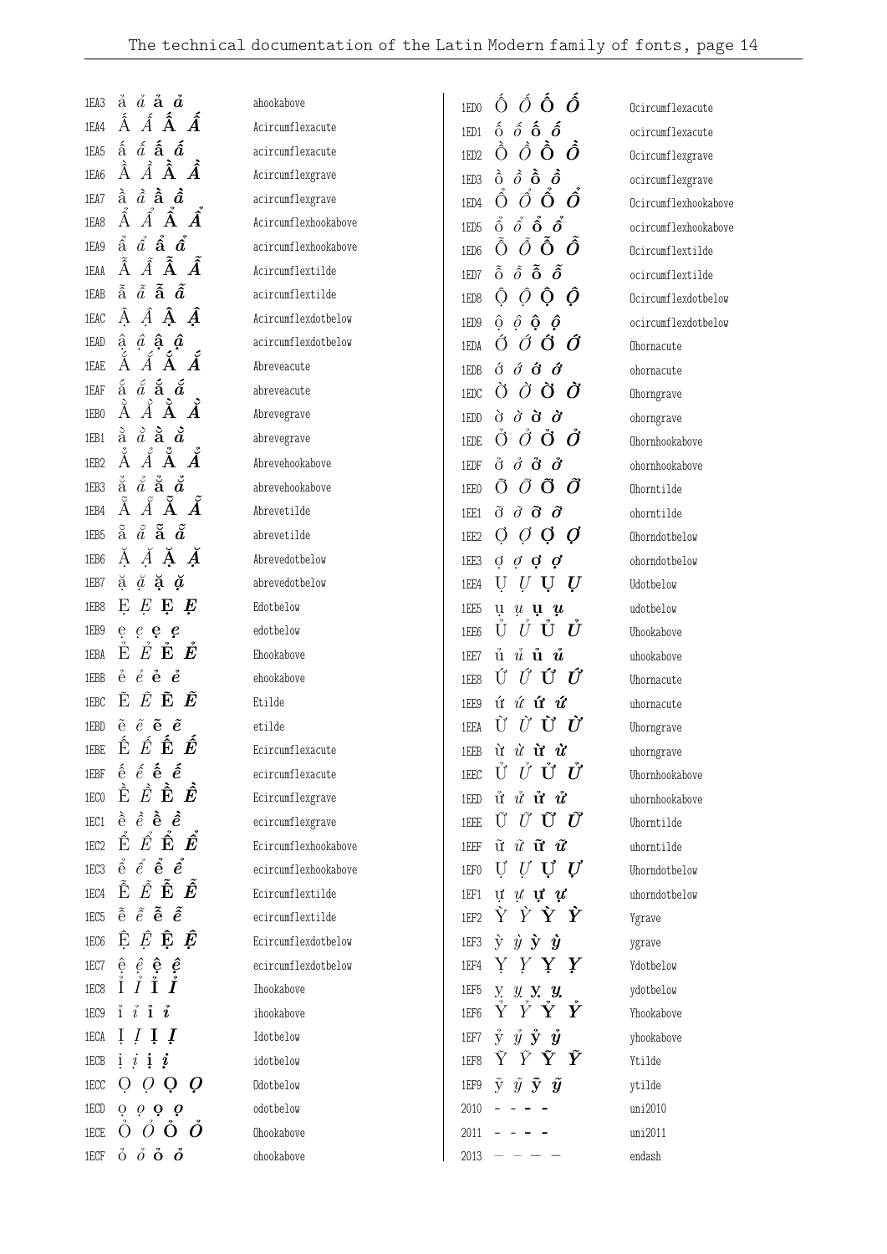| 1EA3             | $\dot{a}$ $\dot{a}$ $\dot{a}$ $\dot{a}$                                                                                                                                    | ahookabove           | $\hat{O}$ $\hat{O}$ $\hat{O}$ $\hat{O}$<br>1ED <sub>0</sub>                         | Ocircumflexacute     |
|------------------|----------------------------------------------------------------------------------------------------------------------------------------------------------------------------|----------------------|-------------------------------------------------------------------------------------|----------------------|
| 1EA4             | Á<br>$\hat{A}$ $\mathbf{\hat{A}}$<br>Á                                                                                                                                     | Acircumflexacute     | $\hat{o}$ $\hat{o}$ $\hat{o}$<br>$\delta$<br>1ED1                                   | ocircumflexacute     |
| 1EA5             | $\hat{a}$ $\hat{a}$ $\hat{a}$ $\hat{a}$                                                                                                                                    | acircumflexacute     | Ò<br>$\hat{O}$ $\hat{O}$<br>Ô<br>1ED <sub>2</sub>                                   | Ocircumflexgrave     |
| 1EA6             | $\tilde{A}$<br>À<br>$\hat{A}$<br>Â                                                                                                                                         | Acircumflexgrave     | $\hat{\delta}$ $\dot{\hat{\mathbf{o}}}$ $\hat{\delta}$<br>$\delta$<br>1ED3          | ocircumflexgrave     |
| 1EA7             | $\hat{a}$ $\hat{a}$ $\hat{a}$<br>à                                                                                                                                         | acircumflexgrave     | Ó<br>Ô<br>Ô<br>Ô<br>1ED4                                                            | Ocircumflexhookabove |
| 1EA8             | $\hat{A}$ $\hat{A}$<br>Â                                                                                                                                                   | Acircumflexhookabove | $\hat{\rho}$ $\hat{\mathbf{o}}$ $\hat{\mathbf{o}}$<br>$\hat{0}$<br>1ED <sub>5</sub> | ocircumflexhookabove |
| 1EA9             | $\hat{\hat{\mathbf{a}}}$<br>$\hat{a}$ $\hat{\mathbf{a}}$ $\hat{\mathbf{a}}$                                                                                                | acircumflexhookabove | $\tilde{O}$ $\tilde{O}$<br>Õ<br>Ô<br>1ED6                                           | Ocircumflextilde     |
| 1EAA             | $\tilde{\text{A}}$ $\tilde{A}$<br>$\tilde{A}$<br>Ã                                                                                                                         | Acircumflextilde     | $\tilde{\hat{o}}$ $\tilde{\hat{o}}$ $\tilde{\hat{o}}$<br>$\tilde{\delta}$<br>1ED7   | ocircumflextilde     |
| 1EAB             | $\tilde{\hat{\mathbf{a}}}$ $\tilde{\hat{a}}$ $\tilde{\hat{\mathbf{a}}}$ $\tilde{\hat{\mathbf{a}}}$                                                                         | acircumflextilde     | Ô<br>Ô<br>Ô<br>Õ<br>1ED8                                                            | Ocircumflexdotbelow  |
| 1EAC             | ÂÂ<br>$\hat{A}$<br>Ã                                                                                                                                                       | Acircumflexdotbelow  | $\hat{\rho}$ $\hat{\rho}$ $\hat{\mathbf{Q}}$<br>$\hat{\rho}$<br>1ED9                | ocircumflexdotbelow  |
| 1EAD             | $\hat{a}$ $\hat{a}$ $\hat{a}$<br>â                                                                                                                                         | acircumflexdotbelow  | Ő<br>Ø<br>Õ<br>Õ<br>1EDA                                                            | Ohornacute           |
| 1EAE             |                                                                                                                                                                            | Abreveacute          | $\acute{\sigma}$ $\acute{\sigma}$ $\acute{\sigma}$<br>$\acute{\mathrm{o}}$<br>1EDB  | ohornacute           |
| 1EAF             | $\acute{a}$ å $\acute{a}$<br>$\S$                                                                                                                                          | abreveacute          | $\partial$ $\partial$ $\partial$<br>$\bullet$<br>1EDC                               | Ohorngrave           |
| 1EB0             | $\AA$ $\AA$<br>À                                                                                                                                                           | Abrevegrave          | $\dot{\sigma}$ $\dot{\sigma}$ $\dot{\sigma}$ $\dot{\sigma}$<br>1EDD                 | ohorngrave           |
| 1EB1             | $\stackrel{\scriptscriptstyle \circ}{\rm a}\stackrel{\scriptscriptstyle \circ}{\rm a}\stackrel{\scriptscriptstyle \circ}{\rm a}\stackrel{\scriptscriptstyle \circ}{\rm a}$ | abrevegrave          | $\check{O}$ $\check{O}$<br>Ő<br>Ő<br>1EDE                                           | Ohornhookabove       |
| 1EB <sub>2</sub> | Å<br>$\AA$ $\AA$<br>Ă                                                                                                                                                      | Abrevehookabove      | $\dot{\theta}$ $\ddot{\theta}$ $\ddot{\theta}$<br>$\ddot{\mathrm{o}}$<br>1EDF       | ohornhookabove       |
| 1EB3             | $\stackrel{\tiny 3}{\rm a}\stackrel{\tiny 3}{\rm a}\stackrel{\tiny 2}{\rm a}\stackrel{\tiny 3}{\rm a}\stackrel{\tiny 2}{\rm a}$                                            | abrevehookabove      | Õ<br>Õ<br>Ő<br>O<br>1EE0                                                            | Ohorntilde           |
| 1EB4             | Ã<br>$\tilde{\textrm{A}}$<br>Å<br>$\widetilde{\AA}$                                                                                                                        | Abrevetilde          | $\tilde{0}$ $\tilde{0}$ $\tilde{0}$ $\tilde{0}$<br>1EE1                             | ohorntilde           |
| 1EB5             | $\tilde{a}$ $\tilde{a}$ $\tilde{a}$<br>$\tilde{a}$                                                                                                                         | abrevetilde          | Q<br>Ø<br>$\cup$<br>$\overline{O}$<br>1EE2                                          | Ohorndotbelow        |
| 1EB6             | Ă <i>Ă</i> <b>Ă</b>                                                                                                                                                        | Abrevedotbelow       | 1EE3<br>đ<br>$\sigma$ $\sigma$<br>$\boldsymbol{c}$                                  | ohorndotbelow        |
| 1EB7             | $\breve{a}$ $\breve{a}$ $\breve{a}$<br>ă                                                                                                                                   | abrevedotbelow       | $\bm{U}$<br>U<br>Ų<br>1EE4                                                          | Udotbelow            |
| 1EB8             | E E<br>Ę<br>Ę                                                                                                                                                              | Edotbelow            | 1EE5<br>ų<br>$\mu$ u $\mu$                                                          | udotbelow            |
| 1EB9             | $e$ e e e                                                                                                                                                                  | edotbelow            | Û<br>U<br>U<br>U<br>1EE6                                                            | Uhookabove           |
| 1EBA             | Ě<br>$\check{E}$<br>Ě<br>Ė                                                                                                                                                 | Ehookabove           | $\mathring{u}$ $\mathring{u}$ $\mathring{u}$<br>ů<br>1EE7                           | uhookabove           |
| 1EBB             | $\stackrel{.}{e}\stackrel{.}{e}\stackrel{.}{\bf e}\stackrel{.}{e}$                                                                                                         | ehookabove           | Ú<br>ÚŰ<br>Ú<br>1EE8                                                                | Uhornacute           |
| 1EBC             | Ĕ<br>Ê<br>Ê<br>Ê                                                                                                                                                           | Etilde               | ú $\acute{u}$ <b>ú <math>\acute{u}</math></b><br>1EE9                               | uhornacute           |
| 1EBD             | $\tilde{e}$ $\tilde{e}$ $\tilde{e}$ $\tilde{e}$                                                                                                                            | etilde               | $\dot{U}$ $\dot{U}$ $\dot{U}$<br>Ù<br>1EEA                                          | Uhorngrave           |
| 1EBE             | $\hat{\hat{\mathbf{E}}}$ $\hat{\hat{E}}$ $\hat{\hat{\mathbf{E}}}$ $\hat{\hat{\mathbf{E}}}$                                                                                 | Ecircumflexacute     | 1EEB $\dot{u}$ $\dot{u}$ $\dot{u}$ $\dot{u}$                                        | uhorngrave           |
| 1EBF             | $\hat{e}$ $\hat{e}$ $\hat{\bf e}$ $\hat{\bf e}$                                                                                                                            | ecircumflexacute     | Ů Ủ Ủ Ủ<br>1EEC                                                                     | Uhornhookabove       |
| 1EC0             | Ê<br>$\hat{E}$ $\hat{\mathbf{E}}$ $\hat{\mathbf{E}}$                                                                                                                       | Ecircumflexgrave     | $\mathring{u}$ $\mathring{u}$ $\mathring{u}$ $\mathring{u}$<br>1EED                 | uhornhookabove       |
| 1EC1             | $\hat{e}$ $\hat{e}$ $\hat{e}$ $\hat{e}$                                                                                                                                    | ecircumflexgrave     | $\tilde{U}$ $\tilde{U}$ $\tilde{U}$<br>Ũ<br>1EEE                                    | Uhorntilde           |
| 1EC <sub>2</sub> | $\hat{\triangle}$ $\acute{E}$ $\check{E}$ $\check{E}$                                                                                                                      | Ecircumflexhookabove | $\tilde{\mathbf{u}}$ $\tilde{u}$ $\tilde{\mathbf{u}}$ $\tilde{u}$<br>1EEF           | uhorntilde           |
| 1EC3             | $\hat{e}$ $\hat{e}$ $\hat{e}$ $\hat{e}$                                                                                                                                    | ecircumflexhookabove | $U$ U $U$<br>U<br>1EF0                                                              | Uhorndotbelow        |
| 1EC4             | $\tilde{\hat{\mathbf{E}}}$ $\tilde{\hat{E}}$ $\tilde{\hat{\mathbf{E}}}$ $\hat{\hat{\mathbf{E}}}$                                                                           | Ecircumflextilde     | $\mathbf{u} \times \mathbf{u} \times \mathbf{u}$<br>1EF1                            | uhorndotbelow        |
| 1EC5             | $\tilde{e}$ $\tilde{e}$ $\tilde{e}$ $\tilde{e}$                                                                                                                            | ecircumflextilde     | <i>Ý Ý Ý Ý</i><br>1EF2                                                              | Ygrave               |
| 1EC6             | $\hat{E}$ $\hat{\mathbf{E}}$ $\hat{E}$<br>Ê                                                                                                                                | Ecircumflexdotbelow  | $\dot{y}$ $\dot{y}$ $\dot{y}$ $\dot{y}$<br>1EF3                                     | ygrave               |
| 1EC7             | $\hat{e}$ $\hat{e}$ $\hat{e}$ $\hat{e}$                                                                                                                                    | ecircumflexdotbelow  | Y Y Y Y<br>1EF4                                                                     | Ydotbelow            |
| 1EC8             |                                                                                                                                                                            | Ihookabove           | 1EF5<br>y. y. y. y.                                                                 | ydotbelow            |
| 1EC9             | ĩ.<br>$\boldsymbol{i}$<br>í.<br>Ť.                                                                                                                                         | ihookabove           | Y<br>Y<br>Y Y<br>1EF6                                                               | Yhookabove           |
| 1ECA             | $\bm{I}$<br>$\mathbf{I}$<br>1                                                                                                                                              | Idotbelow            | $\dot{y}$ $\dot{y}$ $\dot{y}$ $\dot{y}$<br>1EF7                                     | yhookabove           |
| 1ECB             | i<br><sup>i</sup><br>$\boldsymbol{i}$<br>1                                                                                                                                 | idotbelow            | $\tilde{Y}$ $\tilde{Y}$ $\tilde{Y}$ $\tilde{Y}$<br>1EF8                             | Ytilde               |
| 1ECC             | $\mathbf O$<br>U                                                                                                                                                           | Odotbelow            | $\tilde{y}$ $\tilde{y}$ $\tilde{y}$ $\tilde{y}$<br>1EF9                             | ytilde               |
| 1ECD             | $\dot{\rho}$ $\dot{\rho}$ $\dot{\rho}$ $\dot{\rho}$                                                                                                                        | odotbelow            | 2010                                                                                | uni2010              |
| 1ECE             | $0$ $0$ $0$ $0$                                                                                                                                                            | Ohookabove           | 2011                                                                                | uni2011              |
| 1ECF             | $\dot{\mathrm{o}}$ $\dot{o}$ $\dot{\mathrm{o}}$ $\dot{\mathrm{o}}$                                                                                                         | ohookabove           | 2013                                                                                | endash               |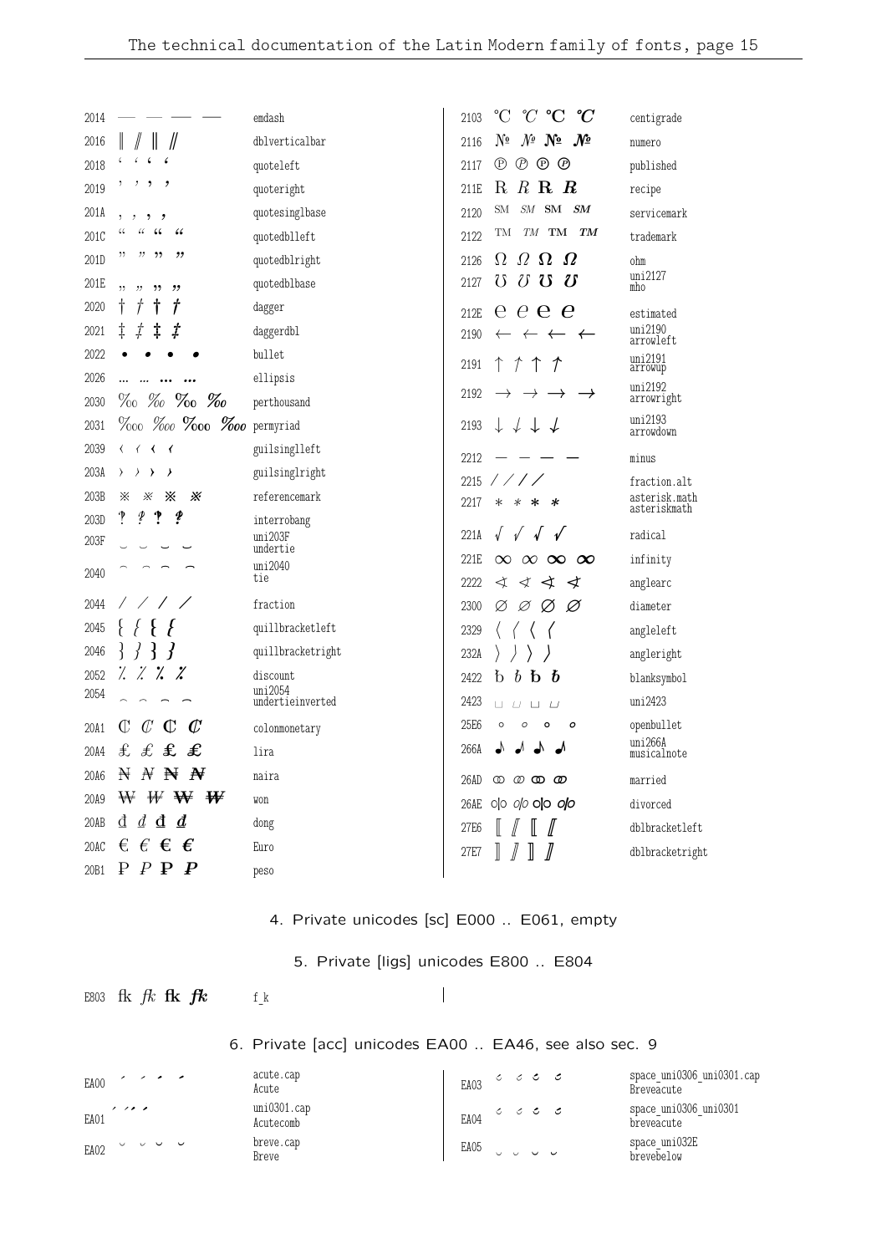| 2014 |                                                                                                   | emdash              | $^{\circ}C$<br>$^{\circ}C$ $^{\circ}C$<br>° $\,$<br>2103                  | centigrade                    |
|------|---------------------------------------------------------------------------------------------------|---------------------|---------------------------------------------------------------------------|-------------------------------|
| 2016 |                                                                                                   | dblverticalbar      | Nº<br>$N^{\circ}$ No<br>$\bm{\mathcal{N}}$<br>2116                        | numero                        |
| 2018 |                                                                                                   | quoteleft           | $^{\circledR}$<br>$^{\circledR}$<br>$\circledcirc$ $\circledcirc$<br>2117 | published                     |
| 2019 | ,<br>,                                                                                            | quoteright          | $R$ R $R$<br>$\rm R$<br>211E                                              | recipe                        |
| 201A | ,<br>,                                                                                            | quotesinglbase      | ${\it SM}\quad{\bf SM}$<br><b>SM</b><br>$\boldsymbol{S\!M}$<br>2120       | servicemark                   |
| 201C | $\,6\,$<br>66<br>$\mathcal{C}$                                                                    | quotedblleft        | TМ<br>TM<br>TM TM<br>2122                                                 | trademark                     |
| 201D | ,,<br>,,                                                                                          | quotedblright       | $\Omega$ $\Omega$<br>$\Omega$<br>$\Omega$<br>2126                         | ohm                           |
| 201E | ٠,<br>"<br>,,<br>"                                                                                | quotedblbase        | $\delta$<br>$\boldsymbol{\Omega}$<br>$\mho$<br>U<br>2127                  | uni2127<br>mho                |
| 2020 | t<br>Ť<br>Ť                                                                                       | dagger              | $e \mathbf{e} \mathbf{e}$<br>$\rm e$<br>212E                              | estimated                     |
| 2021 | ţ<br>ţ<br>ţ<br>ţ                                                                                  | daggerdbl           | 2190<br>$\leftarrow$<br>$\leftarrow$<br>⊀                                 | uni2190<br>arrowleft          |
| 2022 |                                                                                                   | bullet              | $\uparrow$ $\uparrow$<br>2191<br>T<br>Τ                                   | uni2191<br>arrowup            |
| 2026 |                                                                                                   | ellipsis            |                                                                           | uni2192                       |
| 2030 | $\%$ % % % %                                                                                      | perthousand         | 2192<br>→<br>$\rightarrow$                                                | arrowright                    |
| 2031 | $\%$ 00 $\%$ 00 $\%$ 00 $\%$ 00 permyriad                                                         |                     | $\downarrow$ $\downarrow$ $\downarrow$ $\downarrow$<br>2193               | uni2193<br>arrowdown          |
| 2039 | $\langle$<br>$\overline{\phantom{0}}$<br>$\left\langle \right\rangle$<br>$\overline{\mathcal{L}}$ | guilsinglleft       | 2212                                                                      | minus                         |
| 203A | $\left\langle \right\rangle$<br>እ<br>ᢣ                                                            | guilsinglright      | 2215<br>1/1/1                                                             | fraction.alt                  |
| 203B | ⋇<br>⋇<br>⋇<br>Ж                                                                                  | referencemark       | 2217<br>∗<br>∗<br>∗<br>*                                                  | asterisk.math<br>asteriskmath |
| 203D | Į<br>?<br>Į<br>າ                                                                                  | interrobang         |                                                                           |                               |
| 203F |                                                                                                   | uni203F<br>undertie | 221A<br>$\sqrt{ }$<br>$\sqrt{ }$<br>$\sqrt{ }$<br>$\mathbf{v}$            | radical                       |
| 2040 |                                                                                                   | uni2040<br>tie      | 221E<br>$\infty$<br>$\infty$ $\infty$<br>$\infty$                         | infinity                      |
| 2044 |                                                                                                   | fraction            | 2222<br>∢<br>$\prec$<br>∢<br>∢                                            | anglearc                      |
| 2045 |                                                                                                   | quillbracketleft    | 2300<br>Ø<br>Ø<br>Ø<br>Ø                                                  | diameter                      |
| 2046 | Ł<br>$\left\{ \right\}$<br>₹<br>$\mathbf{r}$                                                      | quillbracketright   | 2329                                                                      | angleleft                     |
| 2052 | $\frac{1}{2}$<br>$\ddot{\vphantom{a}}$<br>$\frac{1}{2}$<br>Z                                      | discount            | 232A<br>$\mathfrak b$<br>$\boldsymbol{b}$<br>$\boldsymbol{b}$             | angleright                    |
| 2054 |                                                                                                   | uni2054             | $\mathbf b$<br>2422                                                       | blanksymbol<br>uni2423        |
|      |                                                                                                   | undertieinverted    | 2423<br>$\Box$<br>$\sqcup$<br>$\perp$<br>$\sqcup$                         |                               |
| 20A1 | $\mathcal{C}$<br>Œ<br>Œ<br>$\mathbb C$                                                            | colonmonetary       | 25E6<br>$\circ$<br>$\circ$<br>$\circ$<br>ο                                | openbullet<br>uni266A         |
| 20A4 | £<br>£ £<br>£                                                                                     | lira                | 266A<br>┙                                                                 | musicalnote                   |
| 20A6 | $\mathbb{N}$<br>$\boldsymbol{N}$<br>₩<br>₩                                                        | naira               | 26AD<br>$\circledcirc \circledcirc$<br>യ                                  | married                       |
| 20A9 | W W W<br>₩                                                                                        | won                 | 00 00 00 00<br>26AE                                                       | divorced                      |
| 20AB | $d\,$ d $\,$ $d$<br>₫                                                                             | dong                | 27E6                                                                      | dblbracketleft                |
| 20AC | €<br>€<br>€<br>€                                                                                  | Euro                | 27E7                                                                      | dblbracketright               |
| 20B1 | ₽<br>$P$ $\bf{P}$<br>$\boldsymbol{P}$                                                             | peso                |                                                                           |                               |

4. Private unicodes [sc] E000 .. E061, empty

5. Private [ligs] unicodes E800 .. E804

 $\overline{\phantom{a}}$ 

E803 fk  $fk$  fk  $fk$  f\_k

6. Private [acc] unicodes EA00 .. EA46, see also sec. 9

| EA00 |                            |  | . |  | acute.cap<br>Acute       |                                                                                                                                                                                                                                                                                                                                                     | EA03 |  | $\circ$ $\circ$ $\circ$ $\circ$ | space_uni0306_uni0301.cap<br>Breveacute |
|------|----------------------------|--|---|--|--------------------------|-----------------------------------------------------------------------------------------------------------------------------------------------------------------------------------------------------------------------------------------------------------------------------------------------------------------------------------------------------|------|--|---------------------------------|-----------------------------------------|
| EA01 | $\prime$ $\prime$ $\prime$ |  |   |  | uni0301.cap<br>Acutecomb | $\overline{A}$ = $\overline{A}$ = $\overline{C}$ = $\overline{C}$ = $\overline{C}$ = $\overline{C}$ = $\overline{C}$ = $\overline{C}$ = $\overline{C}$ = $\overline{C}$ = $\overline{C}$ = $\overline{C}$ = $\overline{C}$ = $\overline{C}$ = $\overline{C}$ = $\overline{C}$ = $\overline{C}$ = $\overline{C}$ = $\overline{C}$ = $\overline{C}$ = |      |  |                                 | space_uni0306_uni0301<br>breveacute     |
| EA02 |                            |  |   |  | breve.cap<br>Breve       |                                                                                                                                                                                                                                                                                                                                                     | EA05 |  |                                 | space uni032E<br>brevebelow             |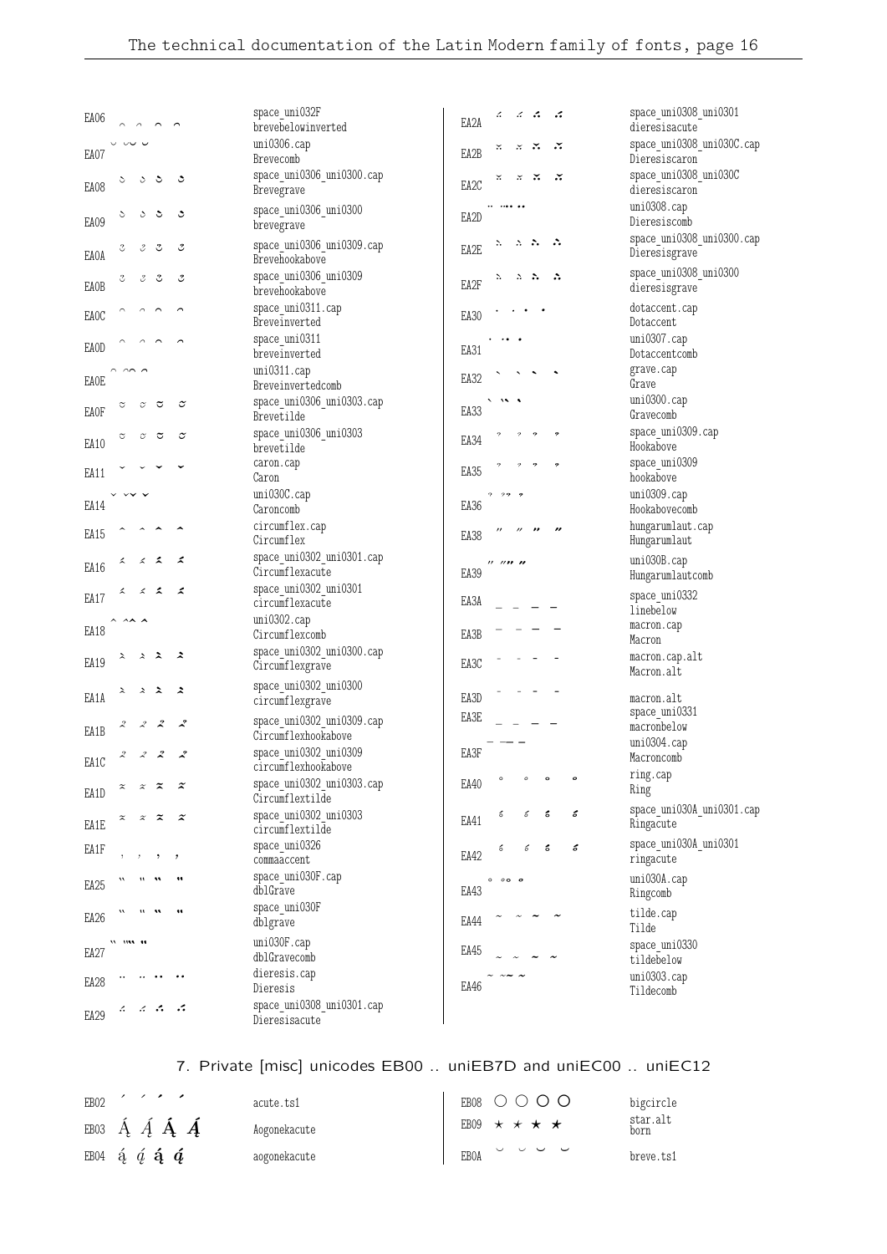| EA06<br>$\sim$                                                             |                       | space_uni032F<br>brevebelowinverted                     | ÷.<br>z.<br>؞<br>EA2A               |                          | space_uni0308_uni0301<br>dieresisacute     |
|----------------------------------------------------------------------------|-----------------------|---------------------------------------------------------|-------------------------------------|--------------------------|--------------------------------------------|
| $\cup$<br>ں ب<br>EA07                                                      |                       | uni0306.cap<br>Brevecomb                                | ∴<br>×.<br>×<br>EA2B                | ∴                        | space_uni0308_uni030C.cap<br>Dieresiscaron |
| ૩<br>S<br>ડ<br>EA08                                                        | ڃ                     | space_uni0306_uni0300.cap<br>Brevegrave                 | ×.<br>×<br>×<br>EA2C                |                          | space_uni0308_uni030C<br>dieresiscaron     |
| ડ<br>$\breve{\phantom{0}}$<br>ن<br>EA09                                    | ٥                     | space_uni0306_uni0300<br>brevegrave                     | EA2D                                |                          | uni0308.cap<br>Dieresiscomb                |
| °<br>₹<br>3<br>EAOA                                                        | ಲಿ                    | space uni0306 uni0309.cap<br>Brevehookabove             | ∴.<br>۰.<br>$\mathbb{R}^n$<br>EA2E  | ∴                        | space_uni0308_uni0300.cap<br>Dieresisgrave |
| ೆ<br>Y<br>3<br><b>EAOB</b>                                                 | ಲಿ                    | space uni0306 uni0309<br>brevehookabove                 | ۰.<br>÷.<br>∴<br>EA2F               | ∴                        | space_uni0308_uni0300<br>dieresisgrave     |
| EAOC                                                                       |                       | $space\_uni0311.\mathop{\mathrm{cap}}$<br>Breveinverted | EA30                                |                          | dotaccent.cap<br>Dotaccent                 |
| <b>EAOD</b>                                                                |                       | space_uni0311<br>breveinverted                          | EA31                                |                          | $uni0307$ .cap<br>Dotaccentcomb            |
| $\sim$<br>EAOE                                                             |                       | uni0311.cap<br>Breveinvertedcomb                        | EA32                                |                          | grave.cap<br>Grave                         |
| ₹<br>$\widetilde{\smash{\sigma}}$<br>$\tilde{\circ}$<br><b>EAOF</b>        | $\tilde{\phantom{a}}$ | space uni0306 uni0303.cap<br>Brevetilde                 | EA33                                |                          | uni0300.cap<br>Gravecomb                   |
| $\widetilde{\smash{\smash{\cup}}\vphantom{\smash{\cup}}$<br>≎<br>乊<br>EA10 | $\tilde{\phantom{a}}$ | space_uni0306_uni0303<br>brevetilde                     | EA34                                |                          | space uni0309.cap<br>Hookabove             |
| EA11                                                                       |                       | caron.cap<br>Caron                                      | EA35                                |                          | space uni0309<br>hookabove                 |
| EA14                                                                       |                       | uni030C.cap<br>Caroncomb                                | 22<br>?<br>EA36                     |                          | uni0309.cap<br>Hookabovecomb               |
| EA15                                                                       |                       | circumflex.cap<br>Circumflex                            | $^{\prime\prime}$<br>EA38           |                          | hungarumlaut.cap<br>Hungarumlaut           |
| ᆺ<br>x<br>z<br>EA16                                                        | z                     | space_uni0302_uni0301.cap<br>Circumflexacute            | ,, ,, <b>,, ,,</b><br>EA39          |                          | uni030B.cap<br>Hungarumlautcomb            |
| ᄼ<br>⋌<br>∡<br>EA17                                                        | z                     | space uni0302 uni0301<br>circumflexacute                | EA3A                                |                          | space_uni0332<br>linebelow                 |
| EA18                                                                       |                       | $uni0302$ .cap<br>Circumflexcomb                        | EA3B                                |                          | macron.cap<br>Macron                       |
| ℷ<br>$\lambda$<br>∼<br>EA19                                                | ∼                     | space_uni0302_uni0300.cap<br>Circumflexgrave            | EA3C                                |                          | macron.cap.alt<br>Macron.alt               |
| ℷ<br>$\lambda$<br>∼<br>EA1A                                                | Հ                     | space_uni0302_uni0300<br>circumflexgrave                | EA3D                                |                          | macron.alt<br>space_uni0331                |
| $\boldsymbol{z}$<br>$\mathcal{Z}$<br>EA1B                                  | ∡                     | space_uni0302_uni0309.cap<br>Circumflexhookabove        | EA3E                                |                          | macronbelow<br>uni0304.cap                 |
| $\boldsymbol{z}$<br>$\mathcal{L}$<br>2<br>EA1C                             | ~                     | space_uni0302_uni0309<br>circumflexhookabove            | EA3F                                |                          | Macroncomb<br>ring.cap                     |
| $\tilde{\mathbf{z}}$<br>$\widetilde{\phantom{a}}$<br>EA1D                  | $\tilde{\mathbf{z}}$  | space_uni0302_uni0303.cap<br>Circumflextilde            | $\circ$<br>$\boldsymbol{o}$<br>EA40 | $\pmb{\circ}$<br>$\circ$ | Ring                                       |
| z<br>EA1E                                                                  | $\tilde{\mathbf{z}}$  | space_uni0302_uni0303<br>circumflextilde                | ó<br>б<br>EA41                      | ó<br>ć                   | space_uni030A_uni0301.cap<br>Ringacute     |
| EA1F                                                                       |                       | space_uni0326<br>commaaccent                            | ó<br>ъ<br>EA42                      | ć<br>ó                   | space_uni030A_uni0301<br>ringacute         |
| 11<br>EA <sub>25</sub>                                                     | 11                    | space_uni030F.cap<br>dblGrave                           | $0$ $0$ $0$ $0$<br>EA43             |                          | $uni030A$ .cap<br>Ringcomb                 |
| 11<br>EA <sub>26</sub>                                                     | 11                    | space_uni030F<br>dblgrave                               | EA44                                |                          | tilde.cap<br>Tilde                         |
| n m n<br>EA27                                                              |                       | uni030F.cap<br>dblGravecomb                             | EA45                                |                          | space uni0330<br>tildebelow                |
| EA28                                                                       |                       | dieresis.cap<br>Dieresis                                | EA46                                |                          | uni0303.cap<br>Tildecomb                   |
| $\mathbb{R}^n$ . And<br>z.<br>EA29                                         |                       | space_uni0308_uni0301.cap<br>Dieresisacute              |                                     |                          |                                            |

## 7. Private [misc] unicodes EB00 .. uniEB7D and uniEC00 .. uniEC12

| EB02 |                                                                  | acute ts1    | EB08 O O O O                   | bigcircle        |
|------|------------------------------------------------------------------|--------------|--------------------------------|------------------|
|      | EB03 $\hat{A}$ $\hat{A}$ $\hat{A}$ $\hat{A}$                     | Aogonekacute | EB09 $\star \star \star \star$ | star.alt<br>born |
|      | EB04 $\acute{a}$ $\acute{a}$ $\acute{a}$ $\acute{a}$ $\acute{a}$ | aogonekacute | <b>EBOA</b>                    | breve.ts1        |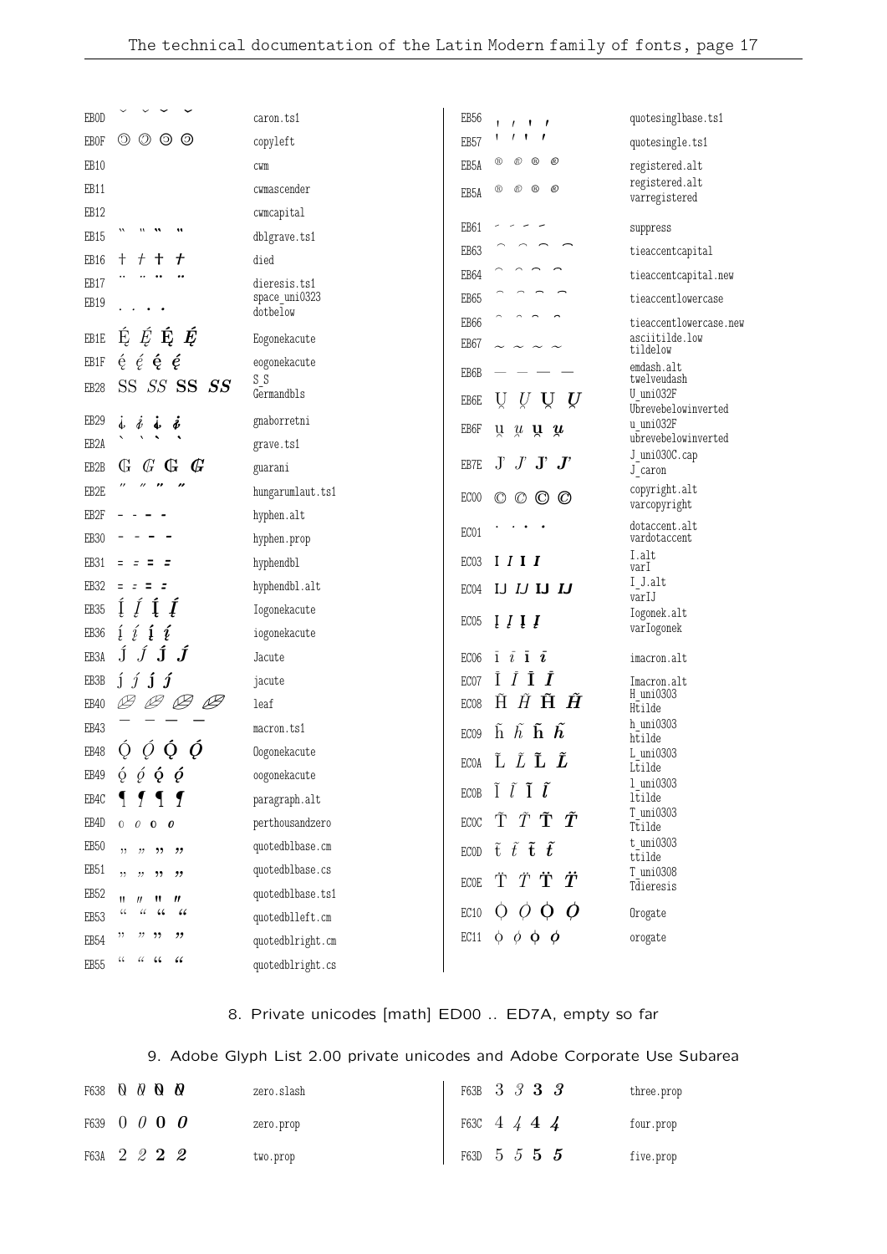| <b>EBOD</b>       |                                                                                     | caron.ts1             | EB <sub>56</sub>                                                                         | quotesinglbase.ts1               |
|-------------------|-------------------------------------------------------------------------------------|-----------------------|------------------------------------------------------------------------------------------|----------------------------------|
| <b>EBOF</b>       | $\circledcirc$<br>O<br>$\circledcirc$                                               | copyleft              | $\mathbf{1}$<br>$\prime$<br>$\prime$ $\prime$<br>1<br>EB <sub>57</sub>                   | quotesingle.ts1                  |
| EB10              |                                                                                     | CWM                   | $^{\circ}$<br>®<br>$^{\copyright}$<br>®<br>EB5A                                          | registered.alt                   |
| EB11              |                                                                                     | cwmascender           | $^\circledR$<br>$^{\circledR}$<br>$^{\circledR}$<br>®<br>EB5A                            | registered.alt                   |
| EB12              |                                                                                     | cwmcapital            |                                                                                          | varregistered                    |
| EB15              |                                                                                     | dblgrave.ts1          | EB61                                                                                     | suppress                         |
| EB16              | $\mathbf +$<br>$^{+}$<br>t<br>╈                                                     | died                  | EB63                                                                                     | tieaccentcapital                 |
| EB17              |                                                                                     | dieresis.ts1          | EB64                                                                                     | tieaccentcapital.new             |
| EB19              |                                                                                     | space_uni0323         | EB65                                                                                     | tieaccentlowercase               |
|                   |                                                                                     | dotbelow              | EB66                                                                                     | tieaccentlowercase.new           |
| EB1E              | $\acute{\mathrm{E}}$ $\acute{E}$ $\acute{\mathrm{E}}$ $\acute{E}$                   | Eogonekacute          | EB67                                                                                     | asciitilde.low<br>tildelow       |
| EB1F              | $\acute{\mathrm{e}}$ $\acute{\mathrm{e}}$ $\acute{\mathrm{e}}$ $\acute{\mathrm{e}}$ | eogonekacute<br>$S_S$ | EB6B                                                                                     | emdash.alt<br>twelveudash        |
| EB <sub>28</sub>  | SS SS SS<br>SS.                                                                     | Germandbls            | Ų<br>Ų<br>EB6E<br>Ų<br>U                                                                 | U uni032F                        |
| EB <sub>29</sub>  | $\dot{\ell}$<br>s.<br>$\dot{\mathbf{r}}$<br>ś                                       | gnaborretni           |                                                                                          | Ubrevebelowinverted<br>u uni032F |
| EB <sub>2</sub> A |                                                                                     | grave.ts1             | EB6F<br>ŭ<br>$\mu$ <b>u</b> $\mu$                                                        | ubrevebelowinverted              |
| EB2B              | $\mathcal{G}$<br>$\mathbb{G}$<br>Ġ<br>$\mathbb{G}$                                  | guarani               | $J$ $J$ $J$<br>$\rm J'$<br>EB7E                                                          | J_uni030C.cap<br>J caron         |
| EB2E              | ,,                                                                                  | hungarumlaut.ts1      | EC00<br>$\circ$ $\circ$                                                                  | copyright.alt                    |
| EB2F              |                                                                                     | hyphen.alt            | O<br>$\circledcirc$                                                                      | varcopyright                     |
| EB <sub>30</sub>  |                                                                                     | hyphen.prop           | EC01                                                                                     | dotaccent.alt<br>vardotaccent    |
| EB31              |                                                                                     | hyphendbl             | I I I<br>EC <sub>03</sub>                                                                | I.alt<br>varI                    |
| EB <sub>32</sub>  | $=$<br>Ξ<br>$\equiv$                                                                | hyphendbl.alt         | IJ IJ IJ IJ<br>EC04                                                                      | I J.alt                          |
| EB <sub>35</sub>  |                                                                                     | Iogonekacute          |                                                                                          | varIJ<br>Iogonek.alt             |
| EB <sub>36</sub>  | į<br>í<br>į<br>į                                                                    | iogonekacute          | EC <sub>05</sub><br>$\iota$ $\iota$ $\iota$                                              | varIogonek                       |
| EB3A              | $\boldsymbol{j}$ $\boldsymbol{j}$ $\boldsymbol{j}$ $\boldsymbol{j}$                 | Jacute                | $\bar{1}$ $\bar{i}$ $\bar{1}$ $\bar{i}$<br>EC <sub>06</sub>                              | imacron.alt                      |
| EB3B              | $j \in j$<br>1                                                                      | jacute                | Ī<br>$\boldsymbol{I}$<br>EC07                                                            | Imacron.alt                      |
| EB40              | $B$ $B$<br>Þ                                                                        | leaf                  | $\tilde{H}$ $\tilde{\mathbf{H}}$ $\tilde{\mathbf{H}}$<br>Ĥ<br>EC <sub>08</sub>           | H uni0303<br>Htilde              |
| EB43              |                                                                                     | macron.ts1            | $\tilde{\text{h}}$ $\tilde{h}$ $\tilde{\text{h}}$ $\tilde{\text{h}}$<br>EC <sub>09</sub> | h uni0303                        |
| EB48              | $\overline{O}$<br>Q<br>O<br>Ő                                                       | Oogonekacute          |                                                                                          | htilde<br>L uni0303              |
| $\texttt{EB49}$   | $\dot{\rho}$ $\dot{\rho}$ $\dot{\rho}$ $\dot{\rho}$                                 | oogonekacute          | Ľ <i>Ľ</i> <b>Ľ</b><br><b>ECOA</b>                                                       | Ltilde                           |
| EB4C              |                                                                                     | paragraph.alt         | ECOB $\tilde{I}$ $\tilde{l}$ $\tilde{I}$ $\tilde{l}$                                     | 1 uni0303<br>ltilde              |
| EB4D              | $0 \quad 0 \quad 0 \quad 0$                                                         | perthousandzero       | $\tilde{\operatorname{T}}$ $\tilde{T}$ $\tilde{T}$ $\tilde{T}$<br><b>ECOC</b>            | T uni0303<br>Ttilde              |
| EB <sub>50</sub>  | , 22                                                                                | quotedblbase.cm       | $\tilde{\mathrm{t}}$ $\tilde{t}$ $\tilde{\mathrm{t}}$ $\tilde{t}$<br><b>ECOD</b>         | t uni0303                        |
| EB <sub>51</sub>  | ,,<br>, 9, 9<br>,,                                                                  | quotedblbase.cs       |                                                                                          | ttilde<br>T uni0308              |
| EB <sub>52</sub>  | $\boldsymbol{\eta}$<br>$^{\prime\prime}$<br>11<br>Ħ.,                               | quotedblbase.ts1      | ΫŤΫ<br><b>ECOE</b>                                                                       | Tdieresis                        |
| EB <sub>53</sub>  | $\mathcal{C}\mathcal{C}$<br>44<br>66<br>66                                          | quotedblleft.cm       | $O$ $O$ $O$ $O$<br>EC10                                                                  | Orogate                          |
| EB <sub>54</sub>  | "<br>"<br>$"$ , $"$                                                                 | quotedblright.cm      | $\phi$ $\phi$ $\phi$ $\phi$<br>EC11                                                      | orogate                          |
| EB <sub>55</sub>  | $\, \mathcal{C} \,$<br>$\frac{1}{2}$<br>$\epsilon$                                  | quotedblright.cs      |                                                                                          |                                  |
|                   |                                                                                     |                       |                                                                                          |                                  |

# 8. Private unicodes [math] ED00 .. ED7A, empty so far

# 9. Adobe Glyph List 2.00 private unicodes and Adobe Corporate Use Subarea

| F638 <b>Q Q <b>Q Q</b></b> | zero.slash | F63B 3 3 3 3               |  |  | three.prop |
|----------------------------|------------|----------------------------|--|--|------------|
| F639 $0$ $0$ $0$ $0$       | zero.prop  | F63C $4 \frac{1}{4}$ 4 $4$ |  |  | four.prop  |
| F63A 2 2 2 2               | two.prop   | F63D 5 5 5 5               |  |  | five.prop  |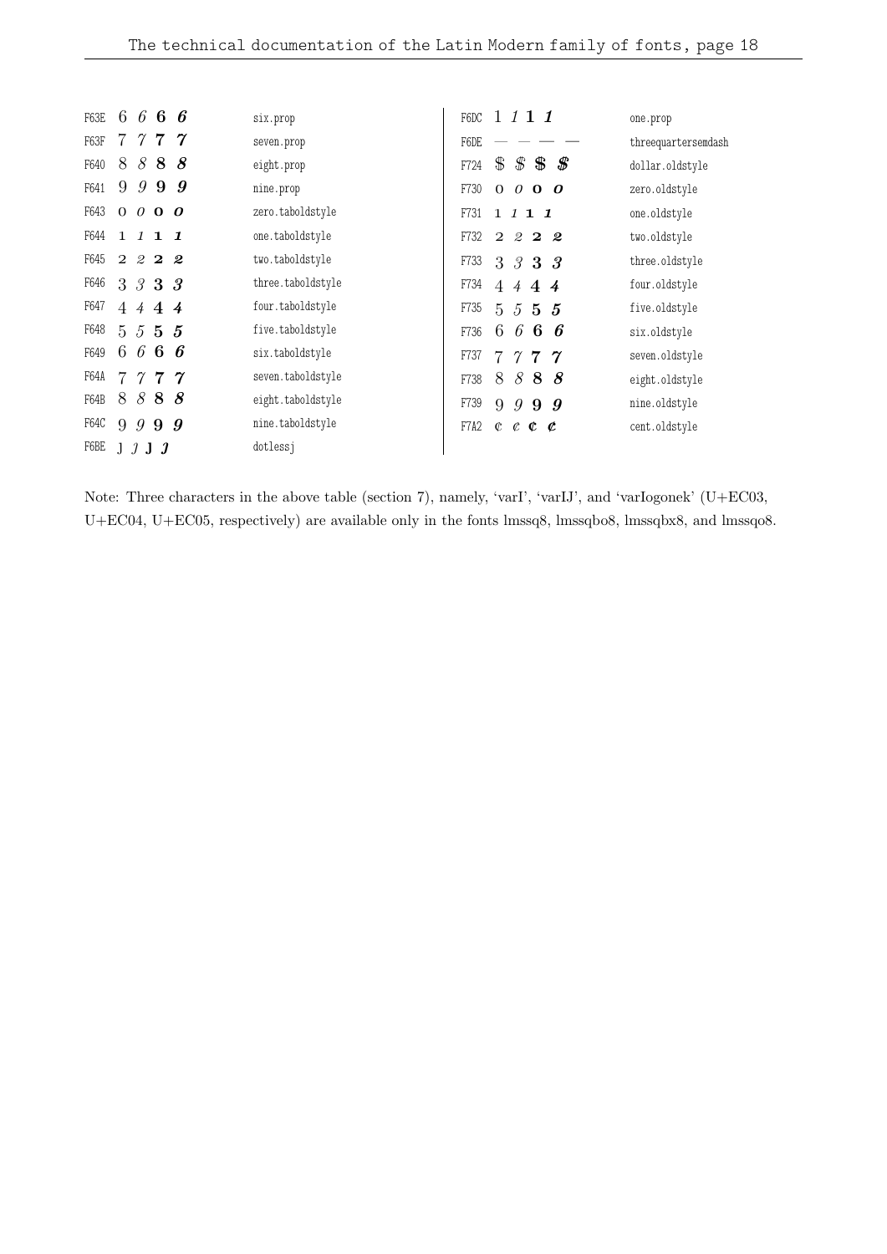| F63E |       |                |                     | 6666             | six.prop          | 1111<br>F6DC                                                    | one.prop            |
|------|-------|----------------|---------------------|------------------|-------------------|-----------------------------------------------------------------|---------------------|
| F63F |       |                |                     | 7777             | seven.prop        | F6DE                                                            | threequartersemdash |
| F640 | 8     |                |                     | 888              | eight.prop        | $\text{\$\$\$}$<br>$\mathbf{\$}$<br>$\pmb{\mathscr{F}}$<br>F724 | dollar.oldstyle     |
| F641 | 9     | 9              | 9                   | $\boldsymbol{g}$ | nine.prop         | F730<br>$0$ 0 <b>0 0</b>                                        | zero.oldstyle       |
| F643 |       |                | $0$ 0 <b>0 0</b>    |                  | zero.taboldstyle  | F731<br>$1\;1\;1\;1$                                            | one.oldstyle        |
| F644 |       |                | $1 \; 1 \; 1 \; 1$  |                  | one.taboldstyle   | F732<br>2222                                                    | two.oldstyle        |
| F645 |       |                | $2 \t2 \t2 \t2$     |                  | two.taboldstyle   | F733<br>3 3 3 3                                                 | three.oldstyle      |
| F646 |       |                | 3 3 3 3             |                  | three.taboldstyle | F734<br>4444                                                    | four.oldstyle       |
| F647 |       |                | 4444                |                  | four.taboldstyle  | F735<br>5555                                                    | five.oldstyle       |
| F648 |       |                | $5\;5\;5\;5$        |                  | five.taboldstyle  | 6666<br>F736                                                    | six.oldstyle        |
| F649 | 6     |                | 666                 |                  | six.taboldstyle   | F737<br>777<br>$\gamma$                                         | seven.oldstyle      |
| F64A |       |                | 7777                |                  | seven.taboldstyle | 888<br>8<br>F738                                                | eight.oldstyle      |
| F64B | 8     | 8              | 88                  |                  | eight.taboldstyle | F739<br>9<br>9<br>99                                            | nine.oldstyle       |
| F64C | 9     | $\overline{g}$ | 99                  |                  | nine.taboldstyle  | F7A2<br>$\mathfrak{C}^-$<br>$c$ $c$ $c$                         | cent.oldstyle       |
| F6BE | $1\,$ | -1             | $\boldsymbol{\eta}$ |                  | dotlessi          |                                                                 |                     |

Note: Three characters in the above table (section 7), namely, 'varI', 'varIJ', and 'varIogonek' (U+EC03, U+EC04, U+EC05, respectively) are available only in the fonts lmssq8, lmssqbo8, lmssqbx8, and lmssqo8.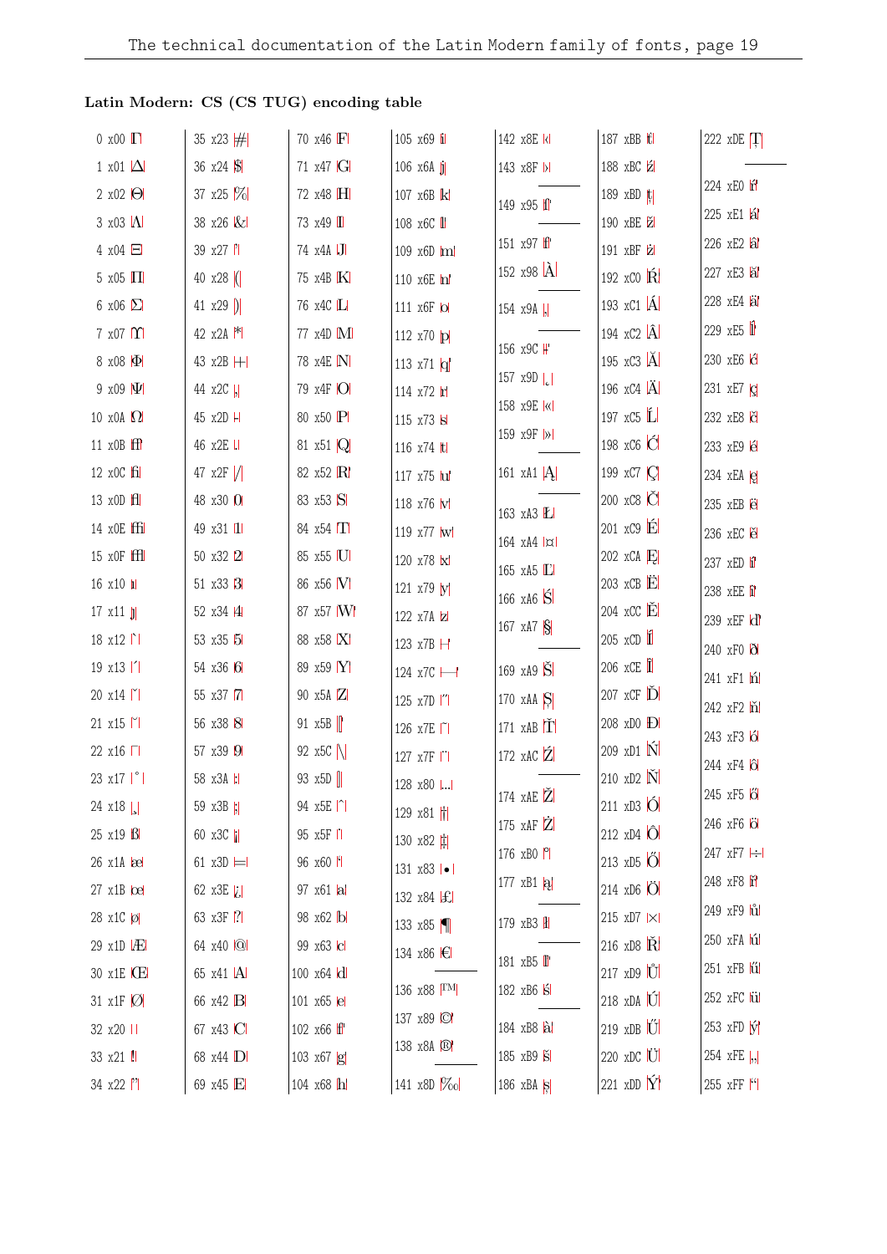## Latin Modern: CS (CS TUG) encoding table

| $0 \times 00$ $\Gamma$        | 35 x23 $#$             | 70 x46 F       | 105 x69 i               | 142 x8E kl            | 187 xBB ttl                             | 222 xDE T                     |
|-------------------------------|------------------------|----------------|-------------------------|-----------------------|-----------------------------------------|-------------------------------|
| 1 x01 $\Delta$                | 36 $x24$ $\frac{1}{9}$ | 71 x47 G       | $106 \times 6A$ j       | 143 x8F  >            | 188 xBC 2                               |                               |
| $2 \times 02$ $\Theta$        | 37 x25 \%              | 72 x48 H       | 107 x6B k               | 149 x95 f             | 189 xBD t                               | 224 xEO r                     |
| $3 \times 03$ $\Lambda$       | 38 x26 &               | 73 x49 I       | 108 x6C <i>II</i>       |                       | 190 xBE Z                               | 225 xE1 al                    |
| $4 \times 04$ $\Box$          | 39 x27                 | 74 x4A J       | 109 x6D ml              | 151 x97 ff            | 191 xBF 2                               | 226 xE2 al                    |
| $5 \times 05$ $\Pi$           | 40 $x28$ (             | 75 x4B K       | 110 x6E m               | 152 $x98 \hat{A}$     | 192 xCO R                               | 227 xE3 lal                   |
| 6 x06 $\Sigma$                | 41 $x29$ )             | 76 x4C L       | 111 x6F lol             | 154 x9A  ,            | 193 $\overline{x}$ C1 $\overline{A}$    | 228 xE4 äl                    |
| $7 \times 07$ $\Upsilon$      | 42 $x2A$ $*$           | 77 x4D M       | 112 x70 p               |                       | 194 $xC2$ $\hat{A}$                     | 229 $xE5$ <sup>1</sup>        |
| 8 x08 $ \Phi $                | 43 x2B H               | 78 x4E N       | 113 $x71 \vert q \vert$ | 156 x9C H             | 195 xC3 A                               | 230 xE6 G                     |
| 9 x09 $ \Psi $                | 44 x2C  ,              | 79 x4F O       | 114 x72 h               | 157 $x9D$             | 196 xC4 $\ddot{A}$                      | 231 xE7 c                     |
| 10 x0A $\Omega$               | 45 x2D H               | 80 x50 P       | 115 x73 s               | 158 x9E kl            | 197 $\overline{x}$ C5 $\overline{L}$    | 232 xE8 č                     |
| 11 $x$ OB $ff$                | 46 x2E                 | 81 x51 Q       | 116 x74 ltl             | 159 x9F  >            | 198 xC6 C                               | 233 xE9 é                     |
| 12 x0C fil                    | 47 $x2F$ /             | 82 x52 R       | 117 x75 lul             | 161 xA1 $ A $         | 199 xC7   C                             | 234 $xEA$ $e$                 |
| 13 x0D H                      | 48 x30 0               | 83 x53 S       | 118 x76 W               | 163 xA3 L             | 200 xC8 C                               | 235 xEB ë                     |
| 14 x0E ffi                    | 49 x31 11              | 84 $x54$ $\Pi$ | 119 x77 w               | 164 xA4  x            | $201 \times C9$ $\acute{E}$             | 236 xEC e                     |
| $15 \times OF$ $H$            | 50 x32 2               | 85 x55 U       | 120 x78 x               | 165 xA5 L             | 202 $xCA$ $E$                           | 237 xED i                     |
| $16 \times 10$ $\blacksquare$ | 51 x33 3               | 86 x56 V       | 121 x79 y               | 166 $xA6\overline{S}$ | 203 $xCB$ $E$                           | 238 xEE i                     |
| $17 \times 11$ $ j $          | 52 x34 4               | 87 x57 W       | 122 x7A z               | 167 $xA7S$            | 204 $\mathrm{XCC}$ $\check{\mathbf{E}}$ | 239 xEF d'                    |
| $18 \times 12$                | 53 x35 5               | 88 x58 X       | 123 x7B H               |                       | $205 \times CD$                         | 240 xF0 0                     |
| $19 \times 13$                | 54 x36 6               | 89 x59 Y       | 124 x7C -               | 169 xA9 S             | $206 \times \mathbb{CE}$                | 241 xF1 h                     |
| 20 x14                        | 55 x37 7               | 90 x5A Z       | 125 x7D  "              | 170 $xAA$ $S$         | $207$ xCF $\tilde{D}$                   | 242 xF2 m                     |
| $21 \times 15$                | 56 x38 8               | 91 $x5B$       | 126 x7E   1             | 171 $xAB$ $\check{T}$ | 208 xD0 <b>Đ</b>                        | 243 xF3 6                     |
| 22 x16 □                      | 57 x39 9               | 92 x5C         | 127 x7F                 | 172 xAC $\tilde{Z}$   | 209 xD1 N                               | 244 xF4 16                    |
| $23 \times 17$   $^{\circ}$   | 58 x3A :               | 93 x5D         | 128 x80                 |                       | 210 xD2 N                               | 245 xF5 6                     |
| $24 \times 18$                | 59 x3B  ;              | 94 x5E  ^      | 129 x81 $  $            | 174 xAE Z             | $211 \times D3$ O                       |                               |
| $25 \times 19$ $\beta$        | 60 $x3C$               | 95 x5F II      | 130 x82 $\sharp$        | 175 $xAF$ $Z$         | 212 xD4 O                               | 246 xF6 <b>O</b>              |
| $26 \times 14$ $\infty$       | 61 $x3D \models$       | 96 x60 f       | 131 x83   •             | 176 xB0 P             | 213 xD5 O                               | 247 xF7 -                     |
| $27 \times 1B$ $\Omega$       | 62 x3E $ i $           | 97 x61 al      | 132 x84 £               | 177 $xB1 a $          | 214 xD6 O                               | 248 xF8 ii                    |
| 28 x1C Ø                      | 63 x3F 7               | 98 x62 b       | 133 x85                 | 179 xB3 H             | 215 xD7   ×                             | 249 xF9 lul                   |
| $29 \times 10 \times$         | 64 x40 Q               | 99 x63 c       | 134 x86 <del>€</del>    | 181 xB5 <sup>  </sup> | 216 xD8 $\check{\mathbf{R}}$            | 250 xFA hú                    |
| 30 x1E I <b>CE</b>            | 65 x41  A              | 100 x64 d      | 136 x88 TM              | 182 xB6 S             | $217 \times D9$ U                       | $251$ xFB $\ddot{\mathbf{u}}$ |
| 31 x1F $ O $                  | 66 x42 B               | 101 x65 e      | 137 x89 C               |                       | 218 xDA U                               | 252 xFC lül                   |
| 32 x20                        | 67 x43 C               | 102 x66 ff     | 138 x8A                 | 184 xB8 al            | $219$ xDB $ \hat{U} $                   | $253$ xFD $\hat{y}$           |
| 33 x21 !!                     | 68 x44 D               | 103 x67 g      |                         | 185 xB9 S             | $220 \times DC$ U                       | 254 xFE  ,                    |
| 34 x22  "                     | 69 x45 E               | 104 x68 h      | 141 x8D   %ol           | 186 $xBA$ $S$         | 221 xDD $\hat{Y}$                       | 255 xFF ["                    |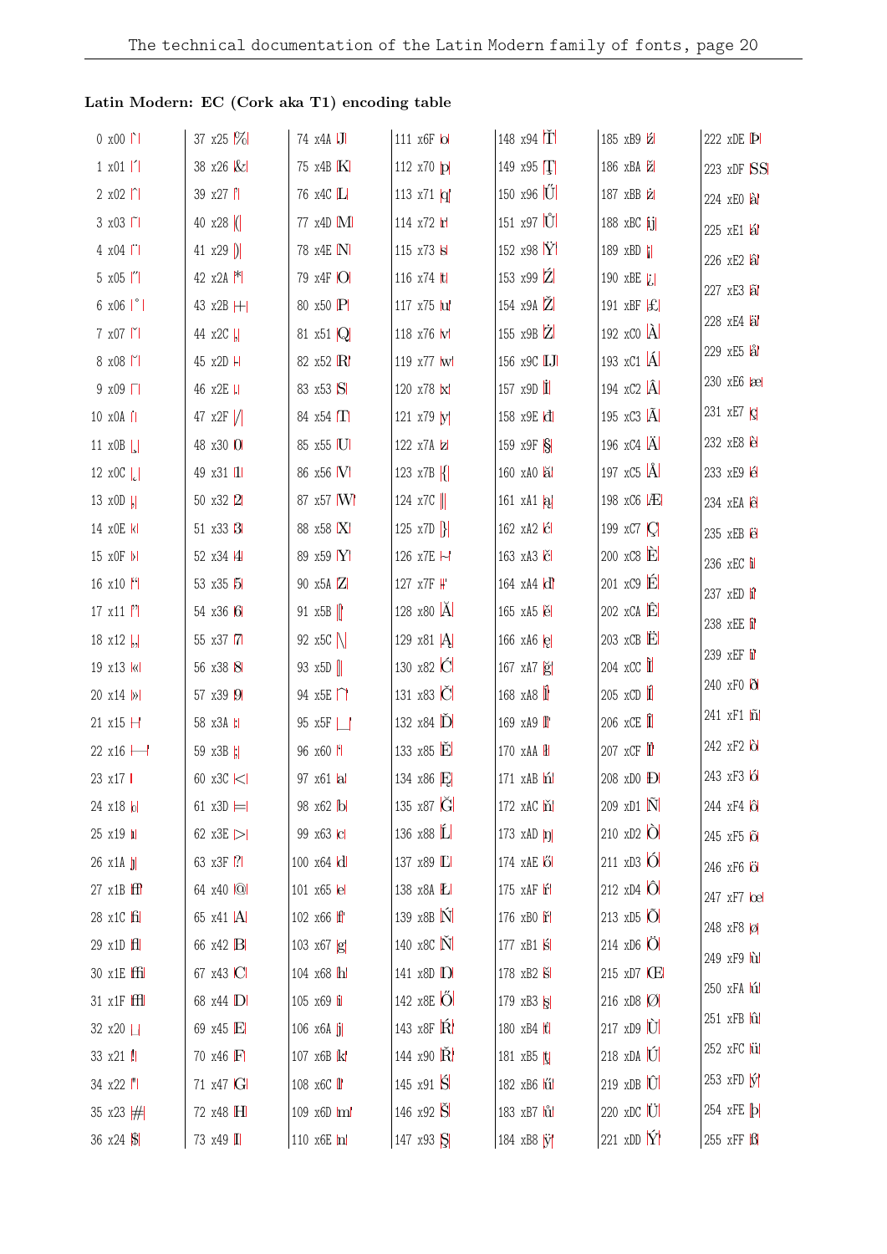## **Latin Modern: EC (Cork aka T1) encoding table**

| $0 x 00$                      | 37 $x25$ $%$     | 74 x4A J                      | 111 x6F lol                | 148 x94 $\overline{T}$       | 185 xB9 Z                                       | 222 xDE <b>P</b>                   |
|-------------------------------|------------------|-------------------------------|----------------------------|------------------------------|-------------------------------------------------|------------------------------------|
| $1 \times 01$  '              | 38 x26 &         | 75 x4B K                      | 112 x70 p                  | 149 x95 T                    | 186 xBA                                         | 223 xDF SS                         |
| $2 \times 02$  ^              | 39 x27  '        | 76 x4C L                      | 113 $x71 q $               | 150 x96 U                    | 187 xBB z                                       | 224 xEO al                         |
| 3 x03   1                     | 40 $x28$ (       | 77 x4D M                      | 114 x72 h                  | 151 x97 U                    | 188 xBC ij                                      | 225 xE1 lál                        |
| 4 x04                         | 41 $x29$ )       | 78 x4E N                      | 115 x73 s                  | 152 x98 $\rm \ddot{Y}$       | 189 xBD                                         | 226 xE2 al                         |
| $5 \times 05$  "              | 42 $x2A$ $*$     | 79 x4F O                      | 116 x74 ltl                | 153 x99 $Z$                  | 190 xBE $ i $                                   | 227 xE3 al                         |
| $6 \times 06$   $^{\circ}$    | 43 x2B H         | 80 x50 P                      | 117 x75 lul                | 154 $x9A$ $\ddot{Z}$         | 191 xBF $ \mathcal{L} $                         |                                    |
| $7 \times 07$                 | 44 x2C  ,        | 81 $\times$ 51 $\overline{Q}$ | 118 x76 W                  | 155 x9B Z                    | 192 $\mathbf{x}$ CO $\mathbf{A}$                | 228 xE4 al                         |
| $8 \times 08$                 | 45 x2D H         | 82 x52 R                      | 119 x77 w                  | 156 x9C <b>IJ</b>            | 193 xC1 A                                       | 229 xE5 al                         |
| $9 \times 09$                 | 46 x2E           | 83 x53 S                      | 120 x78 k                  | 157 $x9D$ $\dot{\mathbf{I}}$ | 194 $\overline{C}$ 2 $\overline{A}$             | 230 xE6   ae                       |
| 10 x0A                        | 47 $x2F$ /       | 84 $x54$ $\Pi$                | 121 x79 y                  | 158 x9E d                    | 195 xC3 $\tilde{A}$                             | 231 xE7 c                          |
| 11 $x0B$                      | 48 x30 0         | 85 x55 U                      | 122 x7A z                  | 159 x9F S                    | 196 $xC4$ $\ddot{A}$                            | 232 xE8 è                          |
| 12 $x0C$ <sub>c</sub>         | 49 x31 11        | 86 x56 M                      | 123 $x7B$ $\{$             | 160 xA0 a                    | 197 $xC5$ $\AA$                                 | 233 xE9 é                          |
| 13 $x0D$  ,                   | 50 x32 2         | 87 x57 W                      | 124 $x7C$                  | 161 $xA1 a $                 | 198 xC6 P                                       | 234 xEA ê                          |
| 14 x0E k                      | 51 x33 3         | 88 x58 X                      | 125 x7D $\left\{ \right\}$ | 162 xA2   Ć                  | 199 xC7   C                                     | 235 xEB e                          |
| 15 x0F  >                     | 52 x34 4         | 89 x59 Y                      | 126 x7E H                  | 163 xA3 C                    | $200 \times C8$ $\dot{E}$                       | 236 xEC i                          |
| 16 $x10$ <sup>[4]</sup>       | 53 x35 5         | 90 x5A Z                      | 127 x7F ₩                  | 164 xA4 d                    | $201 \times C9$ $\acute{E}$                     | 237 xED i                          |
| $17 \times 11$  '             | 54 x36 6         | 91 $x5B$                      | 128 x80 A                  | 165 xA5 e                    | $202 \times CA$ <sup><math>\hat{E}</math></sup> | 238 xEE i                          |
| 18 $x12$ ,                    | 55 x37 7         | 92 $x5C$                      | 129 x81 A                  | 166 $xA6$ $e$                | $203$ xCB $\dot{E}$                             |                                    |
| 19 x13 k                      | 56 x38 8         | 93 x5D                        | 130 x82 C                  | 167 xA7 g                    | $204$ xCC $\hat{\mathbf{I}}$                    | 239 xEF i                          |
| 20 x14  >                     | 57 x39 9         | 94 $x5E \cap$                 | 131 x83 C                  | 168 xA8 1                    | $205 \times CD$ 1                               | 240 xF0 0                          |
| 21 x15 H                      | 58 x3A 1:1       | 95 x5F                        | 132 x84 D                  | 169 xA9 <sup> </sup>         | $206$ xCE $\hat{\mathbf{I}}$                    | 241 xF1 n                          |
| 22 x16 -                      | 59 x3B  ;        | 96 x60 M                      | 133 x85 E                  | 170 xAA H                    | 207 $xCF$ <sup>I</sup>                          | 242 xF2 b                          |
| 23 x17                        | 60 x3C <         | 97 x61 al                     | 134 x86 E                  | 171 xAB n                    | 208 xD0 D                                       | 243 xF3 6                          |
| 24 x18 lol                    | 61 $x3D \models$ | 98 x62 bl                     | 135 x87 G                  | 172 xAC n                    | $209 \text{ xD1}$ $\tilde{\text{N}}$            | 244 xF4   $\hat{O}$                |
| $25 \times 19$ $\blacksquare$ | 62 x3E $>$       | 99 x63 c                      | 136 x88 L                  | 173 $xAD$ $ \eta $           | $210 \times D2$ $\bullet$                       | 245 xF5 lõl                        |
| $26 \times 14$ $ j $          | 63 x3F 7         | $100 \times 64$ d             | 137 x89 L                  | 174 xAE 6                    | $211 \times D3$ O                               | 246 xF6 O                          |
| $27 \times 1B$ $\text{ff}$    | 64 x40 Q         | 101 x65 e                     | 138 x8A <i>L</i>           | 175 xAF if                   | 212 $xD4$ $\hat{O}$                             | 247 xF7 loel                       |
| 28 x1C fil                    | 65 x41  A        | 102 x66 ff                    | 139 x8B N                  | 176 xB0 r                    | 213 $xD5$ $ \tilde{O} $                         | 248 xF8 Ø                          |
| $29 \times 10$ $H$            | 66 x42 B         | 103 x67 g                     | 140 x8C N                  | 177 xB1 S                    | $214 \times D6$ O                               | 249 xF9 hd                         |
| 30 x1E ffil                   | 67 x43 C         | 104 x68 h                     | 141 x8D D                  | 178 xB2 S                    | 215 xD7   <b>CE</b>                             | 250 xFA hi                         |
| $31 \times 1F$ $\text{H}$     | 68 x44 D         | 105 x69 i                     | 142 x8E O                  | 179 xB3 S                    | 216 xD8 0                                       |                                    |
| 32 x20                        | 69 x45 E         | 106 $x6A$ j                   | 143 x8F R                  | 180 xB4 t                    | $217 \times D9$ $\overrightarrow{U}$            | $251$ xFB $\hat{u}$                |
| 33 x21 !!                     | 70 x46 F         | 107 x6B k                     | 144 x90 R                  | 181 xB5 t                    | 218 xDA U                                       | 252 xFC lül                        |
| 34 x22  "                     | 71 x47 G         | 108 x6C <i>II</i>             | 145 x91 S                  | 182 xB6 lűl                  | $219$ xDB $ \hat{U} $                           | $253$ xFD $\hat{y}$                |
| 35 x23 $#$                    | 72 x48 H         | 109 x6D ml                    | 146 $x92$ $\text{\r{S}}$   | 183 xB7 <i>ul</i>            | $220 \times DC$ U                               | $254$ xFE $\vert \mathbf{b} \vert$ |
| 36 x24 S                      | 73 x49 I         | 110 x6E h                     | 147 x93 S                  | 184 xB8 V                    | 221 xDD $\hat{Y}$                               | 255 xFF B                          |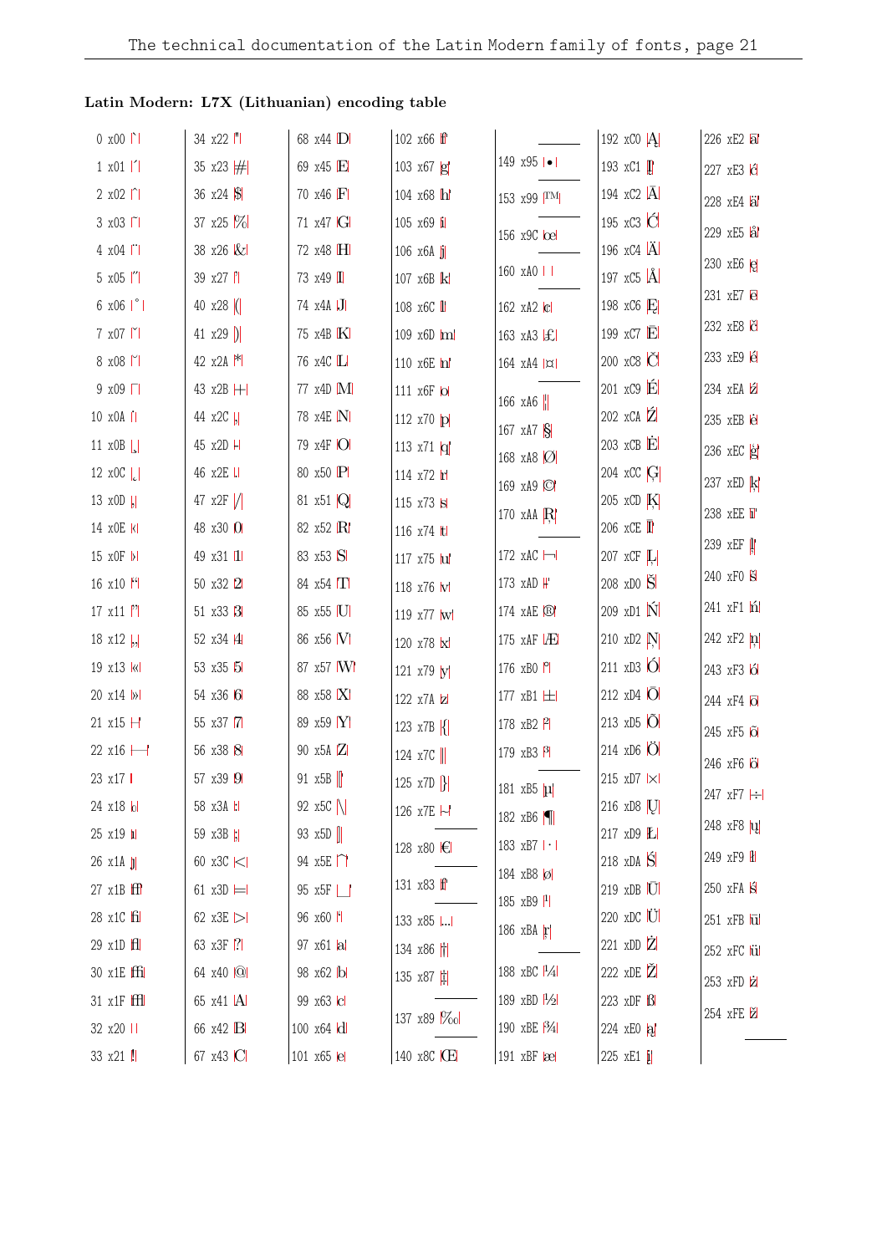| $0 x 00$                      | 34 x22  "        | 68 x44 D  | 102 x66 ff                 |                              | 192 $\mathbf{x}$ CO $ \mathbf{A} $               | 226 xE2 al                    |
|-------------------------------|------------------|-----------|----------------------------|------------------------------|--------------------------------------------------|-------------------------------|
| $1 \times 01$   1             | 35 x23 #         | 69 x45 E  | 103 x67 g                  | 149 $x95$ $\bullet$ $\vdash$ | 193 xC1                                          | 227 xE3 G                     |
| $2 \times 02$  ^              | 36 x24 S         | 70 x46 F  | 104 x68 h                  | 153 x99 TM                   | 194 xC2 $ \overline{A} $                         | 228 xE4 al                    |
| 3 x03   1                     | 37 x25 %         | 71 x47 G  | 105 x69 i                  | 156 x9C loel                 | 195 xC3 C                                        | 229 xE5 al                    |
| 4 x04                         | 38 x26 &         | 72 x48 H  | $106 \times 6A$ j          |                              | 196 $xC4$ $\ddot{A}$                             | 230 xE6 e                     |
| 5 x05  "                      | 39 x27  '        | 73 x49 I  | 107 x6B k                  | $160 \times A0 \mid$         | 197 $\overline{x}$ C <sub>5</sub> $\overline{A}$ |                               |
| $6 \times 06$   $^{\circ}$    | 40 $x28$ (       | 74 x4A J  | 108 x6C <b>II</b>          | 162 xA2 c                    | 198 xC6 $E$                                      | 231 xE7 e                     |
| $7 \times 07$ $\mid$          | 41 $x29$ )       | 75 x4B K  | 109 x6D ml                 | 163 $xA3$ $ £ $              | 199 $\overline{C}$ E                             | 232 xE8 č                     |
| 8 x08                         | 42 $x2A$ $*$     | 76 x4C L  | 110 x6E m                  | $164$ $xA4$ $ x $            | 200 xC8 C                                        | 233 xE9 é                     |
| $9 \times 09$                 | 43 x2B H         | 77 x4D M  | 111 x6F lol                | 166 xA6 $\ $                 | $201 \times C9$ $\dot{E}$                        | 234 xEA 2                     |
| 10 x0A                        | 44 x2C  ,        | 78 x4E N  | 112 x70 p                  | 167 $xA7S$                   | $202 \times CA$ $\hat{Z}$                        | 235 xEB e                     |
| 11 x0B                        | 45 x2D H         | 79 x4F O  | 113 x71 $ q $              | 168 xA8 $ O $                | 203 xCB E                                        | $236$ xEC $g$                 |
| 12 $x0C$ <sub>c</sub>         | 46 x2E I.        | 80 x50 P  | 114 x72 r                  | 169 xA9 ©                    | 204 xCC G                                        | 237 xED k                     |
| 13 x0D  ,                     | 47 $x2F$ /       | 81 x51 Q  | 115 x73 s                  | 170 xAA $R$                  | 205 xCD $K$                                      | 238 xEE T                     |
| 14 x0E kl                     | 48 x30 0         | 82 x52 R  | 116 x74 ltl                |                              | 206 $xCE$ $\overline{\mathbf{I}}$                | 239 xEF                       |
| 15 xOF  >                     | 49 x31 11        | 83 x53 S  | 117 x75 lul                | 172 $xAC$ $\rightarrow$      | 207 xCF L                                        |                               |
| 16 $x10$ <sup>[4]</sup>       | 50 x32 2         | 84 x54 T  | 118 x76 W                  | 173 xAD H                    | 208 xDO S                                        | 240 xF0 S                     |
| $17 \times 11$  '             | 51 x33 3         | 85 x55 U  | 119 x77 w                  | 174 xAE ®                    | 209 xD1 N                                        | $241 \times F1$ n             |
| 18 $x12$ ,                    | 52 x34 4         | 86 x56 W  | 120 x78 x                  | 175 $xAF$ $AE$               | 210 xD2 N                                        | 242 $xF2$ $n$                 |
| 19 x13 k                      | 53 x35 5         | 87 x57 M  | 121 x79 M                  | 176 $xB0$ $P$                | $211 \times D3$ O                                | 243 xF3 6                     |
| 20 x14  >                     | 54 x36 6         | 88 x58 X  | 122 x7A z                  | 177 xB1  土                   | 212 $\times$ D4 $\overline{O}$                   | 244 xF4 o                     |
| 21 $x15$ $H$                  | 55 x37 7         | 89 x59 Y  | 123 x7B $\{$               | 178 xB2 P                    | 213 $xD5$ $\ddot{O}$                             | 245 xF5 6                     |
| 22 x16 ⊣                      | 56 x38 8         | 90 x5A Z  | 124 $x7C$                  | 179 xB3 $\beta$              | $214 \times D6$ O                                | 246 xF6 Ö                     |
| 23 x17                        | 57 x39 9         | 91 $x5B$  | 125 x7D $\left\{ \right\}$ | 181 xB5 µ                    | 215 xD7   ×                                      | 247 xF7 $\left  \div \right $ |
| 24 x18 lol                    | 58 x3A  :        | 92 $x5C$  | 126 x7E ⊣                  | 182 xB6 $\blacksquare$       | 216 xD8 [U]                                      |                               |
| $25 \times 19$ $\blacksquare$ | 59 x3B  ;        | 93 $x5D$  | 128 x80 <del>€</del>       | 183 xB7   ·                  | 217 xD9 L                                        | 248 xF8   u                   |
| $26 \times 14$ $ j $          | 60 x3C <         | 94 $x5E$  |                            | 184 xB8 Ø                    | 218 $xDA$ $\hat{S}$                              | 249 xF9 H                     |
| $27 \times 1B$ $\text{ff}$    | 61 $x3D \models$ | 95 x5F    | 131 x83 ff                 | 185 $xB9$ <sup>1</sup>       | 219 xDB U                                        | $250$ xFA $\pm$               |
| 28 x1C fil                    | 62 x3E $>$       | 96 x60 f  | 133 x85                    | 186 xBA $\bf{r}$             | 220 xDC U                                        | $251$ xFB $\overline{u}$      |
| 29 x1D H                      | 63 x3F ?         | 97 x61 a  | 134 x86 H                  |                              | 221 xDD $\dot{Z}$                                | 252 xFC lül                   |
| 30 x1E ffi                    | 64 x40 Q         | 98 x62 b  | 135 x87 $\sharp$           | 188 xBC $ ^{1}/_{4} $        | 222 xDE Z                                        | 253 xFD iz                    |
| 31 x1F fffl                   | 65 x41  A        | 99 x63 c  | 137 x89 %ol                | 189 xBD $\frac{1}{2}$        | 223 xDF B                                        | 254 xFE Z                     |
| 32 x20                        | 66 x42 B         | 100 x64 d |                            | 190 xBE <sup>[3</sup> 4]     | 224 xEO a                                        |                               |
| 33 x21 !!                     | 67 x43 C         | 101 x65 e | 140 x8C ICE                | 191 $xBF$ $\alpha$           | 225 xE1 i                                        |                               |

## **Latin Modern: L7X (Lithuanian) encoding table**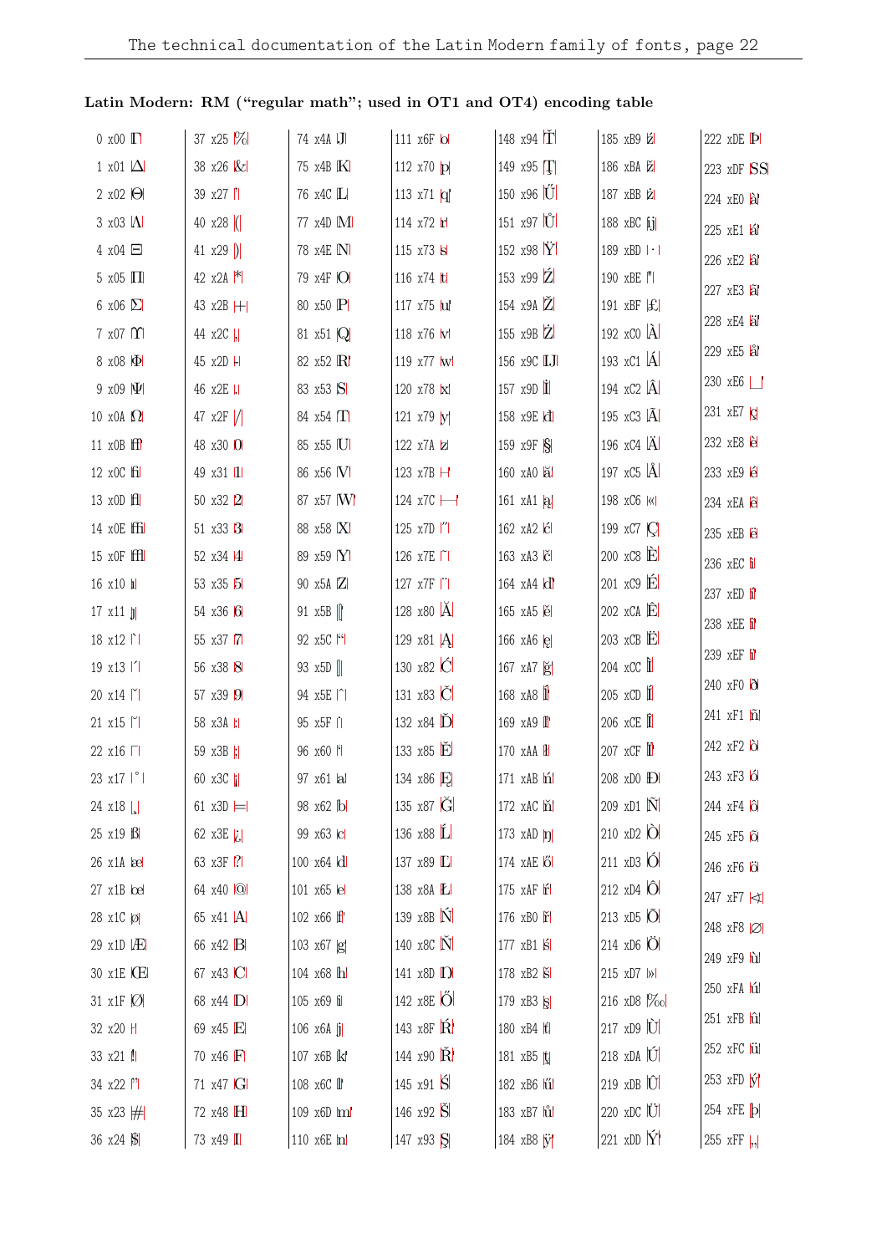| $0 \times 00$ $\Gamma$        | 37 $x25$ $%$     | 74 x4A J                      | 111 x6F lol          | 148 x94 $\overline{T}$          | 185 xB9 2                                 | 222 $xDE$ $\bf{P}$                 |
|-------------------------------|------------------|-------------------------------|----------------------|---------------------------------|-------------------------------------------|------------------------------------|
| 1 x01 $\Delta$                | 38 x26 &         | 75 x4B K                      | 112 x70 p            | 149 x95 T                       | 186 xBA                                   | 223 xDF SS                         |
| 2 $\times$ 02 $\Theta$        | 39 x27           | 76 x4C L                      | 113 x71 $ q $        | 150 x96 U                       | 187 xBB z                                 | 224 xEO al                         |
| $3 \times 03$ $\Lambda$       | 40 $x28$ (       | 77 x4D M                      | 114 x72 h            | $151 \times 97$ U               | 188 xBC $\overline{ij}$                   | 225 xE1 lál                        |
| $4 \times 04$ $\Box$          | 41 $x29$ )       | 78 x4E N                      | 115 x73 s            | 152 x98 $\dot{Y}$               | 189 xBD   ·                               | 226 xE2 al                         |
| $5 \times 05$ $\Pi$           | 42 $x2A$ $*$     | 79 x4F O                      | 116 x74 ltl          | 153 x99 $\overline{Z}$          | 190 xBE  "                                | 227 xE3 al                         |
| 6 x06 $\Sigma$                | 43 x2B H         | 80 x50 P                      | 117 x75 lul          | 154 x9A Z                       | 191 xBF                                   |                                    |
| $7 \times 07$ $\Upsilon$      | 44 x2C  ,        | 81 $\times$ 51 $\overline{Q}$ | 118 x76 W            | 155 $x9B$ $\overline{Z}$        | 192 $\mathbf{x}$ CO $ \hat{\mathbf{A}} $  | 228 xE4 äl                         |
| 8 x08 $ \Phi $                | 45 x2D H         | 82 x52 R                      | 119 x77 w            | 156 x9C IJ                      | 193 xC1 A                                 | 229 xE5 al                         |
| $9 \times 09$ $ \Psi $        | 46 x2E           | 83 x53 S                      | 120 x78 k            | 157 $x9D$ $\Gamma$              | 194 $xC2$ $ \hat{A} $                     | 230 xE6                            |
| 10 $x0A$ $\Omega$             | 47 $x2F$ /       | 84 $x54$ $\Pi$                | 121 x79 y            | 158 x9E d                       | 195 xC3 A                                 | 231 xE7 $\vert$ c                  |
| 11 $x$ OB $ff$                | 48 x30 0         | 85 x55 U                      | 122 x7A Z            | 159 $x9F$ $S$                   | 196 $xC4$ $\ddot{A}$                      | 232 xE8 e                          |
| $12 \times 0C$ $\text{fi}$    | 49 x31 11        | 86 x56 V                      | 123 $x7B$ $\vdash$   | 160 xA0 a                       | 197 $\overline{C5}$ $\overline{A}$        | 233 xE9 é                          |
| 13 x0D H                      | 50 x32 2         | 87 x57 W                      | 124 x7C -            | 161 $xA1 a $                    | 198 xC6   «                               | 234 xEA ê                          |
| 14 x0E ffi                    | 51 x33 3         | 88 x58 X                      | 125 x7D  "           | 162 xA2 c                       | 199 xC7 $ C $                             | 235 xEB e                          |
| 15 x0F ffl                    | 52 x34 4         | 89 x59 Y                      | 126 x7E   1          | 163 xA3 C                       | $200 \times C8$ $\dot{E}$                 | 236 xEC i                          |
| $16 \times 10$ $\blacksquare$ | 53 x35 5         | 90 x5A Z                      | 127 x7F   1          | 164 xA4 d                       | $201 \times C9$ $\acute{\text{E}}$        | 237 xED i                          |
| $17 \times 11$                | 54 x36 6         | 91 x5B                        | 128 x80 A            | 165 xA5 e                       | $202 \times CA$ <sup><math>E</math></sup> | 238 xEE i                          |
| $18 \times 12$                | 55 x37 7         | 92 x5C ["                     | 129 x81 $ A $        | 166 $xA6$ $e$                   | $203$ xCB $\ddot{E}$                      | 239 xEF i                          |
| $19 \times 13$                | 56 x38 8         | 93 $x5D$                      | 130 x82 C            | 167 xA7 g                       | $204$ xCC $\hat{\mathbf{I}}$              |                                    |
| 20 x14                        | 57 x39 9         | 94 x5E  ^                     | 131 x83 C            | 168 xA8 1                       | $205 \times CD$                           | 240 xF0 0                          |
| $21 \times 15$                | 58 x3A :         | 95 x5F II                     | 132 $x84$ $\ddot{D}$ | 169 xA9 <sup>1</sup>            | 206 $xCE$                                 | $241\,$ xF1 $ \widetilde{\bf n} $  |
| 22 x16                        | 59 x3B  ;        | 96 x60 M                      | 133 x85 E            | 170 xAA H                       | 207 $\overline{X}$ CF                     | 242 xF2 b                          |
| 23 x17   °                    | 60 x3C           | 97 x61 a                      | 134 x86 E            | $171$ xAB $\mathbf{\hat{n}}$    | 208 xD0 <b>D</b>                          | 243 xF3 6                          |
| $24 \times 18$                | 61 $x3D \models$ | 98 x62 b                      | 135 x87 G            | 172 xAC m                       | 209 xD1 N                                 | 244 xF4 ô                          |
| $25 \times 19$ $\text{B}$     | 62 x3E $ i $     | 99 x63 c                      | 136 x88 L            | 173 $xAD$ $\eta$                | $210 \times D2$ $\bullet$                 | 245 xF5 lõl                        |
| $26 \times 1$ A $\infty$      | 63 x3F 7         | 100 x64 d                     | 137 x89 L            | 174 xAE 16                      | 211 $\times$ D3 $\overrightarrow{O}$      | 246 xF6 <b>O</b>                   |
| $27 \times 1B$ $\Omega$       | 64 x40 Q         | 101 x65 lel                   | 138 x8A <i>L</i>     | 175 xAF r                       | 212 $xD4$ $ \hat{O} $                     | 247 xF7 <                          |
| 28 x1C Ø                      | 65 x41  A        | 102 x66 ff                    | 139 x8B N            | 176 xB0 m                       | $213 \times D5$ O                         | 248 xF8 Ø                          |
| $29 \times 10$ $AE$           | 66 x42 B         | 103 x67 g                     | 140 x8C N            | $177$ xB1 $\overline{\text{s}}$ | $214 \times D6$ O                         | 249 xF9 hd                         |
| 30 x1E CE                     | 67 x43 ICI       | 104 x68 h                     | 141 x8D <b>D</b>     | 178 xB2 S                       | 215 xD7  >                                | 250 xFA hi                         |
| 31 x1F   Ø                    | 68 x44 D         | 105 x69 i                     | 142 x8E O            | 179 $xB3  S $                   | 216 xD8 %o                                |                                    |
| 32 x20 H                      | 69 x45 E         | $106 \times 6A$ j             | 143 x8F R            | 180 xB4 H                       | $217 \times D9$ U                         | $251$ xFB $\hat{u}$                |
| 33 x21 !!                     | 70 x46 F         | 107 x6B k                     | 144 x90 R            | 181 $xB5$ t                     | $218 \times DA$                           | 252 xFC lül                        |
| $34 \times 22$  '             | 71 x47 G         | 108 x6C <i>II</i>             | 145 x91 S            | 182 xB6 lű                      | $219$ xDB $\hat{U}$                       | $253$ xFD $\hat{y}$                |
| 35 x23 $#$                    | 72 x48 H         | 109 x6D ml                    | 146 x92 S            | 183 xB7 <i>i</i> ul             | $220 \times DC$ U                         | $254$ xFE $\vert \mathbf{b} \vert$ |
| 36 $x24$ $\frac{1}{9}$        | 73 x49 I         | 110 x6E m                     | 147 x93 S            | 184 xB8 W                       | 221 xDD $\hat{Y}$                         | 255 xFF $\vert$ ,,                 |

## Latin Modern: RM ("regular math"; used in OT1 and OT4) encoding table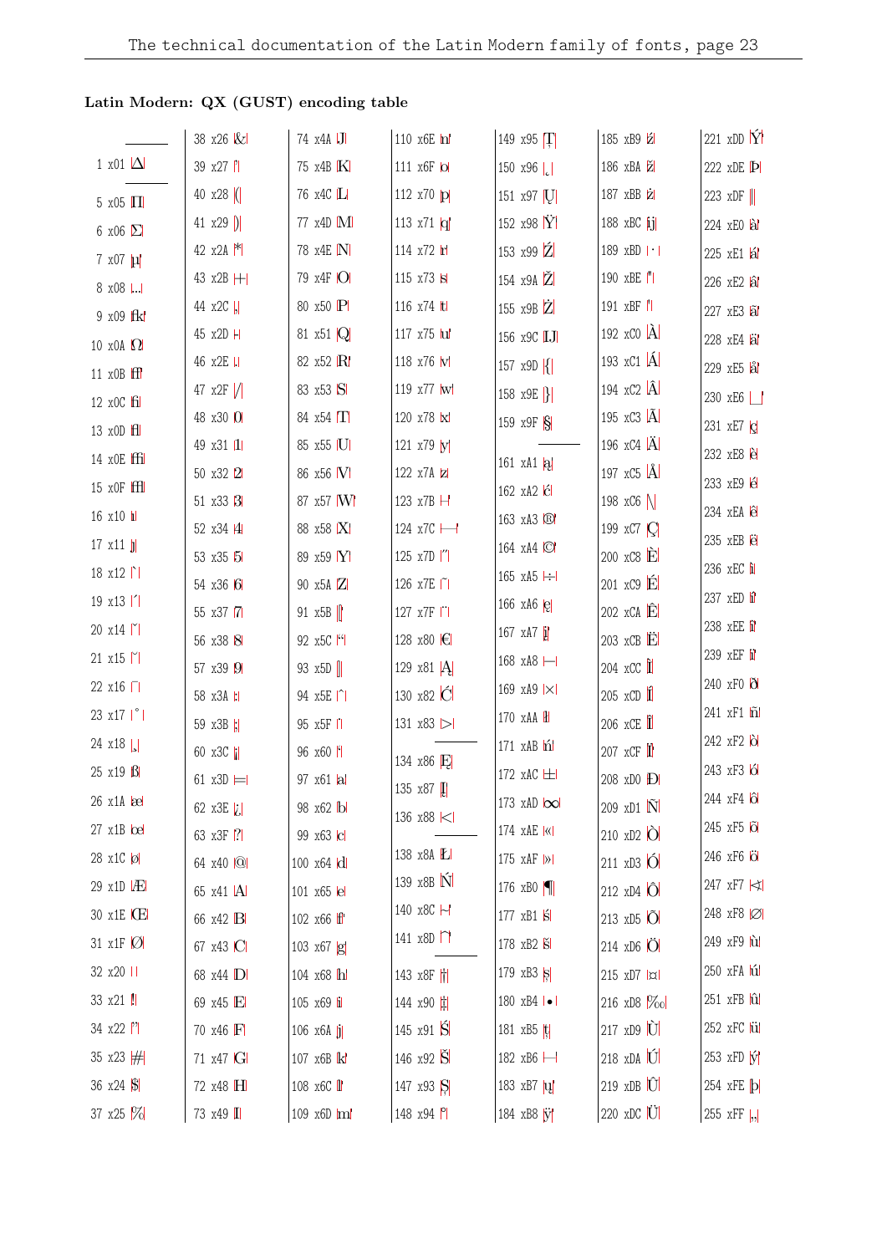## Latin Modern: QX (GUST) encoding table

|                                    | 38 x26 &     | 74 x4A J          | 110 x6E m            | 149 $x95$ T                   | 185 xB9 Z                            | 221 xDD $\hat{Y}$            |
|------------------------------------|--------------|-------------------|----------------------|-------------------------------|--------------------------------------|------------------------------|
| 1 x01 $\Delta$                     | 39 x27       | 75 x4B K          | 111 x6F lol          | 150 x96 $ $                   | 186 xBA                              | 222 xDE P                    |
| $5 \times 05$ $\Pi$                | 40 $x28$ (   | 76 x4C L          | 112 $x70$ p          | 151 x97 [U]                   | 187 xBB z                            | 223 xDF                      |
| 6 x06 $\Sigma$                     | 41 $x29$ )   | 77 x4D M          | 113 x71 $q$          | 152 x98 $\dot{Y}$             | 188 xBC $\overline{ij}$              | 224 xEO al                   |
| $7 \times 07$ $\mu$                | 42 $x2A$ $*$ | 78 x4E N          | 114 x72 r            | 153 x99 Z                     | 189 xBD   ·                          | 225 xE1 al                   |
| 8 x08                              | 43 x2B H     | 79 x4F O          | 115 x73 s            | 154 x9A Z                     | 190 xBE  "                           | 226 xE2 al                   |
| 9 x09 fk                           | 44 x2C  ,    | 80 x50 P          | 116 x74 ltl          | 155 $x9B$ $\overline{Z}$      | 191 xBF                              | 227 xE3 al                   |
|                                    | 45 x2D H     | 81 x51 Q          | 117 x75 lul          | 156 x9C IJ                    | 192 $\mathrm{xCO}$ $\mathrm{\AA}$    | 228 xE4 äl                   |
| 10 x0A $\Omega$<br>11 x0B ff       | 46 x2E       | 82 x52 R          | 118 x76 W            | 157 $x9D$ $\{$                | 193 $xC1$ $\AA$                      | 229 xE5 al                   |
|                                    | 47 $x2F$ /   | 83 x53 S          | 119 x77 w            | 158 x9E  }                    | 194 $xC2$ $\hat{A}$                  | 230 xE6                      |
| 12 x0C fil                         | 48 x30 0     | 84 $x54$ $\Pi$    | 120 x78 k            | 159 x9F S                     | 195 $\overline{X}$ C3 $\overline{A}$ | 231 xE7   c                  |
| 13 x0D H                           | 49 x31 11    | 85 x55 U          | 121 x79 y            |                               | 196 $xC4$ $\ddot{A}$                 | 232 xE8 è                    |
| 14 x0E ffi                         | 50 x32 2     | 86 x56 M          | 122 x7A z            | 161 xA1 $ a $                 | 197 $xC5$ $\AA$                      | 233 xE9 lé                   |
| $15 \times \text{OF}$ $\text{ffl}$ | 51 x33 3     | 87 x57 W          | 123 x7B H            | 162 xA2   c                   | 198 xC6 $\vert$                      | 234 xEA ê                    |
| $16 \times 10$ $\mu$               | 52 x34 4     | 88 x58 X          | 124 x7C -            | 163 xA3 ®                     | 199 xC7   C                          | 235 xEB ë                    |
| $17 \times 11$ $ j $               | 53 x35 5     | 89 x59 Y          | 125 x7D  "           | 164 xA4 ©                     | $200 \times C8$ $\dot{E}$            |                              |
| $18 \times 12$                     | 54 x36 6     | 90 x5A Z          | 126 x7E   ~          | 165 xA5 $\left  \div \right $ | 201 xC9 E                            | 236 xEC i                    |
| 19 x13   <sup>1</sup>              | 55 x37 7     | 91 $x5B$          | 127 x7F              | 166 $xA6$ $e$                 | $202 \times CA$ $\hat{E}$            | 237 xED i                    |
| 20 x14                             | 56 x38 8     | 92 x5C ["         | 128 x80 <del>€</del> | 167 $xA7 \underline{i}$       | $203$ xCB $\dot{\mathbf{E}}$         | 238 xEE i                    |
| 21 x15                             | 57 x39 9     | 93 $x5D$          | 129 x81 $[A]$        | 168 xA8 -                     | $204$ xCC $\hat{\mathbf{I}}$         | 239 xEF ii                   |
| 22 x16 □                           | 58 x3A H     | 94 x5E  ^         | 130 x82 C            | 169 xA9   ×                   | $205 \times CD$ 1                    | 240 xF0 0                    |
| 23 x17   °                         | 59 x3B  ;    | 95 x5F II         | 131 x83 >            | 170 xAA H                     | $206$ xCE $\hat{\mathbf{I}}$         | 241 xF1 n                    |
| 24 $x18$                           | 60 x3C       | 96 x60 H          | 134 x86 E            | 171 xAB hi                    | 207 xCF                              | 242 xF2 b                    |
| 25 x19 B                           | 61 $x3D =$   | 97 x61 al         | 135 x87 <b>I</b>     | 172 xAC H                     | 208 xD0 <b>D</b>                     | 243 xF3 6                    |
| $26 \times 1$ A $\infty$           | 62 x3E $ i $ | 98 x62 b          | 136 x88 <            | 173 $xAD$ $\infty$            | 209 xD1 N                            | 244 xF4 <b>6</b>             |
| $27 \times 1B$ $\Omega$            | 63 x3F 7     | 99 x63 c          |                      | 174 xAE  «                    | $210 \times D2$ $\overrightarrow{O}$ | $245$ xF5 $\tilde{\text{o}}$ |
| 28 x1C 0                           | 64 x40 Q     | 100 x64 d         | 138 x8A <i>L</i>     | 175 xAF  >                    | $211 \times D3$ O                    | 246 xF6 O                    |
| $29 \times 10$ $AE$                | 65 x41  A    | 101 x65 lel       | 139 x8B N            | 176 xBO $\blacksquare$        | 212 $xD4$ $\hat{O}$                  | 247 xF7 <                    |
| 30 x1E CE                          | 66 x42 B     | 102 x66 ff        | 140 x8C ∼            | 177 xB1 $\sin$                | 213 xD5 O                            | 248 xF8 Ø                    |
| 31 x1F $\varnothing$               | 67 x43 C     | 103 $x67$ $g$     | 141 $x8D \cap$       | 178 xB2 S                     | $214 \times D6$ O                    | 249 xF9 h                    |
| 32 x20                             | 68 x44 D     | 104 x68 h         | 143 x8F              | 179 xB3 S                     | 215 xD7  x                           | 250 xFA hi                   |
| 33 x21 !!                          | 69 x45 E     | 105 x69 i         | 144 x90 t            | 180 xB4   •                   | 216 xD8 $\%$ o                       | $251$ xFB $\hat{u}$          |
| $34 \times 22$  '                  | 70 x46 F     | 106 $x6A$ j       | 145 x91 S            | 181 xB5 $ t $                 | $217 \times D9$ $\overline{U}$       | 252 xFC lül                  |
| 35 x23 $#$                         | 71 x47 G     | 107 x6B k         | 146 x92 S            | 182 xB6 ⊣                     | 218 xDA U                            | $253$ xFD $\hat{y}$          |
| 36 $x24$ $\sqrt{$}$                | 72 x48 H     | 108 x6C <i>II</i> | 147 x93 S            | 183 xB7 u                     | $219 \times DB$                      | 254 xFE <b>b</b>             |
| 37 x25 \%                          | 73 x49 I     | 109 x6D ml        | 148 x94 P            | 184 xB8 W                     | $220 \times DC$ U                    | 255 $xFF$ ,,                 |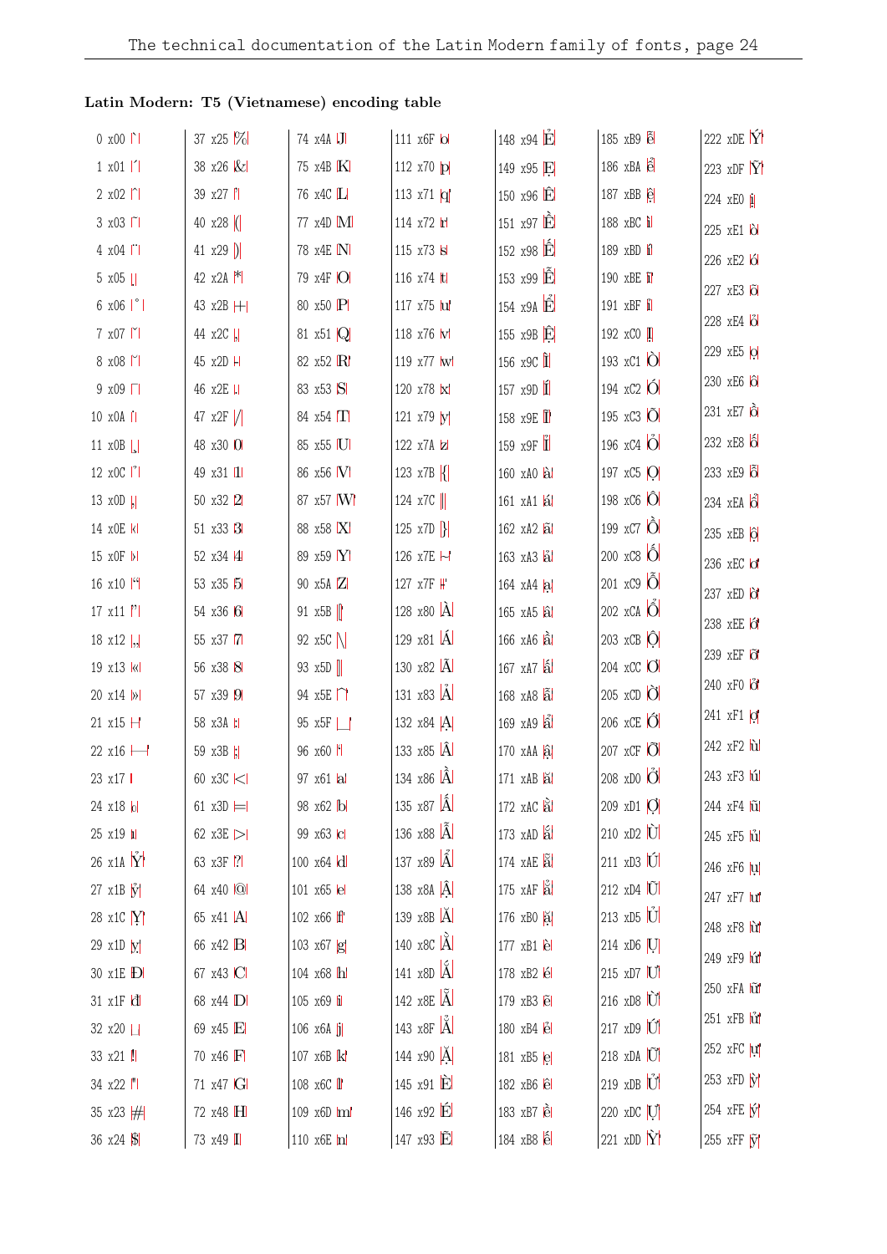| $0 x 00$                   | 37 $x25$ $%$     | 74 x4A J                              | 111 x6F lol              | 148 x94 E                 | $185 \times B9$ $\tilde{e}$          | 222 xDE $\hat{Y}$      |
|----------------------------|------------------|---------------------------------------|--------------------------|---------------------------|--------------------------------------|------------------------|
| $1 \times 01$   1          | 38 x26 &         | 75 x4B K                              | 112 x70 p                | 149 x95 E                 | $186 \times B$ A                     | 223 $xDF \tilde{Y}$    |
| $2 x02$   $\sim$           | 39 x27  '        | 76 x4C L                              | 113 x71 $ q $            | 150 x96 E                 | 187 $xBB$ $\hat{e}$                  | 224 xEO i              |
| 3 x03   1                  | 40 x28 (         | 77 x4D M                              | 114 x72 h                | 151 x97 <b>E</b>          | 188 xBC i                            | 225 xE1 b              |
| 4 x04                      | 41 $x29$ )       | 78 x4E N                              | 115 x73 s                | 152 x98 E                 | 189 xBD i                            | 226 xE2 6              |
| $5 \times 05$              | 42 $x2A$ $*$     | 79 x4F O                              | 116 x74 ltl              | 153 $x99 \hat{E}$         | 190 xBE i                            | 227 xE3 6              |
| $6 \times 06$   $^{\circ}$ | 43 x2B H         | 80 x50 P                              | 117 x75 lul              | 154 x9A E                 | 191 $xBF$ i                          | $228$ xE4 $\ddot{0}$   |
| 7 x07                      | 44 x2C  ,        | 81 x51 Q                              | 118 x76 W                | 155 $x9B$ $\hat{E}$       | 192 xCO I                            |                        |
| $8 \times 08$              | 45 x2D H         | 82 x52 R                              | 119 x77 w                | 156 х9С П                 | 193 xC1 O                            | 229 xE5 O              |
| 9 x09 I                    | 46 x2E I.I       | 83 x53 S                              | 120 x78 k                | 157 $x9D$ $\hat{I}$       | 194 xC2 O                            | 230 xE6 6              |
| 10 x0A                     | 47 $x2F$ /       | 84 x54 T                              | 121 x79 W                | 158 x9E                   | 195 xC3 O                            | 231 xE7 lot            |
| 11 $x0B$                   | 48 x30 0         | 85 x55 U                              | 122 x7A z                | 159 $x9F$ <sup>T</sup>    | 196 xC4 O                            | 232 xE8 6              |
| 12 $x0C$  '                | 49 x31 11        | 86 x56 V                              | 123 x7B $\left  \right $ | 160 xA0 al                | 197 xC5   O                          | 233 xE9 6              |
| 13 $x0D$  ,                | 50 x32 2         | 87 x57 W                              | 124 $x7C$                | 161 xA1 al                | 198 xC6 O                            | 234 xEA $\hat{6}$      |
| 14 x0E k                   | 51 x33 3         | 88 x58 X                              | 125 x7D $\{$             | 162 xA2 a                 | 199 xC7 O                            | 235 xEB $\hat{Q}$      |
| 15 x0F  >                  | 52 x34 4         | 89 x59 Y                              | 126 x7E ト                | 163 xA3 al                | $200 \times C8$ $\hat{O}$            | 236 xEC of             |
| 16 $x10$   "               | 53 x35 5         | 90 x5A Z                              | 127 x7F ₩                | 164 $xA4$ $ a $           | 201 xC9 O                            | 237 xED of             |
| $17 \times 11$  '          | 54 x36 6         | 91 $x5B$                              | 128 x80 A                | $165$ xA5 $\hat{a}$       | 202 xCA O                            | 238 xEE 6              |
| 18 x12  ,                  | 55 x37 7         | 92 $x5C$                              | 129 $x81 \hat{A}$        | $166 \times A6$ $\hat{a}$ | 203 $xCB$ $\hat{O}$                  | 239 xEF o              |
| 19 x13 k                   | 56 x38 8         | 93 $x5D$                              | 130 x82 A                | $167$ xA7 $\hat{a}$       | 204 xCC O                            | 240 xF0 &              |
| 20 x14  >                  | 57 x39 9         | 94 $x5E$ <sup><math>\cap</math></sup> | 131 x83 A                | 168 xA8 a                 | $205 \times CD$ $\bullet$            |                        |
| 21 x15 H                   | 58 x3A :         | 95 x5F                                | 132 x84 A                | $169 \times A9$ $\hat{a}$ | 206 xCE O                            | 241 xF1 o              |
| 22 x16 -                   | 59 x3B  ;        | 96 x60 F                              | 133 $x85 \hat{A}$        | $170$ xAA $\hat{a}$       | 207 $xCF$ $\ddot{O}$                 | 242 xF2 <i>ul</i>      |
| 23 x17                     | 60 x3C <         | 97 x61 a                              | 134 x86 A                | $171$ $xAB$ $\ddot{a}$    | 208 xD0 O                            | 243 xF3 lúl            |
| 24 x18 lol                 | 61 $x3D \models$ | 98 x62 b                              | 135 x87 $\hat{A}$        | $172$ xAC $\ddot{a}$      | 209 xD1 O                            | 244 xF4 <i>i</i> u     |
| 25 x19 l                   | 62 x3E $>$       | 99 x63 c                              | 136 x88 A                | 173 $xAD \& S$            | $210 \times D2$                      | 245 xF5 <i>u</i>       |
| $26 \times 14$ Y           | 63 x3F 7         | 100 x64 d                             | 137 $x89 \hat{A}$        | 174 xAE a                 | $211 \times D3$                      | 246 xF6 u              |
| $27 \times 1B \times$      | 64 x40 Q         | 101 x65 e                             | 138 x8A $\hat{A}$        | 175 $xAF$ $a^2$           | $212 \times D4$ $\widetilde{U}$      | 247 xF7 lul            |
| 28 x1C Y                   | 65 x41  A        | 102 x66 ff                            | 139 x8B A                | 176 xB0 a                 | $213 \times D5$ U                    | 248 xF8 u              |
| 29 x1D y                   | 66 x42 B         | 103 x67 g                             | 140 x8C A                | 177 xB1 e                 | $214 \times D6$ U                    | 249 xF9 lú             |
| 30 x1E <b>D</b>            | 67 x43 C         | 104 x68 h                             | 141 x8D A                | 178 xB2 é                 | 215 xD7 U                            | 250 xFA tu             |
| $31 \times 15$ d           | 68 x44 D         | 105 x69 i                             | 142 x8E A                | 179 xB3 e                 | $216 \times D8$ $\overrightarrow{U}$ | $251$ xFB $\mathbf{u}$ |
| 32 x20                     | 69 x45 E         | $106 \times 6A$ j                     | 143 x8F A                | 180 xB4 e                 | $217 \times D9$ $\overline{U}$       |                        |
| 33 x21 !!                  | 70 x46 F         | 107 x6B k                             | 144 x90 A                | 181 xB5 e                 | 218 xDA U                            | 252 xFC u              |
| 34 x22  "                  | 71 x47 G         | 108 x6C <i>II</i>                     | 145 $x91$ $\dot{E}$      | 182 xB6 e                 | 219 xDB U                            | $253$ xFD $\dot{y}$    |
| 35 x23 $#$                 | 72 x48 H         | 109 x6D ml                            | 146 x92 E                | 183 xB7 è                 | 220 xDC U                            | 254 xFE V              |
| 36 x24 \$                  | 73 x49 I         | 110 x6E h                             | 147 x93 E                | 184 xB8 é                 | 221 xDD $\hat{Y}$                    | 255 xFF [y]            |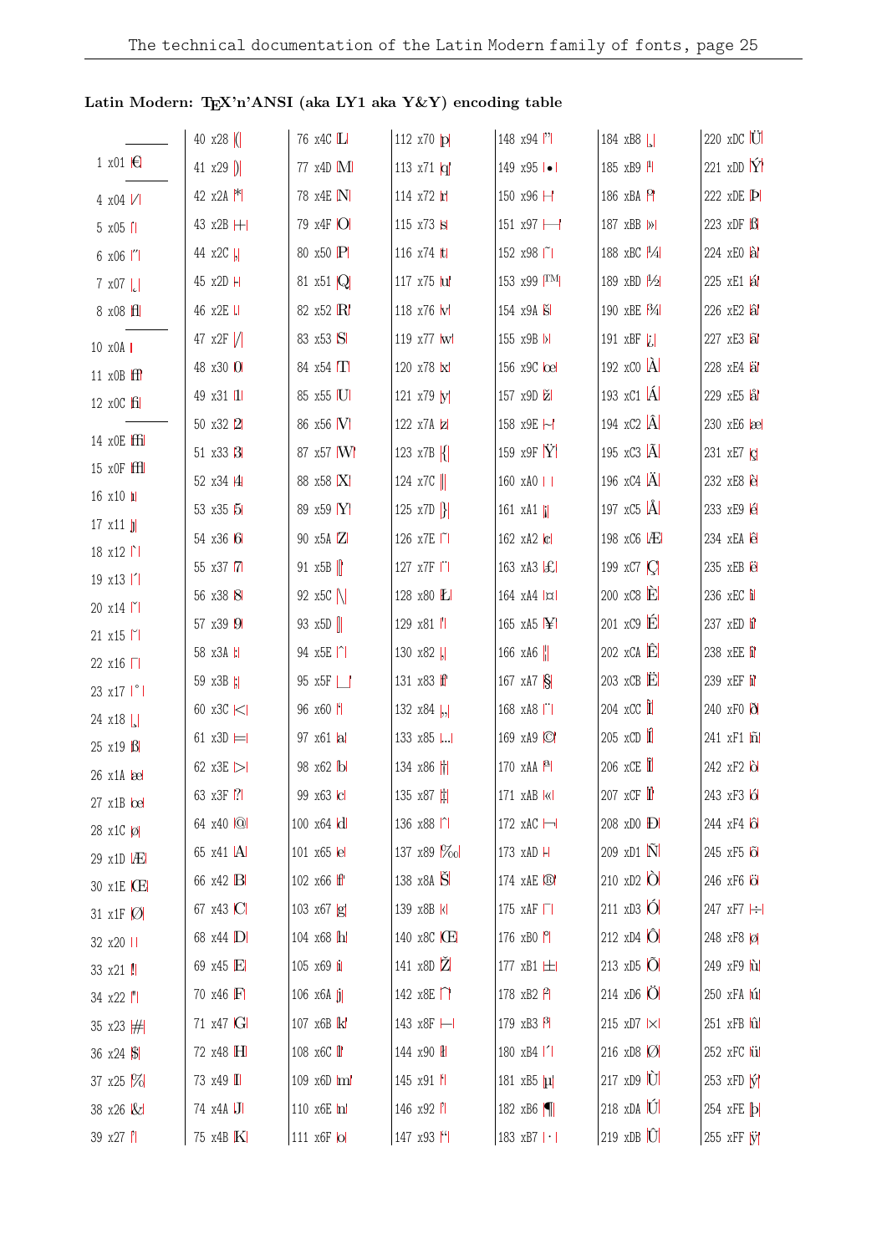## Latin Modern: TEX'n'ANSI (aka LY1 aka $\mathbf{Y} \& \mathbf{Y})$ encoding table

|                                   | 40 $x28$ (   | 76 x4C L                      | 112 x70 p                              | 148 x94 <sup> ''</sup>        | 184 xB8                                   | $220 \times DC$ U   |
|-----------------------------------|--------------|-------------------------------|----------------------------------------|-------------------------------|-------------------------------------------|---------------------|
| 1 x01 $\epsilon$                  | 41 $x29$ )   | 77 x4D M                      | 113 $x71 \vert q \vert$                | 149 $x95$ $\bullet$ 1         | 185 $xB9$ <sup>1</sup>                    | 221 xDD $\hat{Y}$   |
| $4 \times 04$ /                   | 42 $x2A$ $*$ | 78 x4E N                      | 114 x72 h                              | 150 x96 $\boxminus$           | 186 xBA P                                 | 222 xDE P           |
| 5 x05 l'1                         | 43 x2B H     | 79 x4F O                      | 115 x73 s                              | $151 \times 97 \rightarrow$   | 187 xBB  >                                | 223 xDF B           |
| 6 x06  "                          | 44 x2C  ,    | 80 x50 P                      | 116 x74 ltl                            | 152 x98   1                   | 188 xBC $ ^{1}/_{4} $                     | 224 xEO al          |
| $7 \times 07$                     | 45 x2D H     | 81 $\times$ 51 $\overline{Q}$ | 117 x75 lul                            | 153 x99 TM                    | 189 xBD $ 1/2 $                           | 225 xE1 al          |
| $8 \times 08$ $H$                 | 46 x2E       | 82 x52 R                      | 118 x76 W                              | 154 x9A S                     | 190 xBE <sup>3</sup> / <sub>4</sub>       | 226 xE2 al          |
| 10 x0A                            | 47 $x2F$ /   | 83 x53 S                      | 119 x77 w                              | 155 x9B >                     | 191 xBF $ i $                             | 227 xE3 al          |
| 11 x0B ff                         | 48 x30 0     | 84 $x54$ $\Pi$                | 120 x78 k                              | 156 x9C loel                  | 192 $\mathsf{x}$ CO $\mathsf{A}$          | 228 xE4 al          |
| $12 \times 0C$ $\overline{f}$     | 49 x31 11    | 85 x55 U                      | 121 x79 y                              | 157 x9D ž                     | 193 $xC1$ $\AA$                           | 229 xE5 lål         |
|                                   | 50 x32 2     | 86 x56 M                      | 122 x7A z                              | 158 x9E ~                     | 194 $\angle$ xC2 $\angle$ A               | 230 xE6 læl         |
| 14 x0E ffi                        | 51 x33 3     | 87 x57 M                      | 123 x7B $ $                            | 159 x9F $\dot{Y}$             | 195 $\overline{X}$ C3 $\overline{A}$      | 231 $xE7$ $c$       |
| $15 \times \text{OF}$ $\text{ff}$ | 52 x34 4     | 88 x58 X                      | 124 x7C                                | 160 xA0                       | 196 xC4 $\ddot{A}$                        | 232 xE8 e           |
| 16 x10 h                          | 53 x35 5     | 89 x59 Y                      | 125 x7D $\left\{ \right\}$             | 161 xA1                       | 197 $xC5$ $\AA$                           | 233 xE9 é           |
| $17 \times 11$                    | 54 x36 6     | 90 x5A Z                      | 126 x7E   1                            | 162 xA2 c                     | 198 xC6   Æ                               | 234 xEA ê           |
| $18 \times 12$                    | 55 x37 7     | 91 $x5B$                      | 127 x7F                                | 163 xA3 $ E $                 | 199 xC7 $ C $                             | 235 xEB <i>e</i>    |
| $19 \times 13$  <br>20 x14   Y    | 56 x38 8     | 92 $x5C$                      | 128 x80 L                              | $164 \text{ xA}4 \text{  x }$ | $200 \times C8$ $\dot{E}$                 | 236 xEC i           |
| 21 x15                            | 57 x39 9     | 93 $x5D$                      | 129 x81                                | 165 xA5 ¥                     | $201 \times C9$ $\acute{E}$               | 237 xED i           |
| 22 x16                            | 58 x3A :     | 94 $x5E$  ^                   | 130 $x82$ .                            | 166 xA6 $\parallel$           | $202 \times CA$ <sup><math>E</math></sup> | 238 xEE i           |
| 23 x17   °                        | 59 x3B  ;    | 95 x5F                        | 131 x83 f                              | 167 xA7 S                     | $203$ xCB $\dot{E}$                       | 239 xEF i           |
| $24 \times 18$                    | 60 x3C <     | 96 x60 F                      | 132 x84  ,                             | 168 xA8                       | $204$ xCC $\hat{\mathbf{I}}$              | 240 xF0 8           |
| 25 x19 B                          | 61 $x3D =$   | 97 x61 al                     | 133 x85                                | 169 xA9 ©                     | $205 \times CD$                           | 241 xF1 h           |
| 26 x1A   ae                       | 62 x3E $>$   | 98 x62 b                      | 134 x86 <sup> +</sup>                  | 170 xAA P                     | 206 xCE 1                                 | 242 xF2 0           |
| $27 \times 1B$ $\Omega$           | 63 x3F 7     | 99 x63 c                      | 135 x87 #                              | $171$ $xAB$ $k$               | $207$ xCF                                 | 243 xF3 lól         |
| 28 x1C Ø                          | 64 x40 @     | 100 x64 d                     | 136 x88   1                            | 172 $xAC$ $\rightarrow$       | 208 xD0 <b>D</b>                          | 244 xF4 6           |
| $29 \times 10$ $AE$               | 65 x41  A    | 101 x65 e                     | 137 x89 %ol                            | 173 xAD H                     | $209 \text{ xD1}$ $\tilde{\text{N}}$      | 245 xF5 o           |
| 30 x1E CE                         | 66 x42 B     | $102 \times 66$ f             | 138 x8A S                              | 174 xAE ®                     | $210 \times D2$ O                         | 246 xF6 <b>O</b>    |
| 31 x1F $\emptyset$                | 67 x43 C     | 103 x67 g                     | 139 x8B k                              | 175 $xAF$ $\Box$              | $211 \times D3$ O                         | 247 xF7 -           |
| 32 x20                            | 68 x44 D     | 104 x68 h                     | 140 x8C ICE                            | 176 xBO P                     | 212 $xD4$ $ \hat{O} $                     | 248 xF8 Ø           |
| 33 x21 !!                         | 69 x45 E     | 105 x69 i                     | 141 x8D Z                              | 177 xB1  土                    | 213 $xD5$ $\overline{O}$                  | 249 xF9 hd          |
| 34 x22  "                         | 70 x46 F     | 106 $x6A$ j                   | 142 $x8E$ <sup><math>\cap</math></sup> | 178 $xB2$ $P$                 | 214 xD6 O                                 | 250 xFA hú          |
| 35 x23 $#$                        | 71 x47 G     | 107 x6B k                     | 143 x8F -                              | 179 xB3 $\beta$               | 215 xD7   ×                               | $251$ xFB $\hat{u}$ |
| 36 $x24$ $ S $                    | 72 x48 H     | 108 x6C <i>II</i>             | 144 x90 H                              | 180 $xB4$                     | 216 xD8 $ O $                             | 252 xFC lül         |
| 37 $x25$ $%$                      | 73 x49 I     | 109 x6D ml                    | 145 x91 f                              | 181 xB5 µ                     | $217 \times D9$ U                         | $253$ xFD $\hat{y}$ |
| 38 x26 &                          | 74 x4A J     | 110 x6E m                     | 146 x92  '                             | 182 xB6                       | $218 \times DA$ U                         | 254 xFE <b>b</b>    |
| 39 x27  '                         | 75 x4B K     | 111 x6F lol                   | 147 x93 [4]                            | 183 $xB7   \cdot  $           | $219$ xDB $\hat{U}$                       | 255 xFF W           |